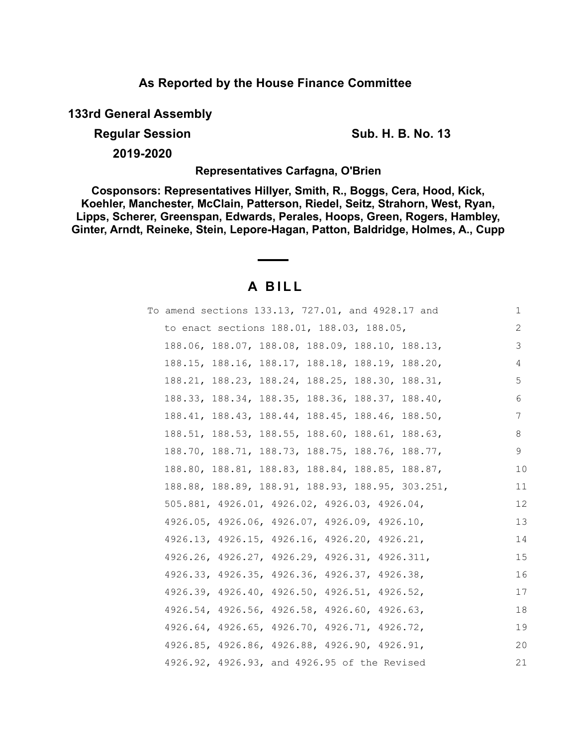## **As Reported by the House Finance Committee**

**133rd General Assembly**

**Regular Session Sub. H. B. No. 13** 

**2019-2020**

**Representatives Carfagna, O'Brien**

**Cosponsors: Representatives Hillyer, Smith, R., Boggs, Cera, Hood, Kick, Koehler, Manchester, McClain, Patterson, Riedel, Seitz, Strahorn, West, Ryan, Lipps, Scherer, Greenspan, Edwards, Perales, Hoops, Green, Rogers, Hambley, Ginter, Arndt, Reineke, Stein, Lepore-Hagan, Patton, Baldridge, Holmes, A., Cupp**

# **A B I L L**

|  | To amend sections 133.13, 727.01, and 4928.17 and |  |  | $\mathbf 1$ |
|--|---------------------------------------------------|--|--|-------------|
|  | to enact sections 188.01, 188.03, 188.05,         |  |  | 2           |
|  | 188.06, 188.07, 188.08, 188.09, 188.10, 188.13,   |  |  | 3           |
|  | 188.15, 188.16, 188.17, 188.18, 188.19, 188.20,   |  |  | 4           |
|  | 188.21, 188.23, 188.24, 188.25, 188.30, 188.31,   |  |  | 5           |
|  | 188.33, 188.34, 188.35, 188.36, 188.37, 188.40,   |  |  | 6           |
|  | 188.41, 188.43, 188.44, 188.45, 188.46, 188.50,   |  |  | 7           |
|  | 188.51, 188.53, 188.55, 188.60, 188.61, 188.63,   |  |  | 8           |
|  | 188.70, 188.71, 188.73, 188.75, 188.76, 188.77,   |  |  | 9           |
|  | 188.80, 188.81, 188.83, 188.84, 188.85, 188.87,   |  |  | 10          |
|  | 188.88, 188.89, 188.91, 188.93, 188.95, 303.251,  |  |  | 11          |
|  | 505.881, 4926.01, 4926.02, 4926.03, 4926.04,      |  |  | 12          |
|  | 4926.05, 4926.06, 4926.07, 4926.09, 4926.10,      |  |  | 13          |
|  | 4926.13, 4926.15, 4926.16, 4926.20, 4926.21,      |  |  | 14          |
|  | 4926.26, 4926.27, 4926.29, 4926.31, 4926.311,     |  |  | 15          |
|  | 4926.33, 4926.35, 4926.36, 4926.37, 4926.38,      |  |  | 16          |
|  | 4926.39, 4926.40, 4926.50, 4926.51, 4926.52,      |  |  | 17          |
|  | 4926.54, 4926.56, 4926.58, 4926.60, 4926.63,      |  |  | 18          |
|  | 4926.64, 4926.65, 4926.70, 4926.71, 4926.72,      |  |  | 19          |
|  | 4926.85, 4926.86, 4926.88, 4926.90, 4926.91,      |  |  | 20          |
|  | 4926.92, 4926.93, and 4926.95 of the Revised      |  |  | 21          |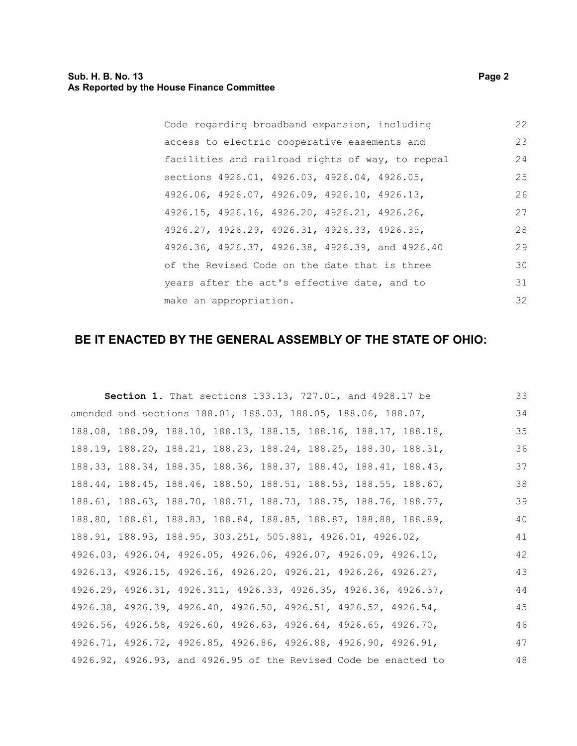| Code regarding broadband expansion, including    |  | 22 |
|--------------------------------------------------|--|----|
| access to electric cooperative easements and     |  | 23 |
| facilities and railroad rights of way, to repeal |  | 24 |
| sections 4926.01, 4926.03, 4926.04, 4926.05,     |  | 25 |
| 4926.06, 4926.07, 4926.09, 4926.10, 4926.13,     |  | 26 |
| 4926.15, 4926.16, 4926.20, 4926.21, 4926.26,     |  | 27 |
| 4926.27, 4926.29, 4926.31, 4926.33, 4926.35,     |  | 28 |
| 4926.36, 4926.37, 4926.38, 4926.39, and 4926.40  |  | 29 |
| of the Revised Code on the date that is three    |  | 30 |
| years after the act's effective date, and to     |  | 31 |
| make an appropriation.                           |  | 32 |

## **BE IT ENACTED BY THE GENERAL ASSEMBLY OF THE STATE OF OHIO:**

|                                                                 | <b>Section 1.</b> That sections 133.13, 727.01, and 4928.17 be |  | 33 |
|-----------------------------------------------------------------|----------------------------------------------------------------|--|----|
| amended and sections 188.01, 188.03, 188.05, 188.06, 188.07,    |                                                                |  | 34 |
| 188.08, 188.09, 188.10, 188.13, 188.15, 188.16, 188.17, 188.18, |                                                                |  | 35 |
| 188.19, 188.20, 188.21, 188.23, 188.24, 188.25, 188.30, 188.31, |                                                                |  | 36 |
| 188.33, 188.34, 188.35, 188.36, 188.37, 188.40, 188.41, 188.43, |                                                                |  | 37 |
| 188.44, 188.45, 188.46, 188.50, 188.51, 188.53, 188.55, 188.60, |                                                                |  | 38 |
| 188.61, 188.63, 188.70, 188.71, 188.73, 188.75, 188.76, 188.77, |                                                                |  | 39 |
| 188.80, 188.81, 188.83, 188.84, 188.85, 188.87, 188.88, 188.89, |                                                                |  | 40 |
| 188.91, 188.93, 188.95, 303.251, 505.881, 4926.01, 4926.02,     |                                                                |  | 41 |
| 4926.03, 4926.04, 4926.05, 4926.06, 4926.07, 4926.09, 4926.10,  |                                                                |  | 42 |
| 4926.13, 4926.15, 4926.16, 4926.20, 4926.21, 4926.26, 4926.27,  |                                                                |  | 43 |
| 4926.29, 4926.31, 4926.311, 4926.33, 4926.35, 4926.36, 4926.37, |                                                                |  | 44 |
| 4926.38, 4926.39, 4926.40, 4926.50, 4926.51, 4926.52, 4926.54,  |                                                                |  | 45 |
| 4926.56, 4926.58, 4926.60, 4926.63, 4926.64, 4926.65, 4926.70,  |                                                                |  | 46 |
| 4926.71, 4926.72, 4926.85, 4926.86, 4926.88, 4926.90, 4926.91,  |                                                                |  | 47 |
| 4926.92, 4926.93, and 4926.95 of the Revised Code be enacted to |                                                                |  | 48 |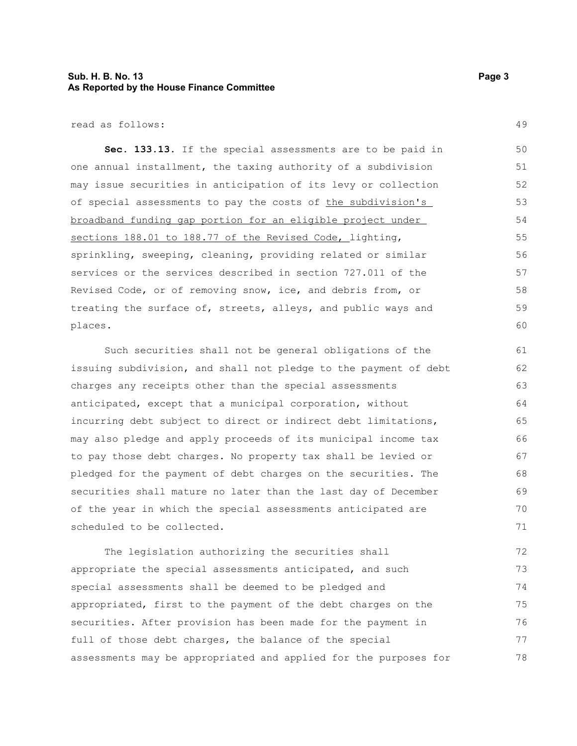#### **Sub. H. B. No. 13 Page 3 As Reported by the House Finance Committee**

read as follows:

**Sec. 133.13.** If the special assessments are to be paid in one annual installment, the taxing authority of a subdivision may issue securities in anticipation of its levy or collection of special assessments to pay the costs of the subdivision's broadband funding gap portion for an eligible project under sections 188.01 to 188.77 of the Revised Code, lighting, sprinkling, sweeping, cleaning, providing related or similar services or the services described in section 727.011 of the Revised Code, or of removing snow, ice, and debris from, or treating the surface of, streets, alleys, and public ways and places. 50 51 52 53 54 55 56 57 58 59 60

Such securities shall not be general obligations of the issuing subdivision, and shall not pledge to the payment of debt charges any receipts other than the special assessments anticipated, except that a municipal corporation, without incurring debt subject to direct or indirect debt limitations, may also pledge and apply proceeds of its municipal income tax to pay those debt charges. No property tax shall be levied or pledged for the payment of debt charges on the securities. The securities shall mature no later than the last day of December of the year in which the special assessments anticipated are scheduled to be collected. 61 62 63 64 65 66 67 68 69 70 71

The legislation authorizing the securities shall appropriate the special assessments anticipated, and such special assessments shall be deemed to be pledged and appropriated, first to the payment of the debt charges on the securities. After provision has been made for the payment in full of those debt charges, the balance of the special assessments may be appropriated and applied for the purposes for 72 73 74 75 76 77 78

49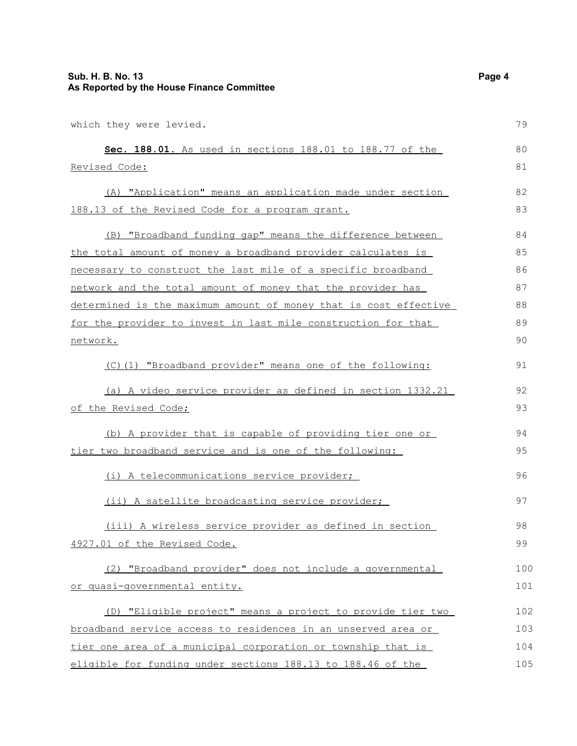| which they were levied.                                          | 79  |
|------------------------------------------------------------------|-----|
| Sec. 188.01. As used in sections 188.01 to 188.77 of the         | 80  |
| Revised Code:                                                    | 81  |
| (A) "Application" means an application made under section        | 82  |
| 188.13 of the Revised Code for a program grant.                  | 83  |
| (B) "Broadband funding gap" means the difference between         | 84  |
| the total amount of money a broadband provider calculates is     | 85  |
| necessary to construct the last mile of a specific broadband     | 86  |
| network and the total amount of money that the provider has      | 87  |
| determined is the maximum amount of money that is cost effective | 88  |
| for the provider to invest in last mile construction for that    | 89  |
| network.                                                         | 90  |
| (C)(1) "Broadband provider" means one of the following:          | 91  |
| (a) A video service provider as defined in section 1332.21       | 92  |
| of the Revised Code;                                             | 93  |
| (b) A provider that is capable of providing tier one or          | 94  |
| tier two broadband service and is one of the following:          | 95  |
| (i) A telecommunications service provider;                       | 96  |
| (ii) A satellite broadcasting service provider;                  | 97  |
| (iii) A wireless service provider as defined in section          | 98  |
| 4927.01 of the Revised Code.                                     | 99  |
| (2) "Broadband provider" does not include a governmental         | 100 |
| or quasi-governmental entity.                                    | 101 |
| (D) "Eligible project" means a project to provide tier two       | 102 |
| broadband service access to residences in an unserved area or    | 103 |
| tier one area of a municipal corporation or township that is     | 104 |
| eligible for funding under sections 188.13 to 188.46 of the      | 105 |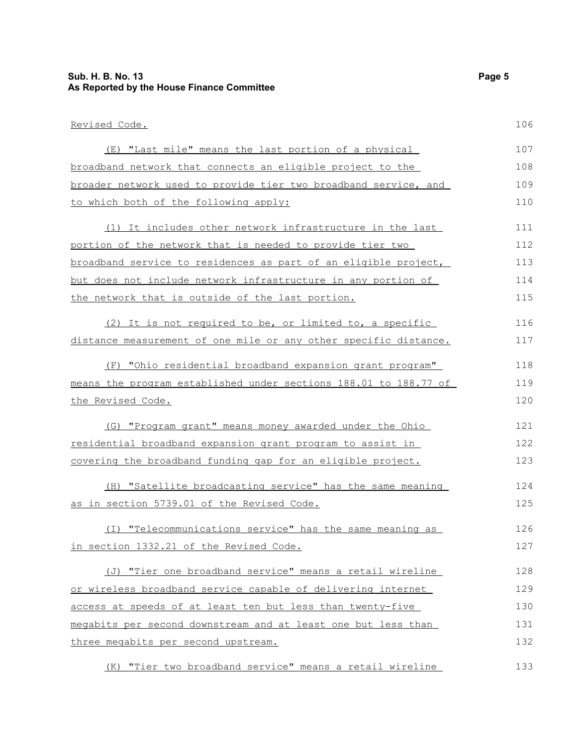#### **Sub. H. B. No. 13 Page 5 As Reported by the House Finance Committee**

#### Revised Code. (E) "Last mile" means the last portion of a physical broadband network that connects an eligible project to the broader network used to provide tier two broadband service, and to which both of the following apply: (1) It includes other network infrastructure in the last portion of the network that is needed to provide tier two broadband service to residences as part of an eligible project, but does not include network infrastructure in any portion of the network that is outside of the last portion. (2) It is not required to be, or limited to, a specific distance measurement of one mile or any other specific distance. (F) "Ohio residential broadband expansion grant program" means the program established under sections 188.01 to 188.77 of the Revised Code. (G) "Program grant" means money awarded under the Ohio residential broadband expansion grant program to assist in covering the broadband funding gap for an eligible project. (H) "Satellite broadcasting service" has the same meaning as in section 5739.01 of the Revised Code. (I) "Telecommunications service" has the same meaning as in section 1332.21 of the Revised Code. (J) "Tier one broadband service" means a retail wireline or wireless broadband service capable of delivering internet access at speeds of at least ten but less than twenty-five megabits per second downstream and at least one but less than three megabits per second upstream. (K) "Tier two broadband service" means a retail wireline 106 107 108 109 110 111 112 113 114 115 116 117 118 119 120 121 122 123 124 125 126 127 128 129 130 131 132 133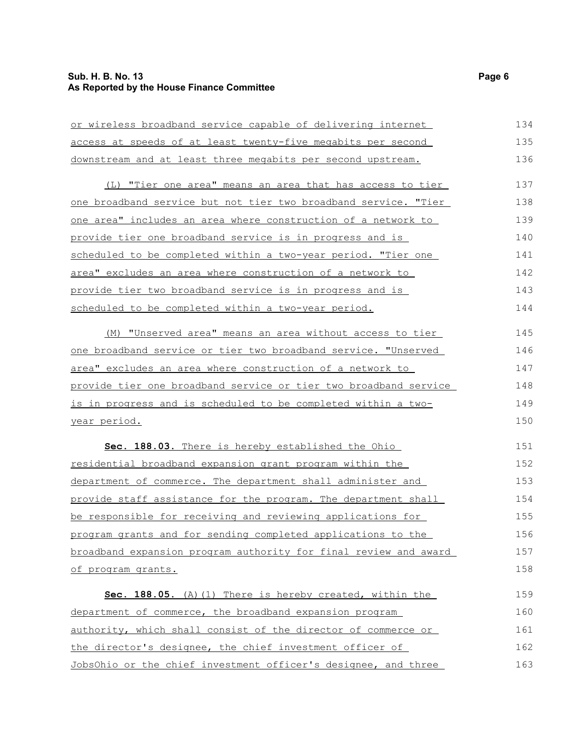### **Sub. H. B. No. 13 Page 6 As Reported by the House Finance Committee**

| or wireless broadband service capable of delivering internet         | 134 |
|----------------------------------------------------------------------|-----|
| access at speeds of at least twenty-five megabits per second         | 135 |
| downstream and at least three megabits per second upstream.          | 136 |
| (L) "Tier one area" means an area that has access to tier            | 137 |
| one broadband service but not tier two broadband service. "Tier      | 138 |
| one area" includes an area where construction of a network to        | 139 |
| provide tier one broadband service is in progress and is             | 140 |
| <u>scheduled to be completed within a two-year period. "Tier one</u> | 141 |
| area" excludes an area where construction of a network to            | 142 |
| provide tier two broadband service is in progress and is             | 143 |
| scheduled to be completed within a two-year period.                  | 144 |
| (M) "Unserved area" means an area without access to tier             | 145 |
| one broadband service or tier two broadband service. "Unserved       | 146 |
| area" excludes an area where construction of a network to            | 147 |
| provide tier one broadband service or tier two broadband service     | 148 |
| is in progress and is scheduled to be completed within a two-        | 149 |
| <u>year period.</u>                                                  | 150 |
| Sec. 188.03. There is hereby established the Ohio                    | 151 |
| <u>residential broadband expansion grant program within the</u>      | 152 |
| department of commerce. The department shall administer and          | 153 |
| provide staff assistance for the program. The department shall       | 154 |
| be responsible for receiving and reviewing applications for          | 155 |
| program grants and for sending completed applications to the         | 156 |
| broadband expansion program authority for final review and award     | 157 |
| of program grants.                                                   | 158 |
| Sec. 188.05. (A) (1) There is hereby created, within the             | 159 |
| department of commerce, the broadband expansion program              | 160 |
| authority, which shall consist of the director of commerce or        | 161 |
| the director's designee, the chief investment officer of             | 162 |
| JobsOhio or the chief investment officer's designee, and three       | 163 |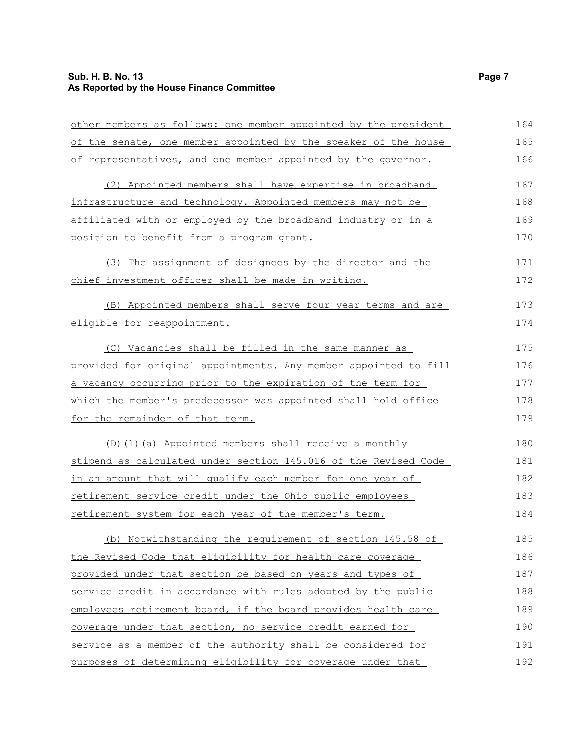### **Sub. H. B. No. 13 Page 7 As Reported by the House Finance Committee**

| other members as follows: one member appointed by the president  | 164 |
|------------------------------------------------------------------|-----|
| of the senate, one member appointed by the speaker of the house  | 165 |
| of representatives, and one member appointed by the governor.    | 166 |
| (2) Appointed members shall have expertise in broadband          | 167 |
| infrastructure and technology. Appointed members may not be      | 168 |
| affiliated with or employed by the broadband industry or in a    | 169 |
| position to benefit from a program grant.                        | 170 |
| (3) The assignment of designees by the director and the          | 171 |
| chief investment officer shall be made in writing.               | 172 |
| (B) Appointed members shall serve four year terms and are        | 173 |
| eligible for reappointment.                                      | 174 |
| (C) Vacancies shall be filled in the same manner as              | 175 |
| provided for original appointments. Any member appointed to fill | 176 |
| a vacancy occurring prior to the expiration of the term for      | 177 |
| which the member's predecessor was appointed shall hold office   | 178 |
| for the remainder of that term.                                  | 179 |
| (D)(1)(a) Appointed members shall receive a monthly              | 180 |
| stipend as calculated under section 145.016 of the Revised Code  | 181 |
| in an amount that will qualify each member for one year of       | 182 |
| retirement service credit under the Ohio public employees        | 183 |
| retirement system for each year of the member's term.            | 184 |
| (b) Notwithstanding the requirement of section 145.58 of         | 185 |
| the Revised Code that eligibility for health care coverage       | 186 |
| provided under that section be based on years and types of       | 187 |
| service credit in accordance with rules adopted by the public    | 188 |
| employees retirement board, if the board provides health care    | 189 |
| coverage under that section, no service credit earned for        | 190 |
| service as a member of the authority shall be considered for     | 191 |
| purposes of determining eligibility for coverage under that      | 192 |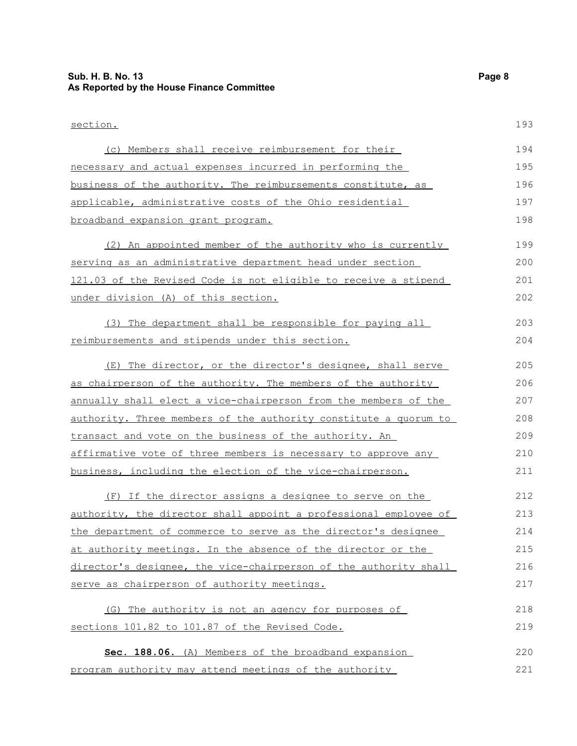### **Sub. H. B. No. 13 Page 8 As Reported by the House Finance Committee**

| section.                                                         | 193 |
|------------------------------------------------------------------|-----|
| (c) Members shall receive reimbursement for their                | 194 |
| necessary and actual expenses incurred in performing the         | 195 |
| business of the authority. The reimbursements constitute, as     | 196 |
| applicable, administrative costs of the Ohio residential         | 197 |
| broadband expansion grant program.                               | 198 |
| (2) An appointed member of the authority who is currently        | 199 |
| serving as an administrative department head under section       | 200 |
| 121.03 of the Revised Code is not eligible to receive a stipend  | 201 |
| under division (A) of this section.                              | 202 |
| (3) The department shall be responsible for paying all           | 203 |
| reimbursements and stipends under this section.                  | 204 |
| (E) The director, or the director's designee, shall serve        | 205 |
| as chairperson of the authority. The members of the authority    | 206 |
| annually shall elect a vice-chairperson from the members of the  | 207 |
| authority. Three members of the authority constitute a quorum to | 208 |
| transact and vote on the business of the authority. An           | 209 |
| affirmative vote of three members is necessary to approve any    | 210 |
| business, including the election of the vice-chairperson.        | 211 |
| (F) If the director assigns a designee to serve on the           | 212 |
| authority, the director shall appoint a professional employee of | 213 |
| the department of commerce to serve as the director's designee   | 214 |
| at authority meetings. In the absence of the director or the     | 215 |
| director's designee, the vice-chairperson of the authority shall | 216 |
| serve as chairperson of authority meetings.                      | 217 |
| (G) The authority is not an agency for purposes of               | 218 |
| sections 101.82 to 101.87 of the Revised Code.                   | 219 |
| Sec. 188.06. (A) Members of the broadband expansion              | 220 |
| program authority may attend meetings of the authority           | 221 |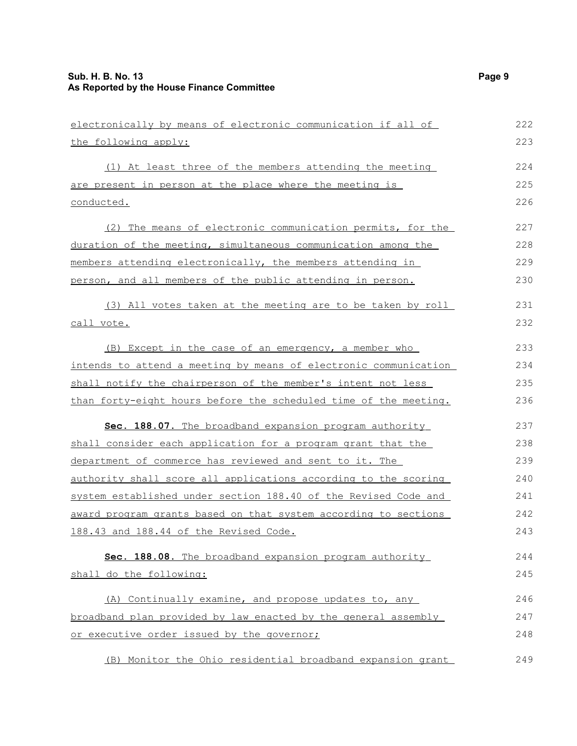| electronically by means of electronic communication if all of    | 222 |
|------------------------------------------------------------------|-----|
| the following apply:                                             | 223 |
| (1) At least three of the members attending the meeting          | 224 |
| are present in person at the place where the meeting is          | 225 |
| conducted.                                                       | 226 |
| (2) The means of electronic communication permits, for the       | 227 |
| duration of the meeting, simultaneous communication among the    | 228 |
| members attending electronically, the members attending in       | 229 |
| person, and all members of the public attending in person.       | 230 |
| (3) All votes taken at the meeting are to be taken by roll       | 231 |
| call vote.                                                       | 232 |
| (B) Except in the case of an emergency, a member who             | 233 |
| intends to attend a meeting by means of electronic communication | 234 |
| shall notify the chairperson of the member's intent not less     | 235 |
| than forty-eight hours before the scheduled time of the meeting. | 236 |
| Sec. 188.07. The broadband expansion program authority           | 237 |
| shall consider each application for a program grant that the     | 238 |
| department of commerce has reviewed and sent to it. The          | 239 |
| authority shall score all applications according to the scoring  | 240 |
| system established under section 188.40 of the Revised Code and  | 241 |
| award program grants based on that system according to sections  | 242 |
| 188.43 and 188.44 of the Revised Code.                           | 243 |
| Sec. 188.08. The broadband expansion program authority           | 244 |
| shall do the following:                                          | 245 |
| Continually examine, and propose updates to, any<br>(A)          | 246 |
| broadband plan provided by law enacted by the general assembly   | 247 |
| or executive order issued by the governor;                       | 248 |
| (B) Monitor the Ohio residential broadband expansion grant       | 249 |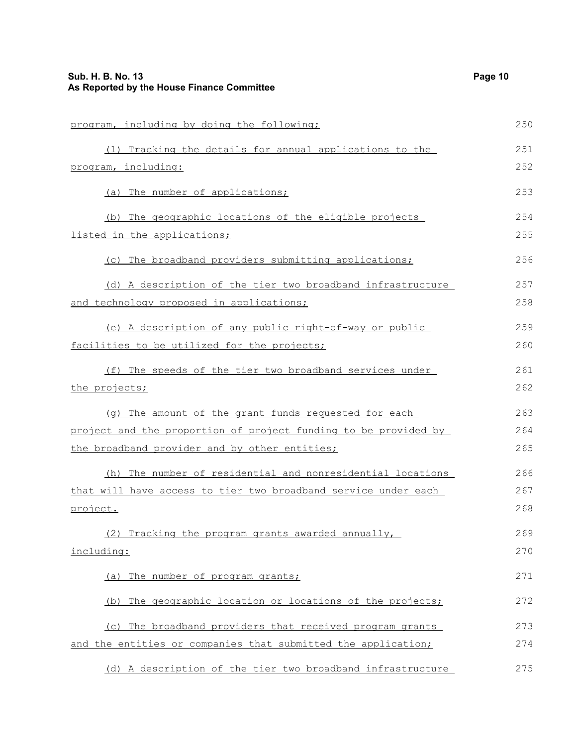| program, including by doing the following;                      | 250 |
|-----------------------------------------------------------------|-----|
| (1) Tracking the details for annual applications to the         | 251 |
| program, including:                                             | 252 |
| (a) The number of applications;                                 | 253 |
| (b) The geographic locations of the eligible projects           | 254 |
| listed in the applications;                                     | 255 |
| (c) The broadband providers submitting applications;            | 256 |
| (d) A description of the tier two broadband infrastructure      | 257 |
| <u>and technology proposed in applications;</u>                 | 258 |
| (e) A description of any public right-of-way or public          | 259 |
| facilities to be utilized for the projects;                     | 260 |
| (f) The speeds of the tier two broadband services under         | 261 |
| the projects;                                                   | 262 |
| (g) The amount of the grant funds requested for each            | 263 |
| project and the proportion of project funding to be provided by | 264 |
| the broadband provider and by other entities;                   | 265 |
| (h) The number of residential and nonresidential locations      | 266 |
| that will have access to tier two broadband service under each  | 267 |
| project.                                                        | 268 |
| (2) Tracking the program grants awarded annually,               | 269 |
| including:                                                      | 270 |
| (a) The number of program grants;                               | 271 |
| The geographic location or locations of the projects;<br>(b)    | 272 |
| (c) The broadband providers that received program grants        | 273 |
| and the entities or companies that submitted the application;   | 274 |
| (d) A description of the tier two broadband infrastructure      | 275 |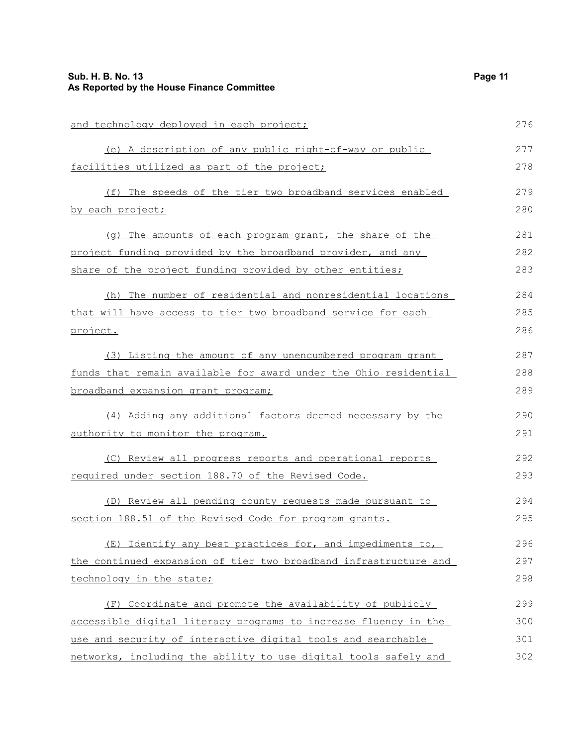### **Sub. H. B. No. 13 Page 11 As Reported by the House Finance Committee**

| and technology deployed in each project;                         | 276 |
|------------------------------------------------------------------|-----|
| (e) A description of any public right-of-way or public           | 277 |
| facilities utilized as part of the project;                      | 278 |
| (f) The speeds of the tier two broadband services enabled        | 279 |
| by each project;                                                 | 280 |
| (q) The amounts of each program grant, the share of the          | 281 |
| project funding provided by the broadband provider, and any      | 282 |
| share of the project funding provided by other entities;         | 283 |
| (h) The number of residential and nonresidential locations       | 284 |
| that will have access to tier two broadband service for each     | 285 |
| project.                                                         | 286 |
| (3) Listing the amount of any unencumbered program grant         | 287 |
| funds that remain available for award under the Ohio residential | 288 |
| broadband expansion grant program;                               | 289 |
| (4) Adding any additional factors deemed necessary by the        | 290 |
| authority to monitor the program.                                | 291 |
| (C) Review all progress reports and operational reports          | 292 |
| required under section 188.70 of the Revised Code.               | 293 |
| (D) Review all pending county requests made pursuant to          | 294 |
| section 188.51 of the Revised Code for program grants.           | 295 |
| (E) Identify any best practices for, and impediments to,         | 296 |
| the continued expansion of tier two broadband infrastructure and | 297 |
| technology in the state;                                         | 298 |
| (F) Coordinate and promote the availability of publicly          | 299 |
| accessible digital literacy programs to increase fluency in the  | 300 |
| use and security of interactive digital tools and searchable     | 301 |
| networks, including the ability to use digital tools safely and  | 302 |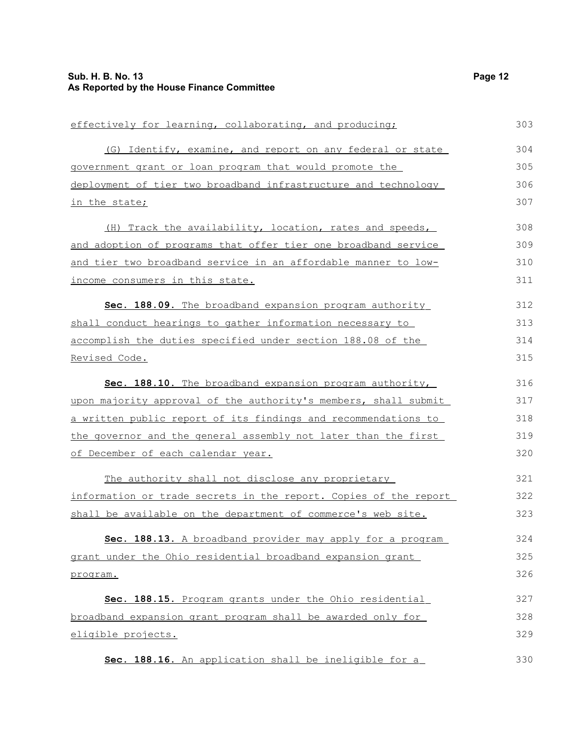| effectively for learning, collaborating, and producing;          | 303 |
|------------------------------------------------------------------|-----|
| (G) Identify, examine, and report on any federal or state        | 304 |
| government grant or loan program that would promote the          | 305 |
| deployment of tier two broadband infrastructure and technology   | 306 |
| in the state;                                                    | 307 |
| (H) Track the availability, location, rates and speeds,          | 308 |
| and adoption of programs that offer tier one broadband service   | 309 |
| and tier two broadband service in an affordable manner to low-   | 310 |
| income consumers in this state.                                  | 311 |
| Sec. 188.09. The broadband expansion program authority           | 312 |
| shall conduct hearings to gather information necessary to        | 313 |
| accomplish the duties specified under section 188.08 of the      | 314 |
| Revised Code.                                                    | 315 |
| Sec. 188.10. The broadband expansion program authority,          | 316 |
| upon majority approval of the authority's members, shall submit  | 317 |
| a written public report of its findings and recommendations to   | 318 |
| the governor and the general assembly not later than the first   | 319 |
| of December of each calendar year.                               | 320 |
| The authority shall not disclose any proprietary                 | 321 |
| information or trade secrets in the report. Copies of the report | 322 |
| shall be available on the department of commerce's web site.     | 323 |
| 188.13. A broadband provider may apply for a program<br>Sec.     | 324 |
| grant under the Ohio residential broadband expansion grant       | 325 |
| program.                                                         | 326 |
| Sec. 188.15. Program grants under the Ohio residential           | 327 |
| broadband expansion grant program shall be awarded only for      | 328 |
| eligible projects.                                               | 329 |
| Sec. 188.16. An application shall be ineligible for a            | 330 |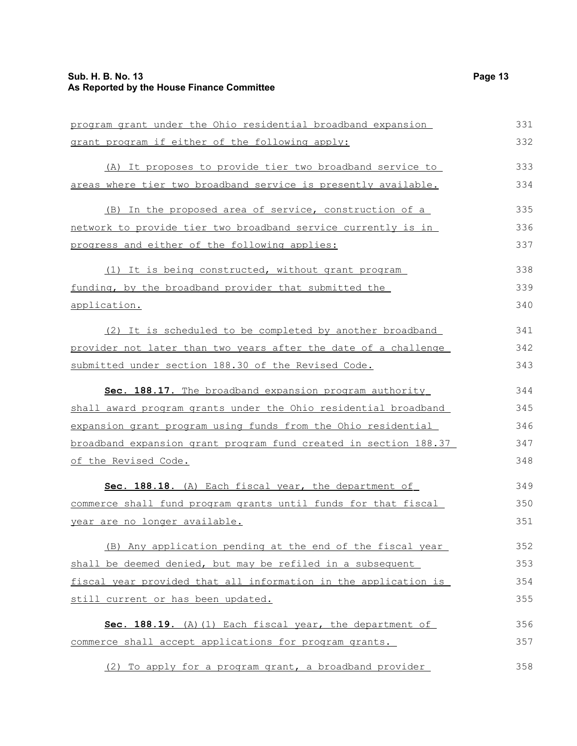| program grant under the Ohio residential broadband expansion     | 331 |
|------------------------------------------------------------------|-----|
| grant program if either of the following apply:                  | 332 |
| (A) It proposes to provide tier two broadband service to         | 333 |
| areas where tier two broadband service is presently available.   | 334 |
| (B) In the proposed area of service, construction of a           | 335 |
| network to provide tier two broadband service currently is in    | 336 |
| progress and either of the following applies:                    | 337 |
| (1) It is being constructed, without grant program               | 338 |
| funding, by the broadband provider that submitted the            | 339 |
| application.                                                     | 340 |
| (2) It is scheduled to be completed by another broadband         | 341 |
| provider not later than two years after the date of a challenge  | 342 |
| submitted under section 188.30 of the Revised Code.              | 343 |
| Sec. 188.17. The broadband expansion program authority           | 344 |
| shall award program grants under the Ohio residential broadband  | 345 |
| expansion grant program using funds from the Ohio residential    | 346 |
| broadband expansion grant program fund created in section 188.37 | 347 |
| of the Revised Code.                                             | 348 |
| Sec. 188.18. (A) Each fiscal year, the department of             | 349 |
| commerce shall fund program grants until funds for that fiscal   | 350 |
| year are no longer available.                                    | 351 |
| (B) Any application pending at the end of the fiscal year        | 352 |
| shall be deemed denied, but may be refiled in a subsequent       | 353 |
| fiscal year provided that all information in the application is  | 354 |
| still current or has been updated.                               | 355 |
| Sec. 188.19. (A) (1) Each fiscal year, the department of         | 356 |
| commerce shall accept applications for program grants.           | 357 |
| (2) To apply for a program grant, a broadband provider           | 358 |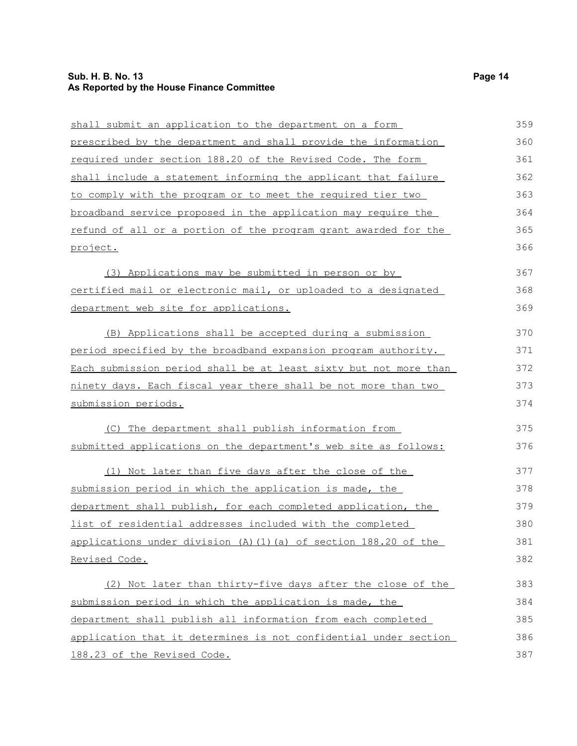### **Sub. H. B. No. 13 Page 14 As Reported by the House Finance Committee**

| shall submit an application to the department on a form          | 359 |
|------------------------------------------------------------------|-----|
| prescribed by the department and shall provide the information   | 360 |
| required under section 188.20 of the Revised Code. The form      | 361 |
| shall include a statement informing the applicant that failure   | 362 |
| to comply with the program or to meet the required tier two      | 363 |
| broadband service proposed in the application may require the    | 364 |
| refund of all or a portion of the program grant awarded for the  | 365 |
| project.                                                         | 366 |
| (3) Applications may be submitted in person or by                | 367 |
| certified mail or electronic mail, or uploaded to a designated   | 368 |
| department web site for applications.                            | 369 |
| (B) Applications shall be accepted during a submission           | 370 |
| period specified by the broadband expansion program authority.   | 371 |
| Each submission period shall be at least sixty but not more than | 372 |
| ninety days. Each fiscal year there shall be not more than two   | 373 |
| submission periods.                                              | 374 |
| (C) The department shall publish information from                | 375 |
| submitted applications on the department's web site as follows:  | 376 |
| (1) Not later than five days after the close of the              | 377 |
| submission period in which the application is made, the          | 378 |
| department shall publish, for each completed application, the    | 379 |
| list of residential addresses included with the completed        | 380 |
| applications under division (A)(1)(a) of section 188.20 of the   | 381 |
| Revised Code.                                                    | 382 |
| (2) Not later than thirty-five days after the close of the       | 383 |
| submission period in which the application is made, the          | 384 |
| department shall publish all information from each completed     | 385 |
| application that it determines is not confidential under section | 386 |
| 188.23 of the Revised Code.                                      | 387 |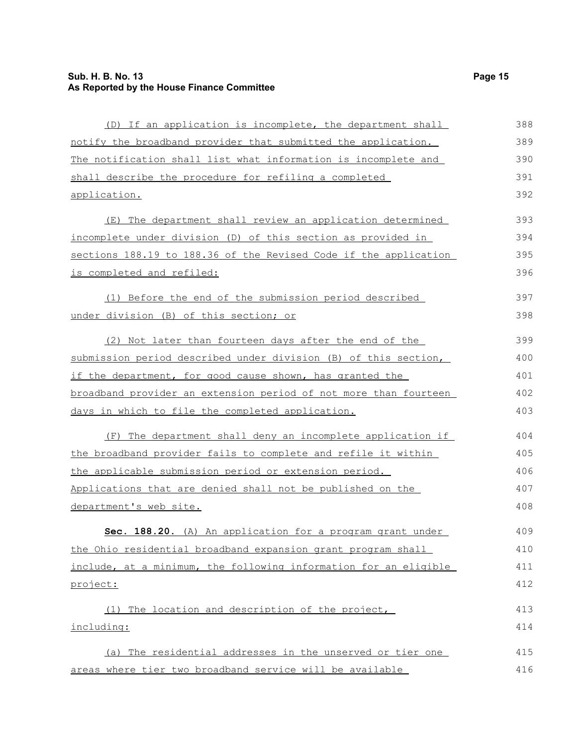### **Sub. H. B. No. 13 Page 15 As Reported by the House Finance Committee**

| (D) If an application is incomplete, the department shall        | 388 |
|------------------------------------------------------------------|-----|
| notify the broadband provider that submitted the application.    | 389 |
| The notification shall list what information is incomplete and   | 390 |
| shall describe the procedure for refiling a completed            | 391 |
| application.                                                     | 392 |
| The department shall review an application determined<br>(E)     | 393 |
| incomplete under division (D) of this section as provided in     | 394 |
| sections 188.19 to 188.36 of the Revised Code if the application | 395 |
| is completed and refiled:                                        | 396 |
| (1) Before the end of the submission period described            | 397 |
| under division (B) of this section; or                           | 398 |
| (2) Not later than fourteen days after the end of the            | 399 |
| submission period described under division (B) of this section,  | 400 |
| if the department, for good cause shown, has granted the         | 401 |
| broadband provider an extension period of not more than fourteen | 402 |
| days in which to file the completed application.                 | 403 |
| The department shall deny an incomplete application if<br>(F)    | 404 |
| the broadband provider fails to complete and refile it within    | 405 |
| the applicable submission period or extension period.            | 406 |
| Applications that are denied shall not be published on the       | 407 |
| department's web site.                                           | 408 |
| Sec. 188.20. (A) An application for a program grant under        | 409 |
| the Ohio residential broadband expansion grant program shall     | 410 |
| include, at a minimum, the following information for an eligible | 411 |
| project:                                                         | 412 |
| (1) The location and description of the project,                 | 413 |
| including:                                                       | 414 |
| (a) The residential addresses in the unserved or tier one        | 415 |
| areas where tier two broadband service will be available         | 416 |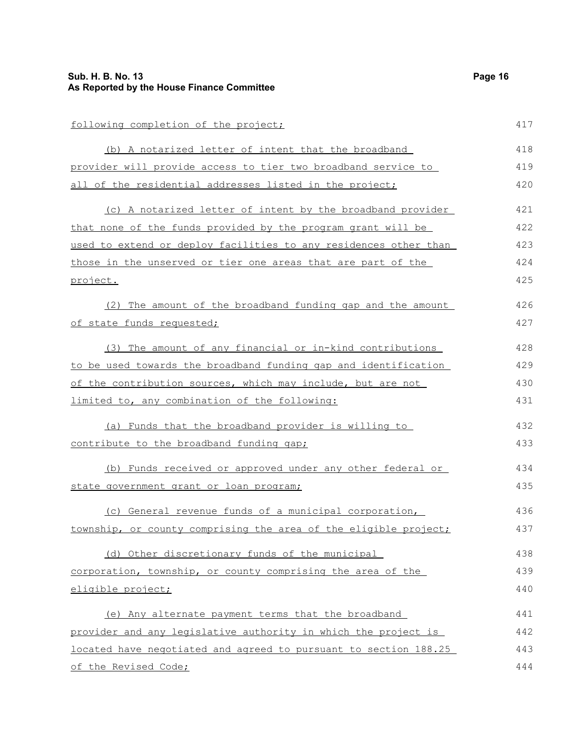| following completion of the project;                             | 417 |
|------------------------------------------------------------------|-----|
| (b) A notarized letter of intent that the broadband              | 418 |
| provider will provide access to tier two broadband service to    | 419 |
| all of the residential addresses listed in the project;          | 420 |
| (c) A notarized letter of intent by the broadband provider       | 421 |
| that none of the funds provided by the program grant will be     | 422 |
| used to extend or deploy facilities to any residences other than | 423 |
| those in the unserved or tier one areas that are part of the     | 424 |
| project.                                                         | 425 |
| (2) The amount of the broadband funding gap and the amount       | 426 |
| of state funds requested;                                        | 427 |
| (3) The amount of any financial or in-kind contributions         | 428 |
| to be used towards the broadband funding gap and identification  | 429 |
| of the contribution sources, which may include, but are not      | 430 |
| limited to, any combination of the following:                    | 431 |
| (a) Funds that the broadband provider is willing to              | 432 |
| contribute to the broadband funding gap;                         | 433 |
| (b) Funds received or approved under any other federal or        | 434 |
| state government grant or loan program;                          | 435 |
| (c) General revenue funds of a municipal corporation,            | 436 |
| township, or county comprising the area of the eligible project; | 437 |
| (d) Other discretionary funds of the municipal                   | 438 |
| corporation, township, or county comprising the area of the      | 439 |
| eligible project;                                                | 440 |
| (e) Any alternate payment terms that the broadband               | 441 |
| provider and any legislative authority in which the project is   | 442 |
| located have negotiated and agreed to pursuant to section 188.25 | 443 |
| of the Revised Code;                                             | 444 |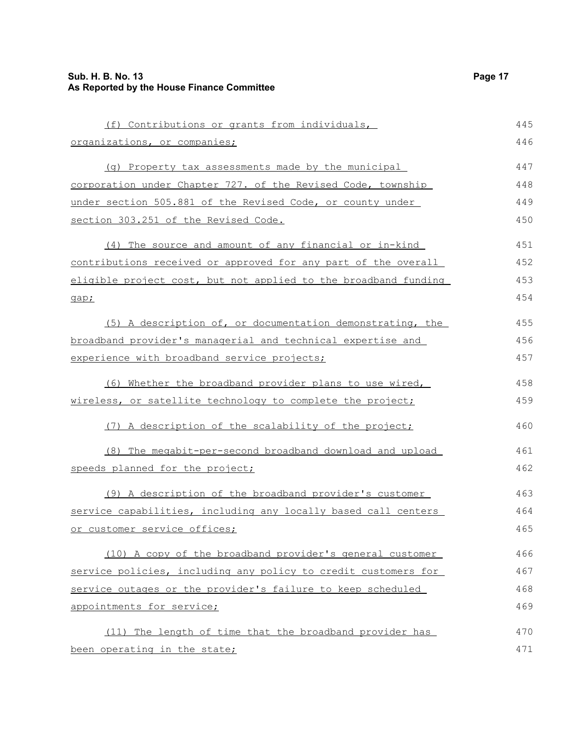| (f) Contributions or grants from individuals,                   | 445 |
|-----------------------------------------------------------------|-----|
| organizations, or companies;                                    | 446 |
| (q) Property tax assessments made by the municipal              | 447 |
| corporation under Chapter 727. of the Revised Code, township    | 448 |
| under section 505.881 of the Revised Code, or county under      | 449 |
| section 303.251 of the Revised Code.                            | 450 |
| (4) The source and amount of any financial or in-kind           | 451 |
| contributions received or approved for any part of the overall  | 452 |
| eligible project cost, but not applied to the broadband funding | 453 |
| gap;                                                            | 454 |
| (5) A description of, or documentation demonstrating, the       | 455 |
| broadband provider's managerial and technical expertise and     | 456 |
| experience with broadband service projects;                     | 457 |
| (6) Whether the broadband provider plans to use wired,          | 458 |
| wireless, or satellite technology to complete the project;      | 459 |
| (7) A description of the scalability of the project;            | 460 |
| (8) The megabit-per-second broadband download and upload        | 461 |
| speeds planned for the project;                                 | 462 |
| (9) A description of the broadband provider's customer          | 463 |
| service capabilities, including any locally based call centers  | 464 |
| or customer service offices;                                    | 465 |
| (10) A copy of the broadband provider's general customer        | 466 |
| service policies, including any policy to credit customers for  | 467 |
| service outages or the provider's failure to keep scheduled     | 468 |
| appointments for service;                                       | 469 |
| (11) The length of time that the broadband provider has         | 470 |
| been operating in the state;                                    | 471 |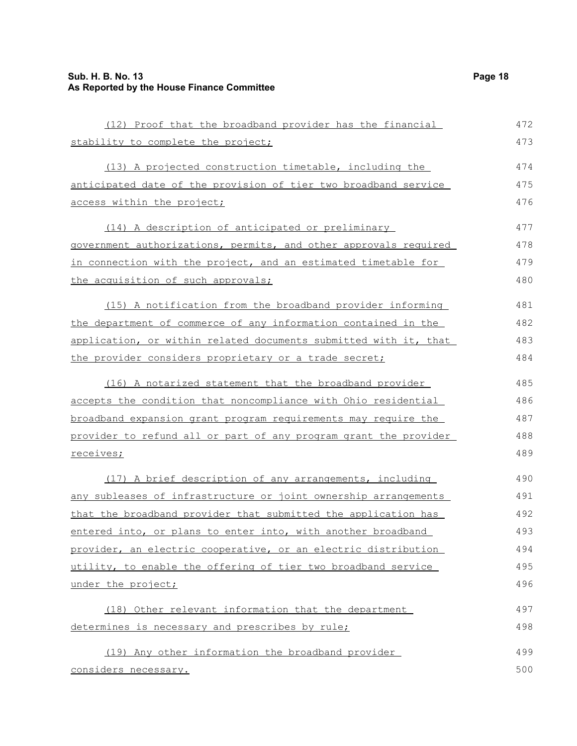| (12) Proof that the broadband provider has the financial         | 472 |
|------------------------------------------------------------------|-----|
| stability to complete the project;                               | 473 |
| (13) A projected construction timetable, including the           | 474 |
| anticipated date of the provision of tier two broadband service  | 475 |
| access within the project;                                       | 476 |
| (14) A description of anticipated or preliminary                 | 477 |
| government authorizations, permits, and other approvals required | 478 |
| in connection with the project, and an estimated timetable for   | 479 |
| the acquisition of such approvals;                               | 480 |
| (15) A notification from the broadband provider informing        | 481 |
| the department of commerce of any information contained in the   | 482 |
| application, or within related documents submitted with it, that | 483 |
| the provider considers proprietary or a trade secret;            | 484 |
| (16) A notarized statement that the broadband provider           | 485 |
| accepts the condition that noncompliance with Ohio residential   | 486 |
| broadband expansion grant program requirements may require the   | 487 |
| provider to refund all or part of any program grant the provider | 488 |
| receives;                                                        | 489 |
| (17) A brief description of any arrangements, including          | 490 |
| any subleases of infrastructure or joint ownership arrangements  | 491 |
| that the broadband provider that submitted the application has   | 492 |
| entered into, or plans to enter into, with another broadband     | 493 |
| provider, an electric cooperative, or an electric distribution   | 494 |
| utility, to enable the offering of tier two broadband service    | 495 |
| under the project;                                               | 496 |
| (18) Other relevant information that the department              | 497 |
| determines is necessary and prescribes by rule;                  | 498 |
| (19) Any other information the broadband provider                | 499 |
| considers necessary.                                             | 500 |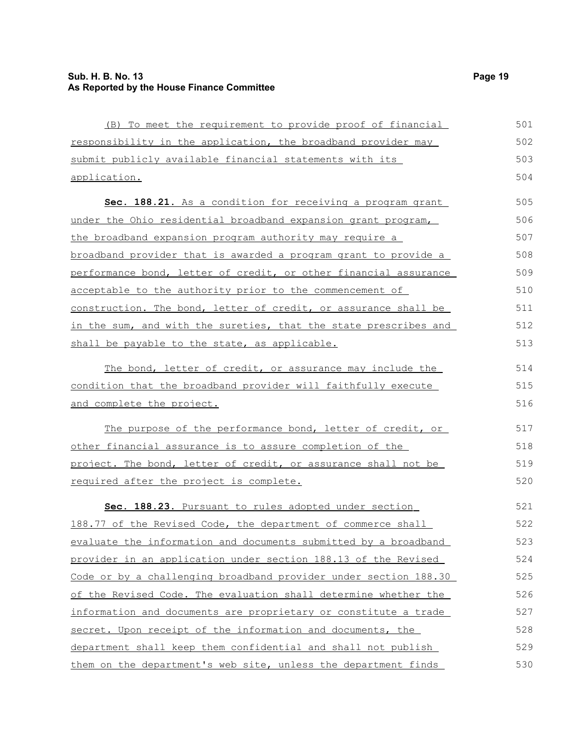### **Sub. H. B. No. 13 Page 19 As Reported by the House Finance Committee**

| (B) To meet the requirement to provide proof of financial              | 501 |
|------------------------------------------------------------------------|-----|
| responsibility in the application, the broadband provider may          | 502 |
| submit publicly available financial statements with its                | 503 |
| application.                                                           | 504 |
| Sec. 188.21. As a condition for receiving a program grant              | 505 |
| under the Ohio residential broadband expansion grant program,          | 506 |
| the broadband expansion program authority may require a                | 507 |
| <u>broadband provider that is awarded a program grant to provide a</u> | 508 |
| performance bond, letter of credit, or other financial assurance       | 509 |
| acceptable to the authority prior to the commencement of               | 510 |
| construction. The bond, letter of credit, or assurance shall be        | 511 |
| in the sum, and with the sureties, that the state prescribes and       | 512 |
| shall be payable to the state, as applicable.                          | 513 |
| The bond, letter of credit, or assurance may include the               | 514 |
| condition that the broadband provider will faithfully execute          | 515 |
| and complete the project.                                              | 516 |
| The purpose of the performance bond, letter of credit, or              | 517 |
| other financial assurance is to assure completion of the               | 518 |
| project. The bond, letter of credit, or assurance shall not be         | 519 |
| required after the project is complete.                                | 520 |
| Sec. 188.23. Pursuant to rules adopted under section                   | 521 |
| 188.77 of the Revised Code, the department of commerce shall           | 522 |
| evaluate the information and documents submitted by a broadband        | 523 |
| provider in an application under section 188.13 of the Revised         | 524 |
| Code or by a challenging broadband provider under section 188.30       | 525 |
| of the Revised Code. The evaluation shall determine whether the        | 526 |
| information and documents are proprietary or constitute a trade        | 527 |
| secret. Upon receipt of the information and documents, the             | 528 |
| department shall keep them confidential and shall not publish          | 529 |
| them on the department's web site, unless the department finds         | 530 |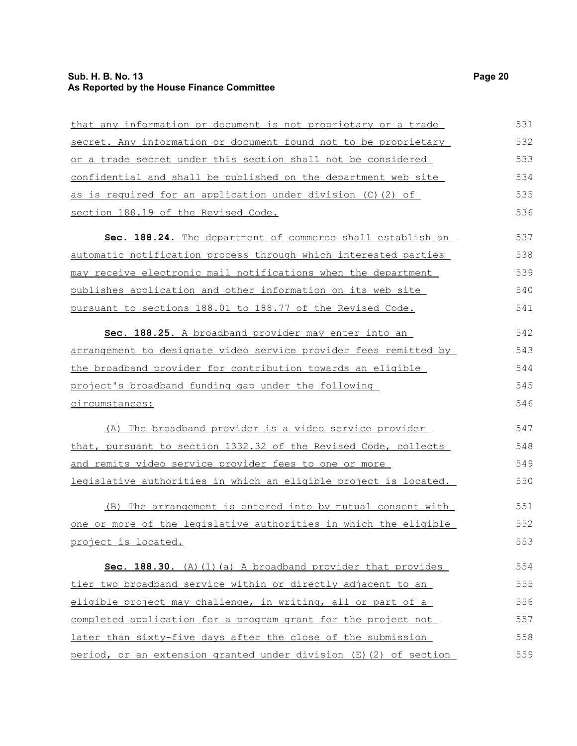### **Sub. H. B. No. 13 Page 20 As Reported by the House Finance Committee**

| that any information or document is not proprietary or a trade    | 531 |
|-------------------------------------------------------------------|-----|
| secret. Any information or document found not to be proprietary   | 532 |
| or a trade secret under this section shall not be considered      | 533 |
| confidential and shall be published on the department web site    | 534 |
| as is required for an application under division (C) (2) of       | 535 |
| section 188.19 of the Revised Code.                               | 536 |
| Sec. 188.24. The department of commerce shall establish an        | 537 |
| automatic notification process through which interested parties   | 538 |
| may receive electronic mail notifications when the department     | 539 |
| publishes application and other information on its web site       | 540 |
| pursuant to sections 188.01 to 188.77 of the Revised Code.        | 541 |
| Sec. 188.25. A broadband provider may enter into an               | 542 |
| arrangement to designate video service provider fees remitted by  | 543 |
| the broadband provider for contribution towards an eligible       | 544 |
| project's broadband funding gap under the following               | 545 |
| circumstances:                                                    | 546 |
| (A) The broadband provider is a video service provider            | 547 |
| that, pursuant to section 1332.32 of the Revised Code, collects   | 548 |
| and remits video service provider fees to one or more             | 549 |
| legislative authorities in which an eligible project is located.  | 550 |
| (B) The arrangement is entered into by mutual consent with        | 551 |
| one or more of the legislative authorities in which the eligible  | 552 |
| <u>project is located.</u>                                        | 553 |
| Sec. 188.30. (A) (1) (a) A broadband provider that provides       | 554 |
| tier two broadband service within or directly adjacent to an      | 555 |
| eligible project may challenge, in writing, all or part of a      | 556 |
| completed application for a program grant for the project not     | 557 |
| later than sixty-five days after the close of the submission      | 558 |
| period, or an extension granted under division (E) (2) of section | 559 |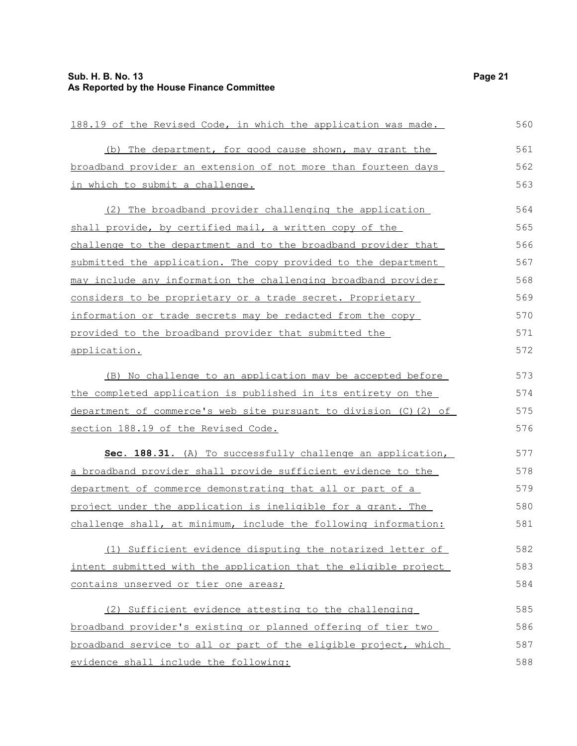| 188.19 of the Revised Code, in which the application was made.   | 560 |
|------------------------------------------------------------------|-----|
| (b) The department, for good cause shown, may grant the          | 561 |
| broadband provider an extension of not more than fourteen days   | 562 |
| in which to submit a challenge.                                  | 563 |
| (2) The broadband provider challenging the application           | 564 |
| shall provide, by certified mail, a written copy of the          | 565 |
| challenge to the department and to the broadband provider that   | 566 |
| submitted the application. The copy provided to the department   | 567 |
| may include any information the challenging broadband provider   | 568 |
| considers to be proprietary or a trade secret. Proprietary       | 569 |
| information or trade secrets may be redacted from the copy       | 570 |
| provided to the broadband provider that submitted the            | 571 |
| application.                                                     | 572 |
| (B) No challenge to an application may be accepted before        | 573 |
| the completed application is published in its entirety on the    | 574 |
| department of commerce's web site pursuant to division (C)(2) of | 575 |
| section 188.19 of the Revised Code.                              | 576 |
| Sec. 188.31. (A) To successfully challenge an application,       | 577 |
| a broadband provider shall provide sufficient evidence to the    | 578 |
| department of commerce demonstrating that all or part of a       | 579 |
| project under the application is ineligible for a grant. The     | 580 |
| challenge shall, at minimum, include the following information:  | 581 |
| (1) Sufficient evidence disputing the notarized letter of        | 582 |
| intent submitted with the application that the eligible project  | 583 |
| contains unserved or tier one areas;                             | 584 |
| (2) Sufficient evidence attesting to the challenging             | 585 |
| broadband provider's existing or planned offering of tier two    | 586 |
| broadband service to all or part of the eligible project, which  | 587 |
| evidence shall include the following:                            | 588 |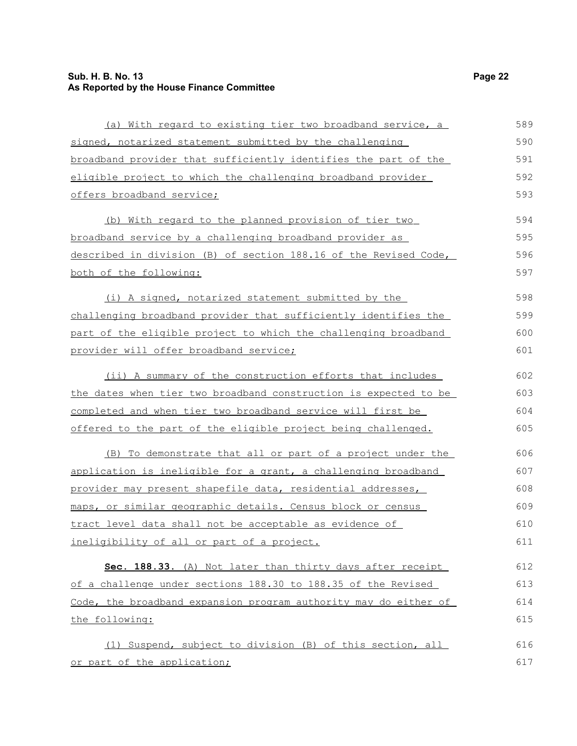### **Sub. H. B. No. 13 Page 22 As Reported by the House Finance Committee**

| (a) With regard to existing tier two broadband service, a        | 589 |
|------------------------------------------------------------------|-----|
| signed, notarized statement submitted by the challenging         | 590 |
| broadband provider that sufficiently identifies the part of the  | 591 |
| eligible project to which the challenging broadband provider     | 592 |
| offers broadband service;                                        | 593 |
| (b) With regard to the planned provision of tier two             | 594 |
| broadband service by a challenging broadband provider as         | 595 |
| described in division (B) of section 188.16 of the Revised Code, | 596 |
| both of the following:                                           | 597 |
| (i) A signed, notarized statement submitted by the               | 598 |
| challenging broadband provider that sufficiently identifies the  | 599 |
| part of the eligible project to which the challenging broadband  | 600 |
| provider will offer broadband service;                           | 601 |
| (ii) A summary of the construction efforts that includes         | 602 |
| the dates when tier two broadband construction is expected to be | 603 |
| completed and when tier two broadband service will first be      | 604 |
| offered to the part of the eligible project being challenged.    | 605 |
| (B) To demonstrate that all or part of a project under the       | 606 |
| application is ineligible for a grant, a challenging broadband   | 607 |
| provider may present shapefile data, residential addresses,      | 608 |
| maps, or similar geographic details. Census block or census      | 609 |
| tract level data shall not be acceptable as evidence of          | 610 |
| ineligibility of all or part of a project.                       | 611 |
| Sec. 188.33. (A) Not later than thirty days after receipt        | 612 |
| of a challenge under sections 188.30 to 188.35 of the Revised    | 613 |
| Code, the broadband expansion program authority may do either of | 614 |
| the following:                                                   | 615 |
| (1) Suspend, subject to division (B) of this section, all        | 616 |
| or part of the application;                                      | 617 |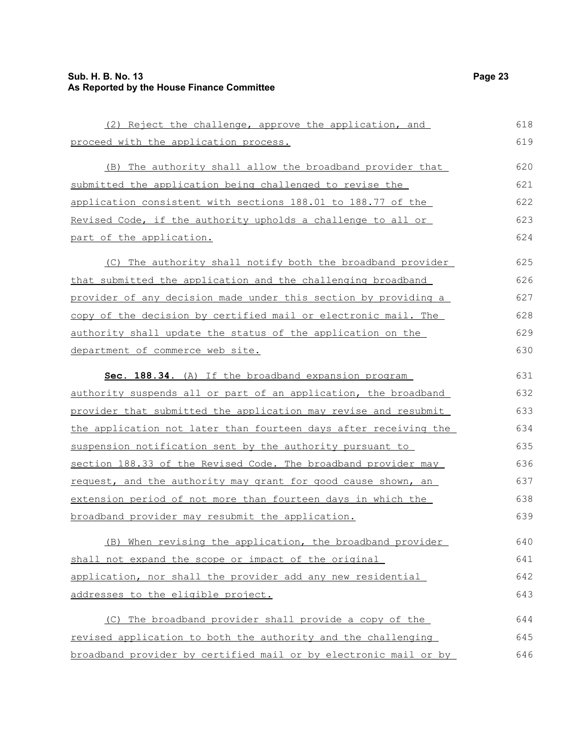| (2) Reject the challenge, approve the application, and           | 618 |
|------------------------------------------------------------------|-----|
| proceed with the application process.                            | 619 |
| (B) The authority shall allow the broadband provider that        | 620 |
| submitted the application being challenged to revise the         | 621 |
| application consistent with sections 188.01 to 188.77 of the     | 622 |
| Revised Code, if the authority upholds a challenge to all or     | 623 |
| part of the application.                                         | 624 |
| (C) The authority shall notify both the broadband provider       | 625 |
| that submitted the application and the challenging broadband     | 626 |
| provider of any decision made under this section by providing a  | 627 |
| copy of the decision by certified mail or electronic mail. The   | 628 |
| authority shall update the status of the application on the      | 629 |
| department of commerce web site.                                 | 630 |
| Sec. 188.34. (A) If the broadband expansion program              | 631 |
| authority suspends all or part of an application, the broadband  | 632 |
| provider that submitted the application may revise and resubmit  | 633 |
| the application not later than fourteen days after receiving the | 634 |
| suspension notification sent by the authority pursuant to        | 635 |
| section 188.33 of the Revised Code. The broadband provider may   | 636 |
| request, and the authority may grant for good cause shown, an    | 637 |
| extension period of not more than fourteen days in which the     | 638 |
| broadband provider may resubmit the application.                 | 639 |
| (B) When revising the application, the broadband provider        | 640 |
| shall not expand the scope or impact of the original             | 641 |
| application, nor shall the provider add any new residential      | 642 |
| addresses to the eligible project.                               | 643 |
| (C) The broadband provider shall provide a copy of the           | 644 |
| revised application to both the authority and the challenging    | 645 |
| broadband provider by certified mail or by electronic mail or by | 646 |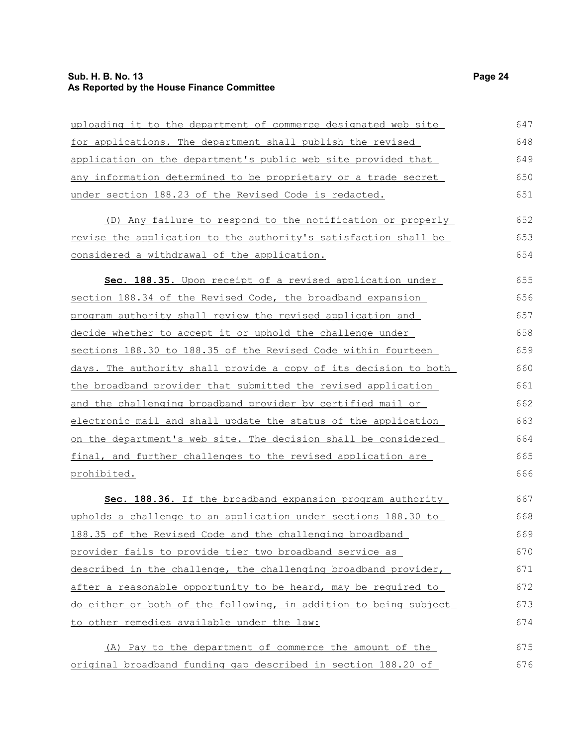### **Sub. H. B. No. 13 Page 24 As Reported by the House Finance Committee**

| uploading it to the department of commerce designated web site   | 647 |
|------------------------------------------------------------------|-----|
| for applications. The department shall publish the revised       | 648 |
| application on the department's public web site provided that    | 649 |
| any information determined to be proprietary or a trade secret   | 650 |
| under section 188.23 of the Revised Code is redacted.            | 651 |
| (D) Any failure to respond to the notification or properly       | 652 |
| revise the application to the authority's satisfaction shall be  | 653 |
| considered a withdrawal of the application.                      | 654 |
| Sec. 188.35. Upon receipt of a revised application under         | 655 |
| section 188.34 of the Revised Code, the broadband expansion      | 656 |
| program authority shall review the revised application and       | 657 |
| decide whether to accept it or uphold the challenge under        | 658 |
| sections 188.30 to 188.35 of the Revised Code within fourteen    | 659 |
| days. The authority shall provide a copy of its decision to both | 660 |
| the broadband provider that submitted the revised application    | 661 |
| and the challenging broadband provider by certified mail or      | 662 |
| electronic mail and shall update the status of the application   | 663 |
| on the department's web site. The decision shall be considered   | 664 |
| final, and further challenges to the revised application are     | 665 |
| prohibited.                                                      | 666 |
| Sec. 188.36. If the broadband expansion program authority        | 667 |
| upholds a challenge to an application under sections 188.30 to   | 668 |
| 188.35 of the Revised Code and the challenging broadband         | 669 |
| provider fails to provide tier two broadband service as          | 670 |
| described in the challenge, the challenging broadband provider,  | 671 |
| after a reasonable opportunity to be heard, may be required to   | 672 |
| do either or both of the following, in addition to being subject | 673 |
| to other remedies available under the law:                       | 674 |
| (A) Pay to the department of commerce the amount of the          | 675 |
| original broadband funding gap described in section 188.20 of    | 676 |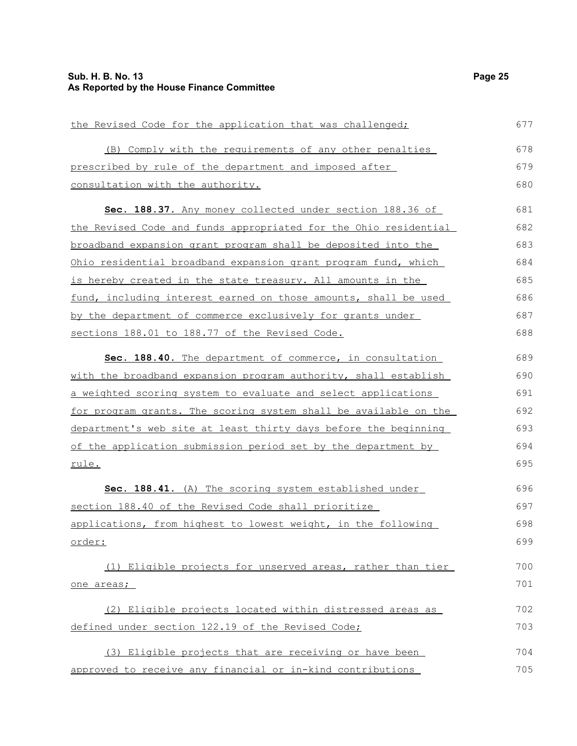| the Revised Code for the application that was challenged;            | 677 |
|----------------------------------------------------------------------|-----|
| (B) Comply with the requirements of any other penalties              | 678 |
| prescribed by rule of the department and imposed after               | 679 |
| consultation with the authority.                                     | 680 |
| Sec. 188.37. Any money collected under section 188.36 of             | 681 |
| the Revised Code and funds appropriated for the Ohio residential     | 682 |
| <u>broadband expansion grant program shall be deposited into the</u> | 683 |
| Ohio residential broadband expansion grant program fund, which       | 684 |
| is hereby created in the state treasury. All amounts in the          | 685 |
| fund, including interest earned on those amounts, shall be used      | 686 |
| by the department of commerce exclusively for grants under           | 687 |
| sections 188.01 to 188.77 of the Revised Code.                       | 688 |
| Sec. 188.40. The department of commerce, in consultation             | 689 |
| with the broadband expansion program authority, shall establish      | 690 |
| a weighted scoring system to evaluate and select applications        | 691 |
| for program grants. The scoring system shall be available on the     | 692 |
| department's web site at least thirty days before the beginning      | 693 |
| of the application submission period set by the department by        | 694 |
| rule.                                                                | 695 |
| Sec. 188.41. (A) The scoring system established under                | 696 |
| section 188.40 of the Revised Code shall prioritize                  | 697 |
| applications, from highest to lowest weight, in the following        | 698 |
| <u>order:</u>                                                        | 699 |
| (1) Eligible projects for unserved areas, rather than tier           | 700 |
| one areas;                                                           | 701 |
| (2) Eligible projects located within distressed areas as             | 702 |
| defined under section 122.19 of the Revised Code;                    | 703 |
| (3) Eligible projects that are receiving or have been                | 704 |
| approved to receive any financial or in-kind contributions           | 705 |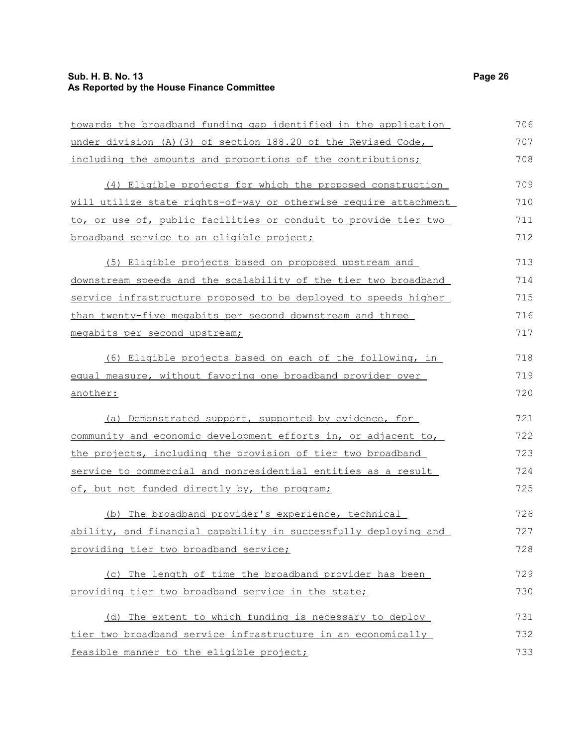### **Sub. H. B. No. 13 Page 26 As Reported by the House Finance Committee**

| towards the broadband funding gap identified in the application  | 706 |
|------------------------------------------------------------------|-----|
| under division (A) (3) of section 188.20 of the Revised Code,    | 707 |
| including the amounts and proportions of the contributions;      | 708 |
| (4) Eligible projects for which the proposed construction        | 709 |
| will utilize state rights-of-way or otherwise require attachment | 710 |
| to, or use of, public facilities or conduit to provide tier two  | 711 |
| broadband service to an eligible project;                        | 712 |
| (5) Eligible projects based on proposed upstream and             | 713 |
| downstream speeds and the scalability of the tier two broadband  | 714 |
| service infrastructure proposed to be deployed to speeds higher  | 715 |
| than twenty-five megabits per second downstream and three        | 716 |
| megabits per second upstream;                                    | 717 |
| (6) Eligible projects based on each of the following, in         | 718 |
| equal measure, without favoring one broadband provider over      | 719 |
| another:                                                         | 720 |
| (a) Demonstrated support, supported by evidence, for             | 721 |
| community and economic development efforts in, or adjacent to,   | 722 |
| the projects, including the provision of tier two broadband      | 723 |
| service to commercial and nonresidential entities as a result    | 724 |
| of, but not funded directly by, the program;                     | 725 |
| (b) The broadband provider's experience, technical               | 726 |
| ability, and financial capability in successfully deploying and  | 727 |
| providing tier two broadband service;                            | 728 |
| (c) The length of time the broadband provider has been           | 729 |
| providing tier two broadband service in the state;               | 730 |
| (d) The extent to which funding is necessary to deploy           | 731 |
| tier two broadband service infrastructure in an economically     | 732 |
| feasible manner to the eligible project;                         | 733 |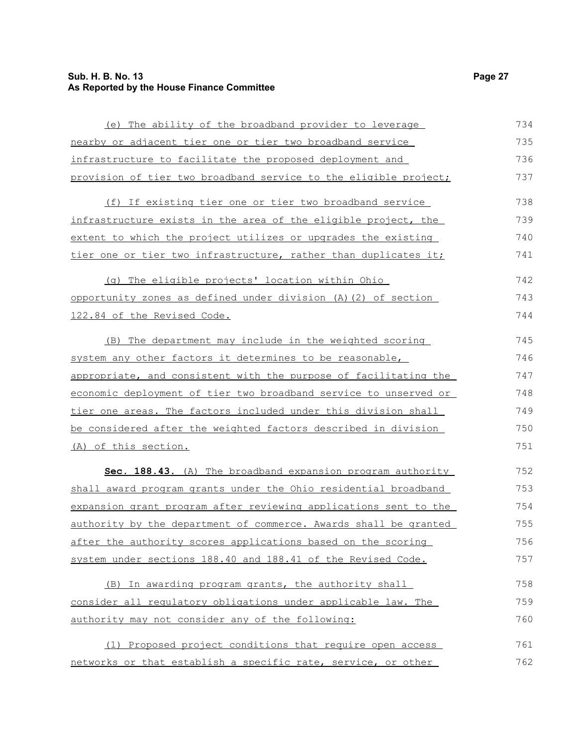### **Sub. H. B. No. 13 Page 27 As Reported by the House Finance Committee**

| (e) The ability of the broadband provider to leverage            | 734 |
|------------------------------------------------------------------|-----|
| nearby or adjacent tier one or tier two broadband service        | 735 |
| infrastructure to facilitate the proposed deployment and         | 736 |
| provision of tier two broadband service to the eligible project; | 737 |
| (f) If existing tier one or tier two broadband service           | 738 |
| infrastructure exists in the area of the eligible project, the   | 739 |
| extent to which the project utilizes or upgrades the existing    | 740 |
| tier one or tier two infrastructure, rather than duplicates it;  | 741 |
| (g) The eligible projects' location within Ohio                  | 742 |
| opportunity zones as defined under division (A) (2) of section   | 743 |
| 122.84 of the Revised Code.                                      | 744 |
| (B) The department may include in the weighted scoring           | 745 |
| system any other factors it determines to be reasonable,         | 746 |
| appropriate, and consistent with the purpose of facilitating the | 747 |
| economic deployment of tier two broadband service to unserved or | 748 |
| tier one areas. The factors included under this division shall   | 749 |
| be considered after the weighted factors described in division   | 750 |
| (A) of this section.                                             | 751 |
| Sec. 188.43. (A) The broadband expansion program authority       | 752 |
| shall award program grants under the Ohio residential broadband  | 753 |
| expansion grant program after reviewing applications sent to the | 754 |
| authority by the department of commerce. Awards shall be granted | 755 |
| after the authority scores applications based on the scoring     | 756 |
| system under sections 188.40 and 188.41 of the Revised Code.     | 757 |
| (B) In awarding program grants, the authority shall              | 758 |
| consider all regulatory obligations under applicable law. The    | 759 |
| authority may not consider any of the following:                 | 760 |
| (1) Proposed project conditions that require open access         | 761 |
| networks or that establish a specific rate, service, or other    | 762 |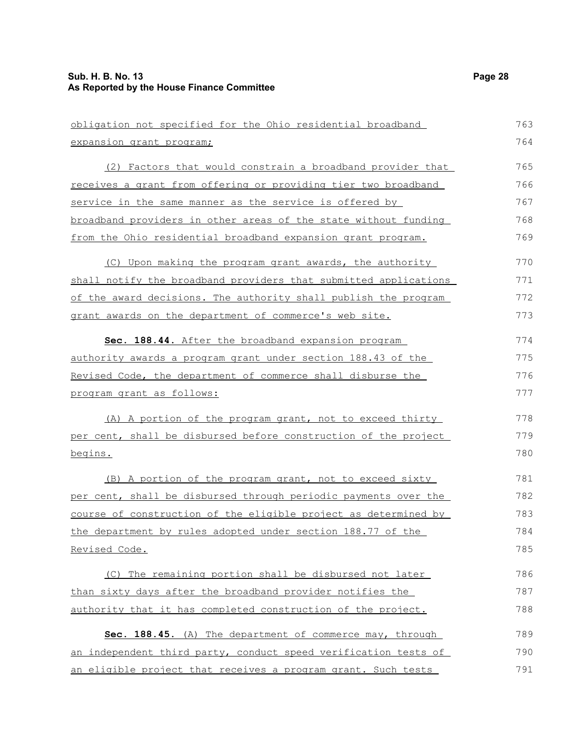| obligation not specified for the Ohio residential broadband      | 763 |
|------------------------------------------------------------------|-----|
| expansion grant program;                                         | 764 |
| (2) Factors that would constrain a broadband provider that       | 765 |
| receives a grant from offering or providing tier two broadband   | 766 |
| service in the same manner as the service is offered by          | 767 |
| broadband providers in other areas of the state without funding  | 768 |
| from the Ohio residential broadband expansion grant program.     | 769 |
| (C) Upon making the program grant awards, the authority          | 770 |
| shall notify the broadband providers that submitted applications | 771 |
| of the award decisions. The authority shall publish the program  | 772 |
| grant awards on the department of commerce's web site.           | 773 |
| Sec. 188.44. After the broadband expansion program               | 774 |
| authority awards a program grant under section 188.43 of the     | 775 |
| Revised Code, the department of commerce shall disburse the      | 776 |
| program grant as follows:                                        | 777 |
| (A) A portion of the program grant, not to exceed thirty         | 778 |
| per cent, shall be disbursed before construction of the project  | 779 |
| begins.                                                          | 780 |
| (B) A portion of the program grant, not to exceed sixty          | 781 |
| per cent, shall be disbursed through periodic payments over the  | 782 |
| course of construction of the eligible project as determined by  | 783 |
| the department by rules adopted under section 188.77 of the      | 784 |
| Revised Code.                                                    | 785 |
| (C) The remaining portion shall be disbursed not later           | 786 |
| than sixty days after the broadband provider notifies the        | 787 |
| authority that it has completed construction of the project.     | 788 |
| Sec. 188.45. (A) The department of commerce may, through         | 789 |
| an independent third party, conduct speed verification tests of  | 790 |
| an eligible project that receives a program grant. Such tests    | 791 |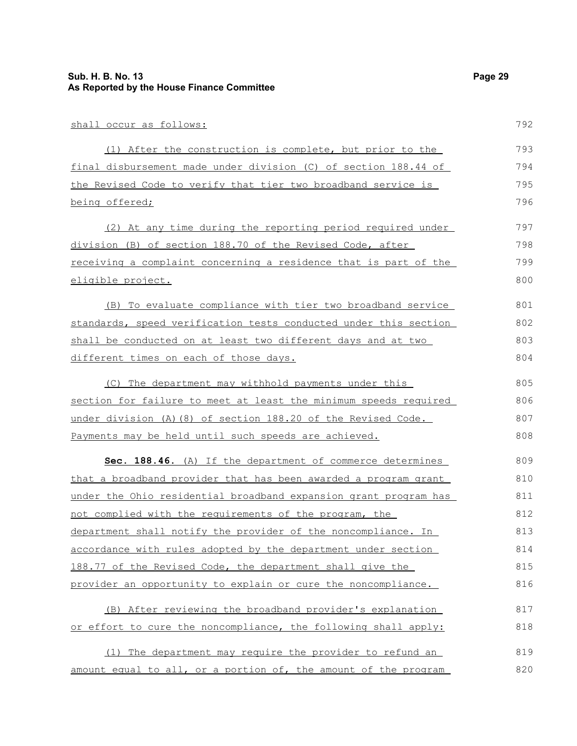| (1) After the construction is complete, but prior to the         | 793 |
|------------------------------------------------------------------|-----|
| final disbursement made under division (C) of section 188.44 of  | 794 |
| the Revised Code to verify that tier two broadband service is    | 795 |
| being offered;                                                   | 796 |
| (2) At any time during the reporting period required under       | 797 |
| division (B) of section 188.70 of the Revised Code, after        | 798 |
| receiving a complaint concerning a residence that is part of the | 799 |
| <u>eligible project.</u>                                         | 800 |
| (B) To evaluate compliance with tier two broadband service       | 801 |
| standards, speed verification tests conducted under this section | 802 |
| shall be conducted on at least two different days and at two     | 803 |
| different times on each of those days.                           | 804 |
| The department may withhold payments under this<br>(C)           | 805 |
| section for failure to meet at least the minimum speeds required | 806 |
| under division (A) (8) of section 188.20 of the Revised Code.    | 807 |
| Payments may be held until such speeds are achieved.             | 808 |

 **Sec. 188.46.** (A) If the department of commerce determines that a broadband provider that has been awarded a program grant under the Ohio residential broadband expansion grant program has not complied with the requirements of the program, the department shall notify the provider of the noncompliance. In accordance with rules adopted by the department under section 188.77 of the Revised Code, the department shall give the provider an opportunity to explain or cure the noncompliance. 809 810 811 812 813 814 815 816

(B) After reviewing the broadband provider's explanation or effort to cure the noncompliance, the following shall apply: 817 818

(1) The department may require the provider to refund an amount equal to all, or a portion of, the amount of the program 819 820

792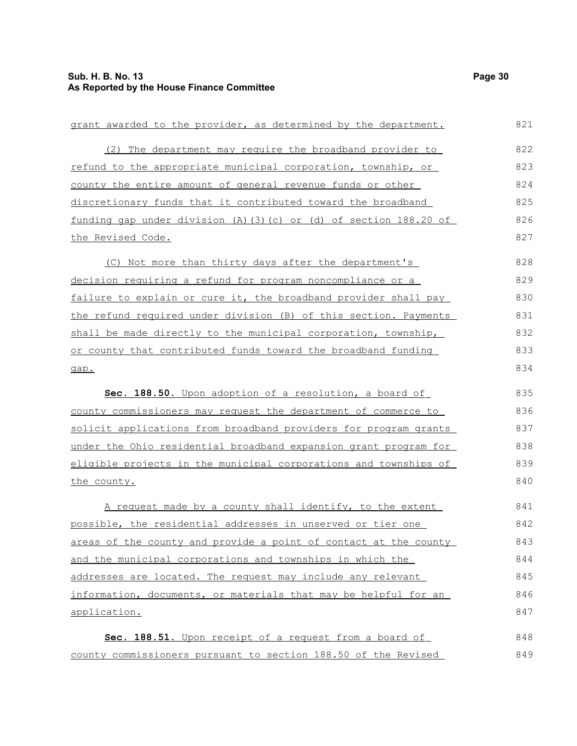| grant awarded to the provider, as determined by the department.    | 821 |
|--------------------------------------------------------------------|-----|
| (2) The department may require the broadband provider to           | 822 |
| refund to the appropriate municipal corporation, township, or      | 823 |
| county the entire amount of general revenue funds or other         | 824 |
| discretionary funds that it contributed toward the broadband       | 825 |
| funding gap under division (A) (3) (c) or (d) of section 188.20 of | 826 |
| the Revised Code.                                                  | 827 |
| (C) Not more than thirty days after the department's               | 828 |
| decision requiring a refund for program noncompliance or a         | 829 |
| failure to explain or cure it, the broadband provider shall pay    | 830 |
| the refund required under division (B) of this section. Payments   | 831 |
| shall be made directly to the municipal corporation, township,     | 832 |
| or county that contributed funds toward the broadband funding      | 833 |
| gap.                                                               | 834 |
| Sec. 188.50. Upon adoption of a resolution, a board of             | 835 |
| county commissioners may request the department of commerce to     | 836 |
| solicit applications from broadband providers for program grants   | 837 |
| under the Ohio residential broadband expansion grant program for   | 838 |
| eligible projects in the municipal corporations and townships of   | 839 |
| the county.                                                        | 840 |
| A request made by a county shall identify, to the extent           | 841 |
| possible, the residential addresses in unserved or tier one        | 842 |
| areas of the county and provide a point of contact at the county   | 843 |
| and the municipal corporations and townships in which the          | 844 |
| addresses are located. The request may include any relevant        | 845 |
| information, documents, or materials that may be helpful for an    | 846 |
| application.                                                       | 847 |
| Sec. 188.51. Upon receipt of a request from a board of             | 848 |
| county commissioners pursuant to section 188.50 of the Revised     | 849 |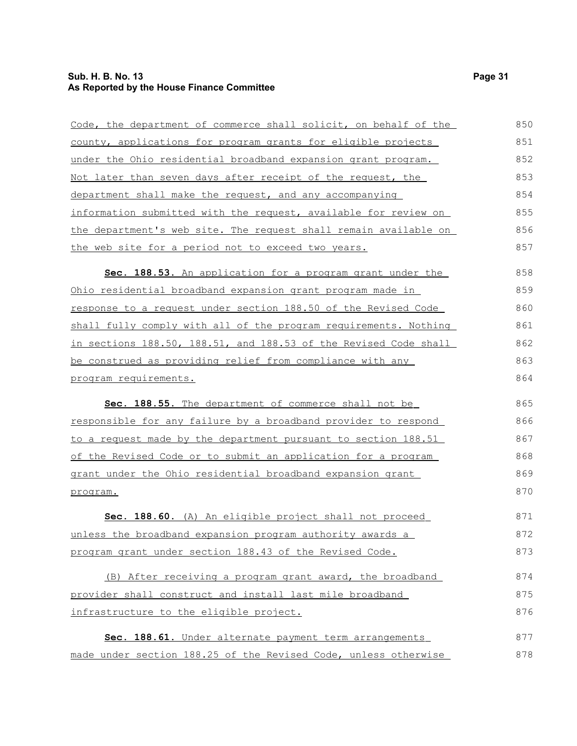### **Sub. H. B. No. 13 Page 31 As Reported by the House Finance Committee**

| Code, the department of commerce shall solicit, on behalf of the      | 850 |
|-----------------------------------------------------------------------|-----|
| county, applications for program grants for eligible projects         | 851 |
| <u>under the Ohio residential broadband expansion grant program.</u>  | 852 |
| <u>Not later than seven days after receipt of the request, the </u>   | 853 |
| department shall make the request, and any accompanying               | 854 |
| information submitted with the request, available for review on       | 855 |
| the department's web site. The request shall remain available on      | 856 |
| the web site for a period not to exceed two years.                    | 857 |
| Sec. 188.53. An application for a program grant under the             | 858 |
| <u>Ohio residential broadband expansion grant program made in </u>    | 859 |
| response to a request under section 188.50 of the Revised Code        | 860 |
| shall fully comply with all of the program requirements. Nothing      | 861 |
| in sections 188.50, 188.51, and 188.53 of the Revised Code shall      | 862 |
| be construed as providing relief from compliance with any             | 863 |
| <u>program requirements.</u>                                          | 864 |
| Sec. 188.55. The department of commerce shall not be                  | 865 |
| responsible for any failure by a broadband provider to respond        | 866 |
| to a request made by the department pursuant to section 188.51        | 867 |
| <u>of the Revised Code or to submit an application for a program </u> | 868 |
| grant under the Ohio residential broadband expansion grant            | 869 |
| program.                                                              | 870 |
| Sec. 188.60. (A) An eligible project shall not proceed                | 871 |
| unless the broadband expansion program authority awards a             | 872 |
| program grant under section 188.43 of the Revised Code.               | 873 |
| (B) After receiving a program grant award, the broadband              | 874 |
| provider shall construct and install last mile broadband              | 875 |
| infrastructure to the eligible project.                               | 876 |
| Sec. 188.61. Under alternate payment term arrangements                | 877 |
|                                                                       |     |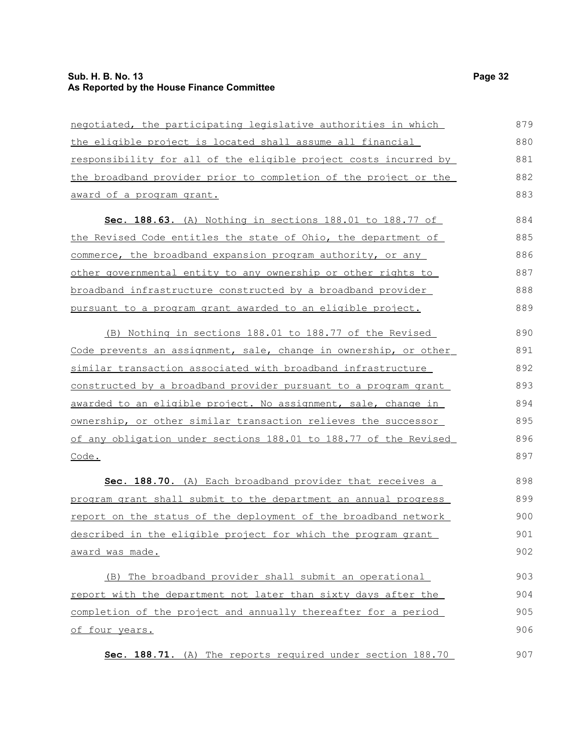### **Sub. H. B. No. 13 Page 32 As Reported by the House Finance Committee**

| negotiated, the participating legislative authorities in which       | 879 |
|----------------------------------------------------------------------|-----|
| the eligible project is located shall assume all financial           | 880 |
| responsibility for all of the eligible project costs incurred by     | 881 |
| the broadband provider prior to completion of the project or the     | 882 |
| award of a program grant.                                            | 883 |
| Sec. 188.63. (A) Nothing in sections 188.01 to 188.77 of             | 884 |
| the Revised Code entitles the state of Ohio, the department of       | 885 |
| commerce, the broadband expansion program authority, or any          | 886 |
| <u>other governmental entity to any ownership or other rights to</u> | 887 |
| broadband infrastructure constructed by a broadband provider         | 888 |
| pursuant to a program grant awarded to an eligible project.          | 889 |
| (B) Nothing in sections 188.01 to 188.77 of the Revised              | 890 |
| Code prevents an assignment, sale, change in ownership, or other     | 891 |
| similar transaction associated with broadband infrastructure         | 892 |
| constructed by a broadband provider pursuant to a program grant      | 893 |
| awarded to an eligible project. No assignment, sale, change in       | 894 |
| ownership, or other similar transaction relieves the successor       | 895 |
| of any obligation under sections 188.01 to 188.77 of the Revised     | 896 |
| Code.                                                                | 897 |
| Sec. 188.70. (A) Each broadband provider that receives a             | 898 |
| program grant shall submit to the department an annual progress      | 899 |
| report on the status of the deployment of the broadband network      | 900 |
| described in the eligible project for which the program grant        | 901 |
| award was made.                                                      | 902 |
| (B) The broadband provider shall submit an operational               | 903 |
| report with the department not later than sixty days after the       | 904 |
| completion of the project and annually thereafter for a period       | 905 |
| of four years.                                                       | 906 |
| Sec. 188.71. (A) The reports required under section 188.70           | 907 |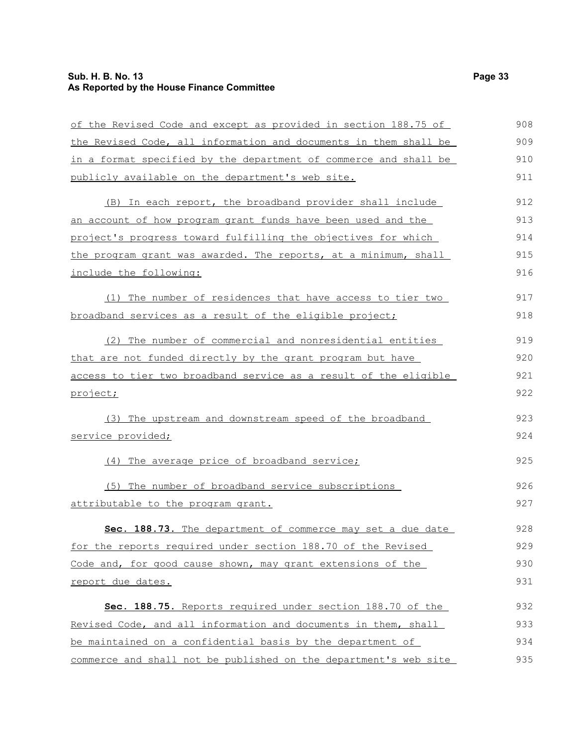### **Sub. H. B. No. 13 Page 33 As Reported by the House Finance Committee**

| of the Revised Code and except as provided in section 188.75 of  | 908 |
|------------------------------------------------------------------|-----|
| the Revised Code, all information and documents in them shall be | 909 |
| in a format specified by the department of commerce and shall be | 910 |
| publicly available on the department's web site.                 | 911 |
| (B) In each report, the broadband provider shall include         | 912 |
| an account of how program grant funds have been used and the     | 913 |
| project's progress toward fulfilling the objectives for which    | 914 |
| the program grant was awarded. The reports, at a minimum, shall  | 915 |
| include the following:                                           | 916 |
| The number of residences that have access to tier two<br>(1)     | 917 |
| broadband services as a result of the eligible project;          | 918 |
| (2) The number of commercial and nonresidential entities         | 919 |
| that are not funded directly by the grant program but have       | 920 |
| access to tier two broadband service as a result of the eligible | 921 |
| project;                                                         | 922 |
| (3) The upstream and downstream speed of the broadband           | 923 |
| service provided;                                                | 924 |
| (4) The average price of broadband service;                      | 925 |
| (5) The number of broadband service subscriptions                | 926 |
| attributable to the program grant.                               | 927 |
| Sec. 188.73. The department of commerce may set a due date       | 928 |
| for the reports required under section 188.70 of the Revised     | 929 |
| Code and, for good cause shown, may grant extensions of the      | 930 |
| report due dates.                                                | 931 |
| Sec. 188.75. Reports required under section 188.70 of the        | 932 |
| Revised Code, and all information and documents in them, shall   | 933 |
| be maintained on a confidential basis by the department of       | 934 |
| commerce and shall not be published on the department's web site | 935 |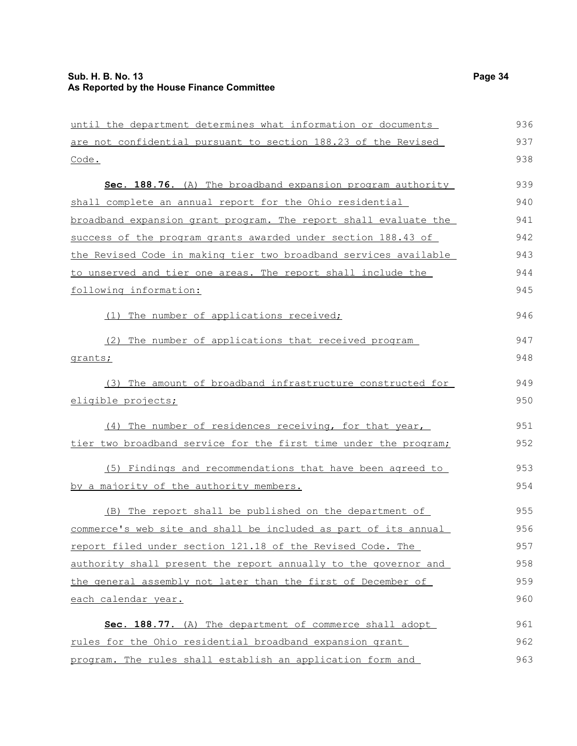until the department determines what information or documents are not confidential pursuant to section 188.23 of the Revised Code. **Sec. 188.76.** (A) The broadband expansion program authority shall complete an annual report for the Ohio residential broadband expansion grant program. The report shall evaluate the success of the program grants awarded under section 188.43 of the Revised Code in making tier two broadband services available to unserved and tier one areas. The report shall include the following information: (1) The number of applications received; (2) The number of applications that received program grants; (3) The amount of broadband infrastructure constructed for eligible projects; (4) The number of residences receiving, for that year, tier two broadband service for the first time under the program; (5) Findings and recommendations that have been agreed to by a majority of the authority members. (B) The report shall be published on the department of commerce's web site and shall be included as part of its annual report filed under section 121.18 of the Revised Code. The authority shall present the report annually to the governor and the general assembly not later than the first of December of each calendar year. **Sec. 188.77.** (A) The department of commerce shall adopt rules for the Ohio residential broadband expansion grant program. The rules shall establish an application form and 936 937 938 939 940 941 942 943 944 945 946 947 948 949 950 951 952 953 954 955 956 957 958 959 960 961 962 963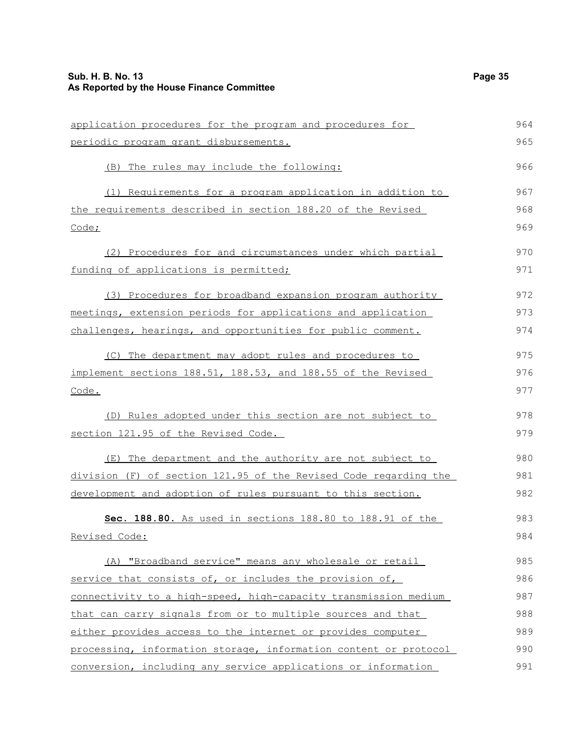| application procedures for the program and procedures for        | 964 |
|------------------------------------------------------------------|-----|
| periodic program grant disbursements.                            | 965 |
| (B) The rules may include the following:                         | 966 |
| (1) Requirements for a program application in addition to        | 967 |
| the requirements described in section 188.20 of the Revised      | 968 |
| Code;                                                            | 969 |
| (2) Procedures for and circumstances under which partial         | 970 |
| funding of applications is permitted;                            | 971 |
| (3) Procedures for broadband expansion program authority         | 972 |
| meetings, extension periods for applications and application     | 973 |
| challenges, hearings, and opportunities for public comment.      | 974 |
| (C) The department may adopt rules and procedures to             | 975 |
| implement sections 188.51, 188.53, and 188.55 of the Revised     | 976 |
| Code.                                                            | 977 |
| (D) Rules adopted under this section are not subject to          | 978 |
| section 121.95 of the Revised Code.                              | 979 |
| (E) The department and the authority are not subject to          | 980 |
| division (F) of section 121.95 of the Revised Code regarding the | 981 |
| development and adoption of rules pursuant to this section.      | 982 |
| Sec. 188.80. As used in sections 188.80 to 188.91 of the         | 983 |
| Revised Code:                                                    | 984 |
| (A) "Broadband service" means any wholesale or retail            | 985 |
| service that consists of, or includes the provision of,          | 986 |
| connectivity to a high-speed, high-capacity transmission medium  | 987 |
| that can carry signals from or to multiple sources and that      | 988 |
| either provides access to the internet or provides computer      | 989 |
| processing, information storage, information content or protocol | 990 |
| conversion, including any service applications or information    | 991 |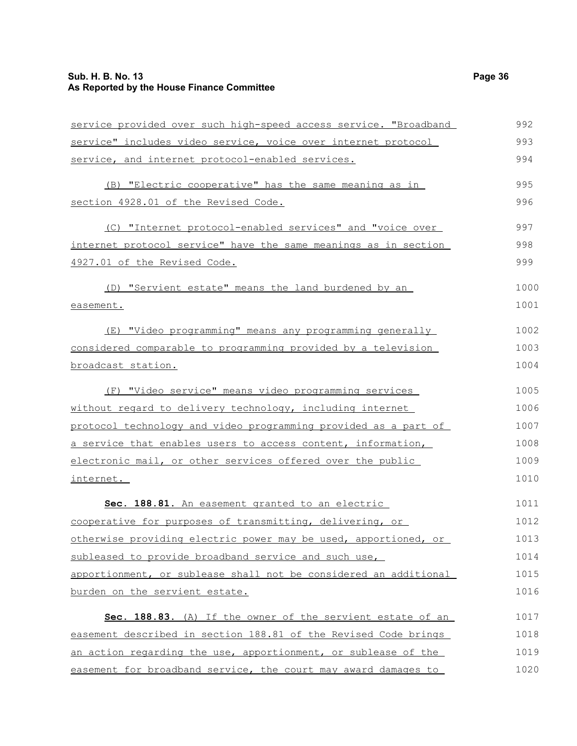### **Sub. H. B. No. 13 Page 36 As Reported by the House Finance Committee**

| service provided over such high-speed access service. "Broadband | 992  |
|------------------------------------------------------------------|------|
| service" includes video service, voice over internet protocol    | 993  |
| service, and internet protocol-enabled services.                 | 994  |
| (B) "Electric cooperative" has the same meaning as in            | 995  |
| section 4928.01 of the Revised Code.                             | 996  |
| (C) "Internet protocol-enabled services" and "voice over         | 997  |
| internet protocol service" have the same meanings as in section  | 998  |
| 4927.01 of the Revised Code.                                     | 999  |
| (D) "Servient estate" means the land burdened by an              | 1000 |
| easement.                                                        | 1001 |
| (E) "Video programming" means any programming generally          | 1002 |
| considered comparable to programming provided by a television    | 1003 |
| broadcast station.                                               | 1004 |
| (F) "Video service" means video programming services             | 1005 |
| without regard to delivery technology, including internet        | 1006 |
| protocol technology and video programming provided as a part of  | 1007 |
| a service that enables users to access content, information,     | 1008 |
| electronic mail, or other services offered over the public       | 1009 |
| internet.                                                        | 1010 |
| Sec. 188.81. An easement granted to an electric                  | 1011 |
| cooperative for purposes of transmitting, delivering, or         | 1012 |
| otherwise providing electric power may be used, apportioned, or  | 1013 |
| subleased to provide broadband service and such use,             | 1014 |
| apportionment, or sublease shall not be considered an additional | 1015 |
| burden on the servient estate.                                   | 1016 |
| Sec. 188.83. (A) If the owner of the servient estate of an       | 1017 |
| easement described in section 188.81 of the Revised Code brings  | 1018 |
| an action regarding the use, apportionment, or sublease of the   | 1019 |
| easement for broadband service, the court may award damages to   | 1020 |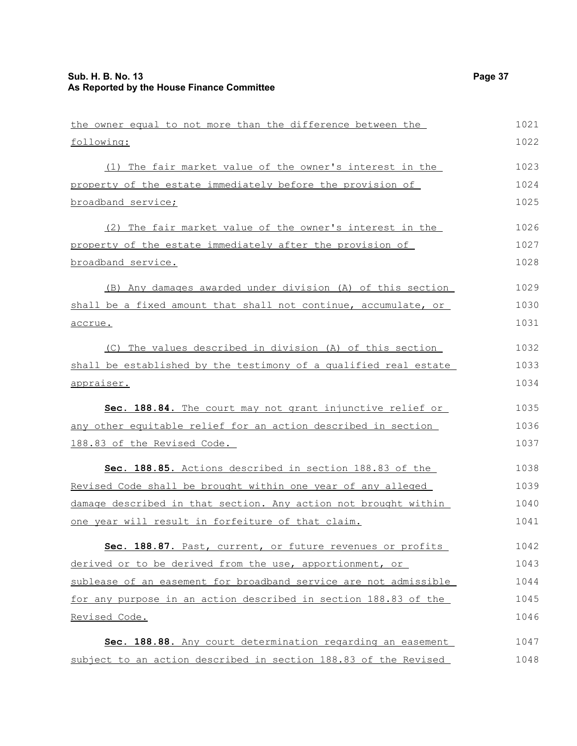| the owner equal to not more than the difference between the      | 1021 |
|------------------------------------------------------------------|------|
| following:                                                       | 1022 |
| (1) The fair market value of the owner's interest in the         | 1023 |
| property of the estate immediately before the provision of       | 1024 |
| broadband service;                                               | 1025 |
| (2) The fair market value of the owner's interest in the         | 1026 |
| property of the estate immediately after the provision of        | 1027 |
| broadband service.                                               | 1028 |
| (B) Any damages awarded under division (A) of this section       | 1029 |
| shall be a fixed amount that shall not continue, accumulate, or  | 1030 |
| accrue.                                                          | 1031 |
| (C) The values described in division (A) of this section         | 1032 |
| shall be established by the testimony of a qualified real estate | 1033 |
| appraiser.                                                       | 1034 |
| Sec. 188.84. The court may not grant injunctive relief or        | 1035 |
| any other equitable relief for an action described in section    | 1036 |
| 188.83 of the Revised Code.                                      | 1037 |
| Sec. 188.85. Actions described in section 188.83 of the          | 1038 |
| Revised Code shall be brought within one year of any alleged     | 1039 |
| damage described in that section. Any action not brought within  | 1040 |
| one year will result in forfeiture of that claim.                | 1041 |
| Sec. 188.87. Past, current, or future revenues or profits        | 1042 |
| derived or to be derived from the use, apportionment, or         | 1043 |
| sublease of an easement for broadband service are not admissible | 1044 |
| for any purpose in an action described in section 188.83 of the  | 1045 |
| Revised Code.                                                    | 1046 |
| Sec. 188.88. Any court determination regarding an easement       | 1047 |
| subject to an action described in section 188.83 of the Revised  | 1048 |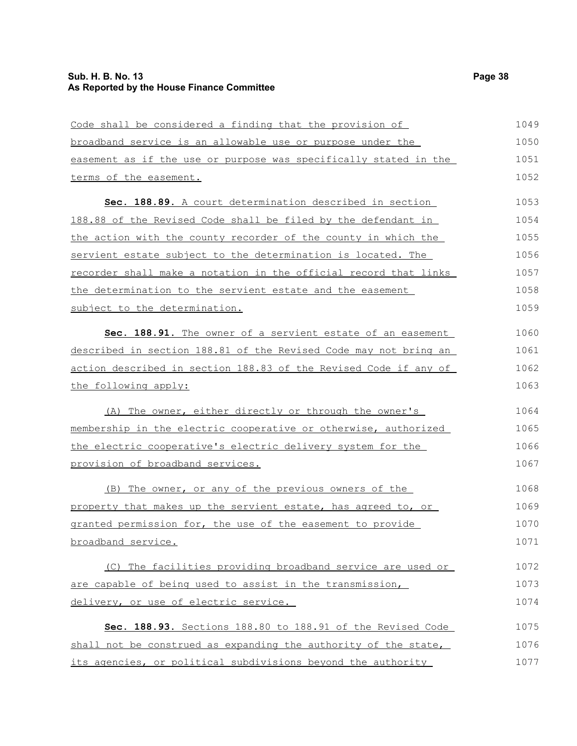### **Sub. H. B. No. 13 Page 38 As Reported by the House Finance Committee**

| Code shall be considered a finding that the provision of         | 1049 |
|------------------------------------------------------------------|------|
| broadband service is an allowable use or purpose under the       | 1050 |
| easement as if the use or purpose was specifically stated in the | 1051 |
| terms of the easement.                                           | 1052 |
| Sec. 188.89. A court determination described in section          | 1053 |
| 188.88 of the Revised Code shall be filed by the defendant in    | 1054 |
| the action with the county recorder of the county in which the   | 1055 |
| servient estate subject to the determination is located. The     | 1056 |
| recorder shall make a notation in the official record that links | 1057 |
| the determination to the servient estate and the easement        | 1058 |
| subject to the determination.                                    | 1059 |
| Sec. 188.91. The owner of a servient estate of an easement       | 1060 |
| described in section 188.81 of the Revised Code may not bring an | 1061 |
| action described in section 188.83 of the Revised Code if any of | 1062 |
| the following apply:                                             | 1063 |
| (A) The owner, either directly or through the owner's            | 1064 |
| membership in the electric cooperative or otherwise, authorized  | 1065 |
| the electric cooperative's electric delivery system for the      | 1066 |
| provision of broadband services.                                 | 1067 |
| (B) The owner, or any of the previous owners of the              | 1068 |
| property that makes up the servient estate, has agreed to, or    | 1069 |
| granted permission for, the use of the easement to provide       | 1070 |
| broadband service.                                               | 1071 |
| (C) The facilities providing broadband service are used or       | 1072 |
| are capable of being used to assist in the transmission,         | 1073 |
| delivery, or use of electric service.                            | 1074 |
| Sec. 188.93. Sections 188.80 to 188.91 of the Revised Code       | 1075 |
| shall not be construed as expanding the authority of the state,  | 1076 |
| its agencies, or political subdivisions beyond the authority     | 1077 |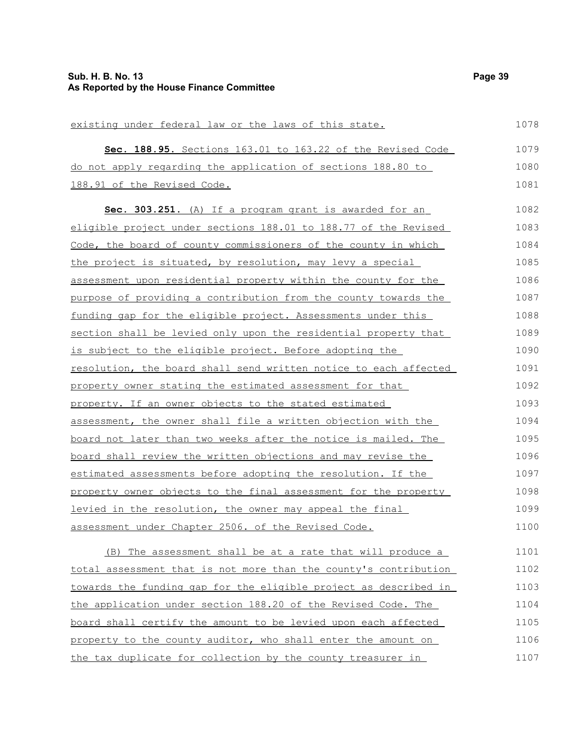| existing under federal law or the laws of this state.            | 1078 |
|------------------------------------------------------------------|------|
| Sec. 188.95. Sections 163.01 to 163.22 of the Revised Code       | 1079 |
| do not apply regarding the application of sections 188.80 to     | 1080 |
| 188.91 of the Revised Code.                                      | 1081 |
| Sec. 303.251. (A) If a program grant is awarded for an           | 1082 |
| eligible project under sections 188.01 to 188.77 of the Revised  | 1083 |
| Code, the board of county commissioners of the county in which   | 1084 |
| the project is situated, by resolution, may levy a special       | 1085 |
| assessment upon residential property within the county for the   | 1086 |
| purpose of providing a contribution from the county towards the  | 1087 |
| funding gap for the eligible project. Assessments under this     | 1088 |
| section shall be levied only upon the residential property that  | 1089 |
| is subject to the eligible project. Before adopting the          | 1090 |
| resolution, the board shall send written notice to each affected | 1091 |
| property owner stating the estimated assessment for that         | 1092 |
| property. If an owner objects to the stated estimated            | 1093 |
| assessment, the owner shall file a written objection with the    | 1094 |
| board not later than two weeks after the notice is mailed. The   | 1095 |
| board shall review the written objections and may revise the     | 1096 |
| estimated assessments before adopting the resolution. If the     | 1097 |
| property owner objects to the final assessment for the property  | 1098 |
| levied in the resolution, the owner may appeal the final         | 1099 |
| assessment under Chapter 2506. of the Revised Code.              | 1100 |
| (B) The assessment shall be at a rate that will produce a        | 1101 |
| total assessment that is not more than the county's contribution | 1102 |
| towards the funding gap for the eligible project as described in | 1103 |
| the application under section 188.20 of the Revised Code. The    | 1104 |

board shall certify the amount to be levied upon each affected property to the county auditor, who shall enter the amount on the tax duplicate for collection by the county treasurer in 1105 1106 1107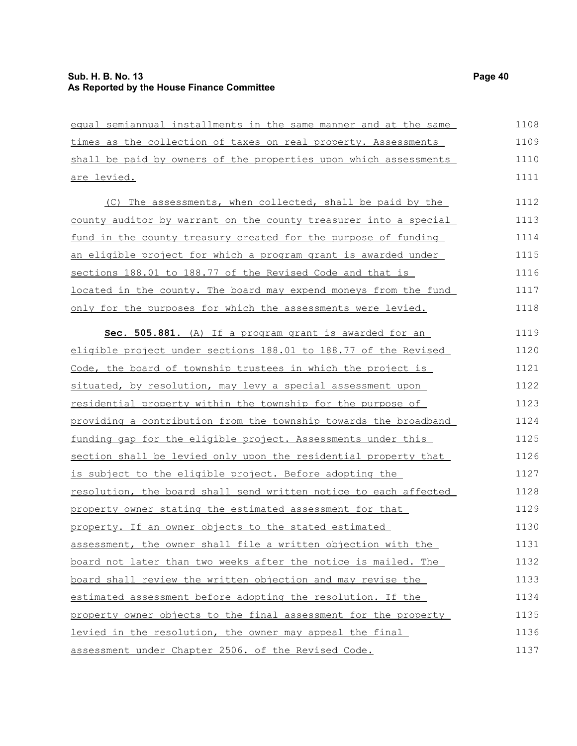| equal semiannual installments in the same manner and at the same | 1108 |
|------------------------------------------------------------------|------|
| times as the collection of taxes on real property. Assessments   | 1109 |
| shall be paid by owners of the properties upon which assessments | 1110 |
| are levied.                                                      | 1111 |
| (C) The assessments, when collected, shall be paid by the        | 1112 |
| county auditor by warrant on the county treasurer into a special | 1113 |
| fund in the county treasury created for the purpose of funding   | 1114 |
| an eligible project for which a program grant is awarded under   | 1115 |
| sections 188.01 to 188.77 of the Revised Code and that is        | 1116 |
| located in the county. The board may expend moneys from the fund | 1117 |
| only for the purposes for which the assessments were levied.     | 1118 |
| Sec. 505.881. (A) If a program grant is awarded for an           | 1119 |
| eligible project under sections 188.01 to 188.77 of the Revised  | 1120 |
| Code, the board of township trustees in which the project is     | 1121 |
| situated, by resolution, may levy a special assessment upon      | 1122 |
| residential property within the township for the purpose of      | 1123 |
| providing a contribution from the township towards the broadband | 1124 |
| funding gap for the eligible project. Assessments under this     | 1125 |
| section shall be levied only upon the residential property that  | 1126 |
| is subject to the eligible project. Before adopting the          | 1127 |
| resolution, the board shall send written notice to each affected | 1128 |
| property owner stating the estimated assessment for that         | 1129 |
| property. If an owner objects to the stated estimated            | 1130 |
| assessment, the owner shall file a written objection with the    | 1131 |
| board not later than two weeks after the notice is mailed. The   | 1132 |
| board shall review the written objection and may revise the      | 1133 |
| estimated assessment before adopting the resolution. If the      | 1134 |
| property owner objects to the final assessment for the property  | 1135 |
| levied in the resolution, the owner may appeal the final         | 1136 |
| assessment under Chapter 2506. of the Revised Code.              | 1137 |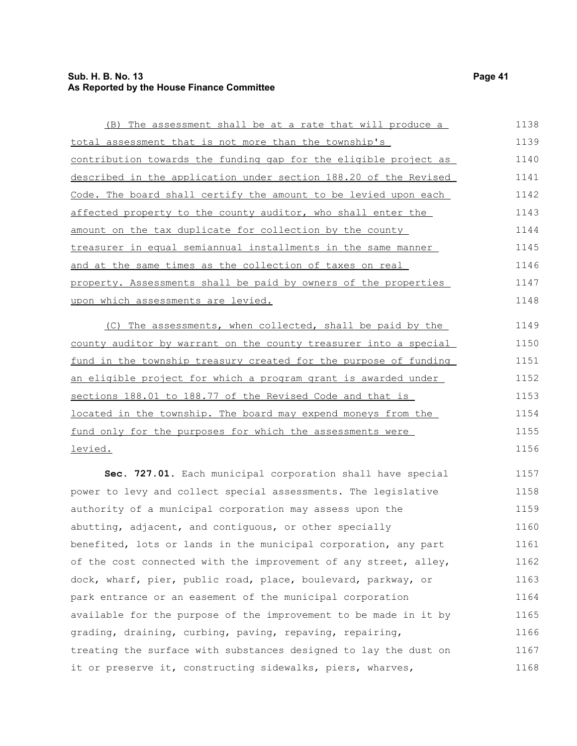### **Sub. H. B. No. 13 Page 41 As Reported by the House Finance Committee**

| (B) The assessment shall be at a rate that will produce a              | 1138 |
|------------------------------------------------------------------------|------|
| total assessment that is not more than the township's                  | 1139 |
| contribution towards the funding gap for the eligible project as       | 1140 |
| described in the application under section 188.20 of the Revised       | 1141 |
| Code. The board shall certify the amount to be levied upon each        | 1142 |
| affected property to the county auditor, who shall enter the           | 1143 |
| amount on the tax duplicate for collection by the county               | 1144 |
| treasurer in equal semiannual installments in the same manner          | 1145 |
| <u>and at the same times as the collection of taxes on real</u>        | 1146 |
| property. Assessments shall be paid by owners of the properties        | 1147 |
| <u>upon which assessments are levied.</u>                              | 1148 |
| (C) The assessments, when collected, shall be paid by the              | 1149 |
| county auditor by warrant on the county treasurer into a special       | 1150 |
| fund in the township treasury created for the purpose of funding       | 1151 |
| <u>an eligible project for which a program grant is awarded under </u> | 1152 |
| sections 188.01 to 188.77 of the Revised Code and that is              | 1153 |
| located in the township. The board may expend moneys from the          | 1154 |
| fund only for the purposes for which the assessments were              | 1155 |
| <u>levied.</u>                                                         | 1156 |
| Sec. 727.01. Each municipal corporation shall have special             | 1157 |
| power to levy and collect special assessments. The legislative         | 1158 |
| authority of a municipal corporation may assess upon the               | 1159 |
| abutting, adjacent, and contiguous, or other specially                 | 1160 |
| benefited, lots or lands in the municipal corporation, any part        | 1161 |
| of the cost connected with the improvement of any street, alley,       | 1162 |
| dock, wharf, pier, public road, place, boulevard, parkway, or          | 1163 |
| park entrance or an easement of the municipal corporation              | 1164 |
| available for the purpose of the improvement to be made in it by       | 1165 |
| grading, draining, curbing, paving, repaving, repairing,               | 1166 |
| treating the surface with substances designed to lay the dust on       | 1167 |
| it or preserve it, constructing sidewalks, piers, wharves,             | 1168 |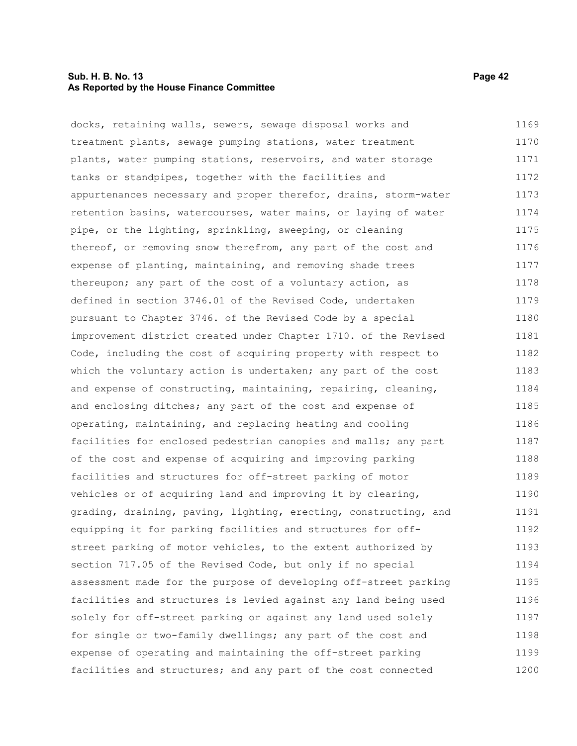#### **Sub. H. B. No. 13 Page 42 As Reported by the House Finance Committee**

docks, retaining walls, sewers, sewage disposal works and treatment plants, sewage pumping stations, water treatment plants, water pumping stations, reservoirs, and water storage tanks or standpipes, together with the facilities and appurtenances necessary and proper therefor, drains, storm-water retention basins, watercourses, water mains, or laying of water pipe, or the lighting, sprinkling, sweeping, or cleaning thereof, or removing snow therefrom, any part of the cost and expense of planting, maintaining, and removing shade trees thereupon; any part of the cost of a voluntary action, as defined in section 3746.01 of the Revised Code, undertaken pursuant to Chapter 3746. of the Revised Code by a special improvement district created under Chapter 1710. of the Revised Code, including the cost of acquiring property with respect to which the voluntary action is undertaken; any part of the cost and expense of constructing, maintaining, repairing, cleaning, and enclosing ditches; any part of the cost and expense of operating, maintaining, and replacing heating and cooling facilities for enclosed pedestrian canopies and malls; any part of the cost and expense of acquiring and improving parking facilities and structures for off-street parking of motor vehicles or of acquiring land and improving it by clearing, grading, draining, paving, lighting, erecting, constructing, and equipping it for parking facilities and structures for offstreet parking of motor vehicles, to the extent authorized by section 717.05 of the Revised Code, but only if no special assessment made for the purpose of developing off-street parking facilities and structures is levied against any land being used solely for off-street parking or against any land used solely for single or two-family dwellings; any part of the cost and expense of operating and maintaining the off-street parking facilities and structures; and any part of the cost connected 1169 1170 1171 1172 1173 1174 1175 1176 1177 1178 1179 1180 1181 1182 1183 1184 1185 1186 1187 1188 1189 1190 1191 1192 1193 1194 1195 1196 1197 1198 1199 1200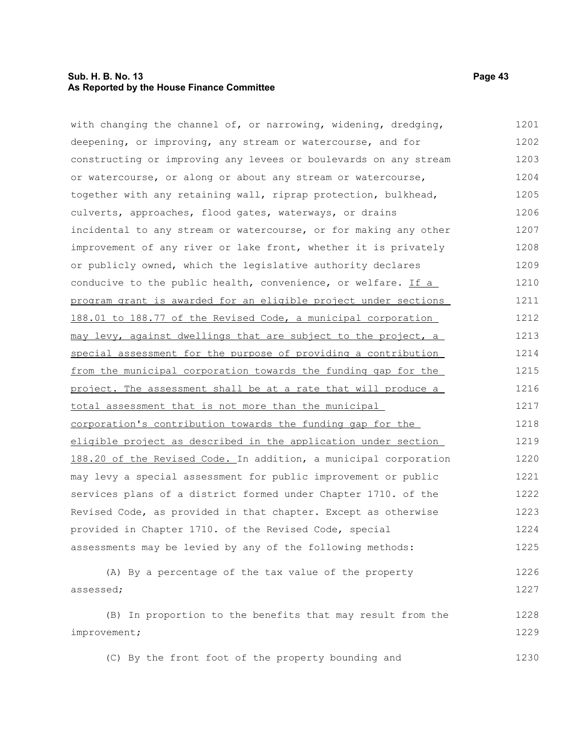### **Sub. H. B. No. 13 Page 43 As Reported by the House Finance Committee**

| with changing the channel of, or narrowing, widening, dredging,  | 1201 |
|------------------------------------------------------------------|------|
| deepening, or improving, any stream or watercourse, and for      | 1202 |
| constructing or improving any levees or boulevards on any stream | 1203 |
| or watercourse, or along or about any stream or watercourse,     | 1204 |
| together with any retaining wall, riprap protection, bulkhead,   | 1205 |
| culverts, approaches, flood gates, waterways, or drains          | 1206 |
| incidental to any stream or watercourse, or for making any other | 1207 |
| improvement of any river or lake front, whether it is privately  | 1208 |
| or publicly owned, which the legislative authority declares      | 1209 |
| conducive to the public health, convenience, or welfare. If a    | 1210 |
| program grant is awarded for an eligible project under sections  | 1211 |
| 188.01 to 188.77 of the Revised Code, a municipal corporation    | 1212 |
| may levy, against dwellings that are subject to the project, a   | 1213 |
| special assessment for the purpose of providing a contribution   | 1214 |
| from the municipal corporation towards the funding gap for the   | 1215 |
| project. The assessment shall be at a rate that will produce a   | 1216 |
| total assessment that is not more than the municipal             | 1217 |
| corporation's contribution towards the funding gap for the       | 1218 |
| eligible project as described in the application under section   | 1219 |
| 188.20 of the Revised Code. In addition, a municipal corporation | 1220 |
| may levy a special assessment for public improvement or public   | 1221 |
| services plans of a district formed under Chapter 1710. of the   | 1222 |
| Revised Code, as provided in that chapter. Except as otherwise   | 1223 |
| provided in Chapter 1710. of the Revised Code, special           | 1224 |
| assessments may be levied by any of the following methods:       | 1225 |
| (A) By a percentage of the tax value of the property             | 1226 |
| assessed;                                                        | 1227 |
| (B) In proportion to the benefits that may result from the       | 1228 |
| improvement;                                                     | 1229 |
| (C) By the front foot of the property bounding and               | 1230 |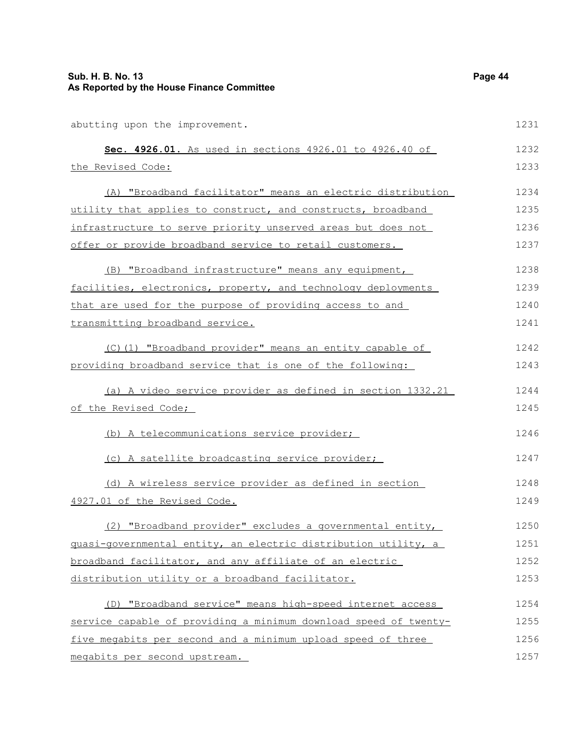| abutting upon the improvement.                                   | 1231 |
|------------------------------------------------------------------|------|
| Sec. 4926.01. As used in sections 4926.01 to 4926.40 of          | 1232 |
| the Revised Code:                                                | 1233 |
| (A) "Broadband facilitator" means an electric distribution       | 1234 |
| utility that applies to construct, and constructs, broadband     | 1235 |
| infrastructure to serve priority unserved areas but does not     | 1236 |
| offer or provide broadband service to retail customers.          | 1237 |
| (B) "Broadband infrastructure" means any equipment,              | 1238 |
| facilities, electronics, property, and technology deployments    | 1239 |
| that are used for the purpose of providing access to and         | 1240 |
| transmitting broadband service.                                  | 1241 |
| (C)(1) "Broadband provider" means an entity capable of           | 1242 |
| providing broadband service that is one of the following:        | 1243 |
| (a) A video service provider as defined in section 1332.21       | 1244 |
| of the Revised Code;                                             | 1245 |
| (b) A telecommunications service provider;                       | 1246 |
| (c) A satellite broadcasting service provider;                   | 1247 |
| (d) A wireless service provider as defined in section            | 1248 |
| 4927.01 of the Revised Code.                                     | 1249 |
| (2) "Broadband provider" excludes a governmental entity,         | 1250 |
| guasi-governmental entity, an electric distribution utility, a   | 1251 |
| broadband facilitator, and any affiliate of an electric          | 1252 |
| distribution utility or a broadband facilitator.                 | 1253 |
| (D) "Broadband service" means high-speed internet access         | 1254 |
| service capable of providing a minimum download speed of twenty- | 1255 |
| five megabits per second and a minimum upload speed of three     | 1256 |
| megabits per second upstream.                                    | 1257 |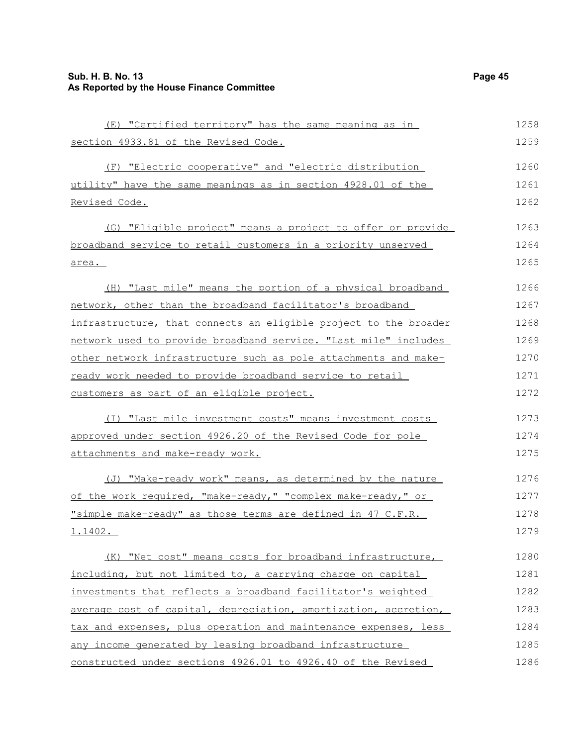### **Sub. H. B. No. 13 Page 45 As Reported by the House Finance Committee**

| (E) "Certified territory" has the same meaning as in             | 1258 |
|------------------------------------------------------------------|------|
| section 4933.81 of the Revised Code.                             | 1259 |
| (F) "Electric cooperative" and "electric distribution            | 1260 |
| utility" have the same meanings as in section 4928.01 of the     | 1261 |
| Revised Code.                                                    | 1262 |
| (G) "Eligible project" means a project to offer or provide       | 1263 |
| broadband service to retail customers in a priority unserved     | 1264 |
| area.                                                            | 1265 |
| (H) "Last mile" means the portion of a physical broadband        | 1266 |
| network, other than the broadband facilitator's broadband        | 1267 |
| infrastructure, that connects an eligible project to the broader | 1268 |
| network used to provide broadband service. "Last mile" includes  | 1269 |
| other network infrastructure such as pole attachments and make-  | 1270 |
| ready work needed to provide broadband service to retail         | 1271 |
| customers as part of an eligible project.                        | 1272 |
| (I) "Last mile investment costs" means investment costs          | 1273 |
| approved under section 4926.20 of the Revised Code for pole      | 1274 |
| attachments and make-ready work.                                 | 1275 |
| (J) "Make-ready work" means, as determined by the nature         | 1276 |
| of the work required, "make-ready," "complex make-ready," or     | 1277 |
| "simple make-ready" as those terms are defined in 47 C.F.R.      | 1278 |
| 1.1402.                                                          | 1279 |
| (K) "Net cost" means costs for broadband infrastructure,         | 1280 |
| including, but not limited to, a carrying charge on capital      | 1281 |
| investments that reflects a broadband facilitator's weighted     | 1282 |
| average cost of capital, depreciation, amortization, accretion,  | 1283 |
| tax and expenses, plus operation and maintenance expenses, less  | 1284 |
| any income generated by leasing broadband infrastructure         | 1285 |
| constructed under sections 4926.01 to 4926.40 of the Revised     | 1286 |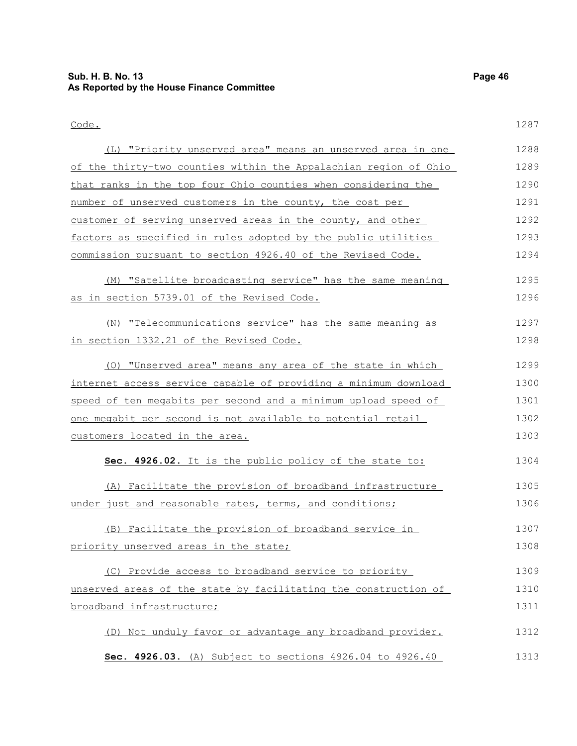| Code.                                                              | 1287 |
|--------------------------------------------------------------------|------|
| (L) "Priority unserved area" means an unserved area in one         | 1288 |
| of the thirty-two counties within the Appalachian region of Ohio   | 1289 |
| that ranks in the top four Ohio counties when considering the      | 1290 |
| number of unserved customers in the county, the cost per           | 1291 |
| <u>customer of serving unserved areas in the county, and other</u> | 1292 |
| factors as specified in rules adopted by the public utilities      | 1293 |
| commission pursuant to section 4926.40 of the Revised Code.        | 1294 |
| (M) "Satellite broadcasting service" has the same meaning          | 1295 |
| as in section 5739.01 of the Revised Code.                         | 1296 |
|                                                                    |      |
| (N) "Telecommunications service" has the same meaning as           | 1297 |
| in section 1332.21 of the Revised Code.                            | 1298 |
| (O) "Unserved area" means any area of the state in which           | 1299 |
| internet access service capable of providing a minimum download    | 1300 |
| speed of ten megabits per second and a minimum upload speed of     | 1301 |
| one megabit per second is not available to potential retail        | 1302 |
| <u>customers located in the area.</u>                              | 1303 |
| Sec. 4926.02. It is the public policy of the state to:             | 1304 |
| (A) Facilitate the provision of broadband infrastructure           | 1305 |
| under just and reasonable rates, terms, and conditions;            | 1306 |
| (B) Facilitate the provision of broadband service in               | 1307 |
| priority unserved areas in the state;                              | 1308 |
| (C) Provide access to broadband service to priority                | 1309 |
| unserved areas of the state by facilitating the construction of    | 1310 |
| broadband infrastructure;                                          | 1311 |
|                                                                    |      |
| (D) Not unduly favor or advantage any broadband provider.          | 1312 |
| Sec. 4926.03. (A) Subject to sections 4926.04 to 4926.40           | 1313 |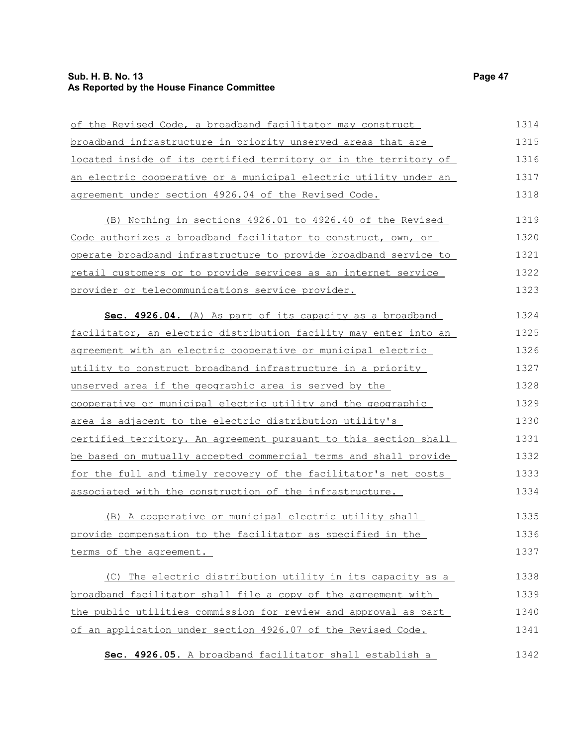### **Sub. H. B. No. 13 Page 47 As Reported by the House Finance Committee**

| of the Revised Code, a broadband facilitator may construct         | 1314 |
|--------------------------------------------------------------------|------|
| broadband infrastructure in priority unserved areas that are       | 1315 |
| located inside of its certified territory or in the territory of   | 1316 |
| an electric cooperative or a municipal electric utility under an   | 1317 |
| agreement under section 4926.04 of the Revised Code.               | 1318 |
| (B) Nothing in sections 4926.01 to 4926.40 of the Revised          | 1319 |
| Code authorizes a broadband facilitator to construct, own, or      | 1320 |
| operate broadband infrastructure to provide broadband service to   | 1321 |
| retail customers or to provide services as an internet service     | 1322 |
| provider or telecommunications service provider.                   | 1323 |
| Sec. 4926.04. (A) As part of its capacity as a broadband           | 1324 |
| facilitator, an electric distribution facility may enter into an   | 1325 |
| agreement with an electric cooperative or municipal electric       | 1326 |
| <u>utility to construct broadband infrastructure in a priority</u> | 1327 |
| unserved area if the geographic area is served by the              | 1328 |
| cooperative or municipal electric utility and the geographic       | 1329 |
| area is adjacent to the electric distribution utility's            | 1330 |
| certified territory. An agreement pursuant to this section shall   | 1331 |
| be based on mutually accepted commercial terms and shall provide   | 1332 |
| for the full and timely recovery of the facilitator's net costs    | 1333 |
| associated with the construction of the infrastructure.            | 1334 |
| (B) A cooperative or municipal electric utility shall              | 1335 |
| provide compensation to the facilitator as specified in the        | 1336 |
| terms of the agreement.                                            | 1337 |
| (C) The electric distribution utility in its capacity as a         | 1338 |
| broadband facilitator shall file a copy of the agreement with      | 1339 |
| the public utilities commission for review and approval as part    | 1340 |
| of an application under section 4926.07 of the Revised Code.       | 1341 |
| Sec. 4926.05. A broadband facilitator shall establish a            | 1342 |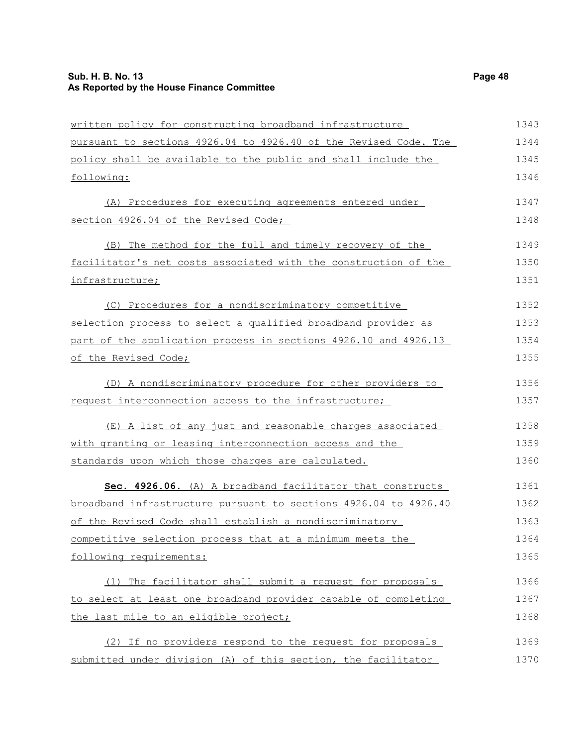### **Sub. H. B. No. 13 Page 48 As Reported by the House Finance Committee**

| written policy for constructing broadband infrastructure         | 1343 |
|------------------------------------------------------------------|------|
| pursuant to sections 4926.04 to 4926.40 of the Revised Code. The | 1344 |
| policy shall be available to the public and shall include the    | 1345 |
| following:                                                       | 1346 |
| (A) Procedures for executing agreements entered under            | 1347 |
| section 4926.04 of the Revised Code;                             | 1348 |
| (B) The method for the full and timely recovery of the           | 1349 |
| facilitator's net costs associated with the construction of the  | 1350 |
| infrastructure;                                                  | 1351 |
| (C) Procedures for a nondiscriminatory competitive               | 1352 |
| selection process to select a qualified broadband provider as    | 1353 |
| part of the application process in sections 4926.10 and 4926.13  | 1354 |
| of the Revised Code;                                             | 1355 |
| (D) A nondiscriminatory procedure for other providers to         | 1356 |
| request interconnection access to the infrastructure;            | 1357 |
| (E) A list of any just and reasonable charges associated         | 1358 |
| with granting or leasing interconnection access and the          | 1359 |
| standards upon which those charges are calculated.               | 1360 |
| Sec. 4926.06. (A) A broadband facilitator that constructs        | 1361 |
| broadband infrastructure pursuant to sections 4926.04 to 4926.40 | 1362 |
| of the Revised Code shall establish a nondiscriminatory          | 1363 |
| competitive selection process that at a minimum meets the        | 1364 |
| following requirements:                                          | 1365 |
| (1) The facilitator shall submit a request for proposals         | 1366 |
| to select at least one broadband provider capable of completing  | 1367 |
| the last mile to an eligible project;                            | 1368 |
| (2) If no providers respond to the request for proposals         | 1369 |
| submitted under division (A) of this section, the facilitator    | 1370 |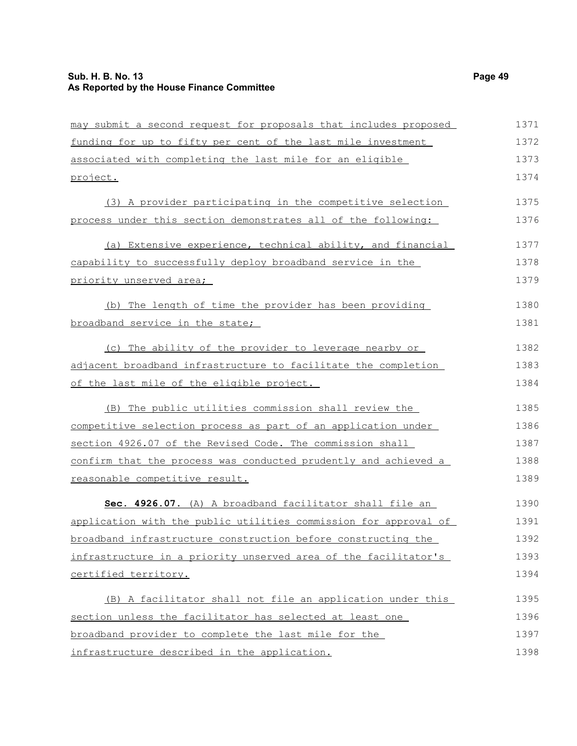### **Sub. H. B. No. 13 Page 49 As Reported by the House Finance Committee**

| may submit a second request for proposals that includes proposed | 1371 |
|------------------------------------------------------------------|------|
| funding for up to fifty per cent of the last mile investment     | 1372 |
| associated with completing the last mile for an eligible         | 1373 |
| project.                                                         | 1374 |
| (3) A provider participating in the competitive selection        | 1375 |
| process under this section demonstrates all of the following:    | 1376 |
| (a) Extensive experience, technical ability, and financial       | 1377 |
| capability to successfully deploy broadband service in the       | 1378 |
| priority unserved area;                                          | 1379 |
| (b) The length of time the provider has been providing           | 1380 |
| broadband service in the state;                                  | 1381 |
| (c) The ability of the provider to leverage nearby or            | 1382 |
| adjacent broadband infrastructure to facilitate the completion   | 1383 |
| of the last mile of the eligible project.                        | 1384 |
| (B) The public utilities commission shall review the             | 1385 |
| competitive selection process as part of an application under    | 1386 |
| section 4926.07 of the Revised Code. The commission shall        | 1387 |
| confirm that the process was conducted prudently and achieved a  | 1388 |
| reasonable competitive result.                                   | 1389 |
| Sec. 4926.07. (A) A broadband facilitator shall file an          | 1390 |
| application with the public utilities commission for approval of | 1391 |
| broadband infrastructure construction before constructing the    | 1392 |
| infrastructure in a priority unserved area of the facilitator's  | 1393 |
| certified territory.                                             | 1394 |
| (B) A facilitator shall not file an application under this       | 1395 |
| section unless the facilitator has selected at least one         | 1396 |
| broadband provider to complete the last mile for the             | 1397 |
| infrastructure described in the application.                     | 1398 |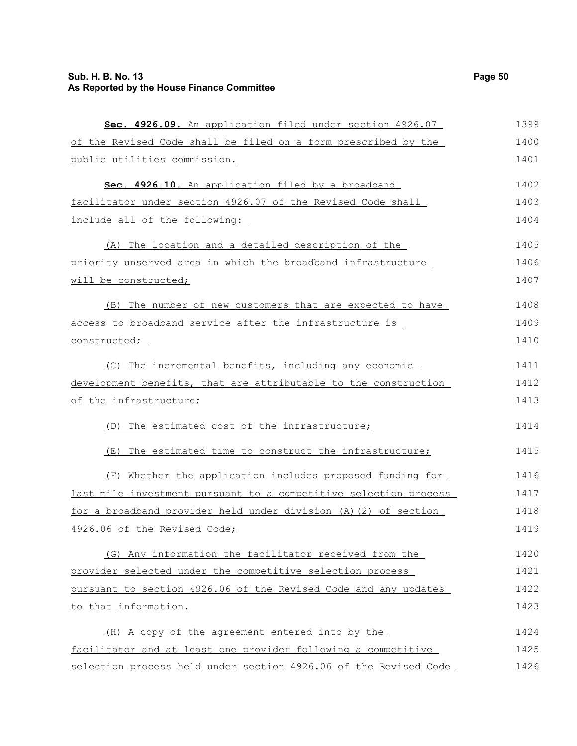| Sec. 4926.09. An application filed under section 4926.07         | 1399 |
|------------------------------------------------------------------|------|
| of the Revised Code shall be filed on a form prescribed by the   | 1400 |
| public utilities commission.                                     | 1401 |
| Sec. 4926.10. An application filed by a broadband                | 1402 |
| facilitator under section 4926.07 of the Revised Code shall      | 1403 |
| include all of the following:                                    | 1404 |
| (A) The location and a detailed description of the               | 1405 |
| priority unserved area in which the broadband infrastructure     | 1406 |
| will be constructed;                                             | 1407 |
| (B) The number of new customers that are expected to have        | 1408 |
| access to broadband service after the infrastructure is          | 1409 |
| constructed;                                                     | 1410 |
| (C) The incremental benefits, including any economic             | 1411 |
| development benefits, that are attributable to the construction  | 1412 |
| of the infrastructure;                                           | 1413 |
| (D) The estimated cost of the infrastructure;                    | 1414 |
| The estimated time to construct the infrastructure;<br>(E)       | 1415 |
| (F) Whether the application includes proposed funding for        | 1416 |
| last mile investment pursuant to a competitive selection process | 1417 |
| for a broadband provider held under division (A)(2) of section   | 1418 |
| 4926.06 of the Revised Code;                                     | 1419 |
| (G) Any information the facilitator received from the            | 1420 |
| provider selected under the competitive selection process        | 1421 |
| pursuant to section 4926.06 of the Revised Code and any updates  | 1422 |
| to that information.                                             | 1423 |
| (H) A copy of the agreement entered into by the                  | 1424 |
| facilitator and at least one provider following a competitive    | 1425 |
| selection process held under section 4926.06 of the Revised Code | 1426 |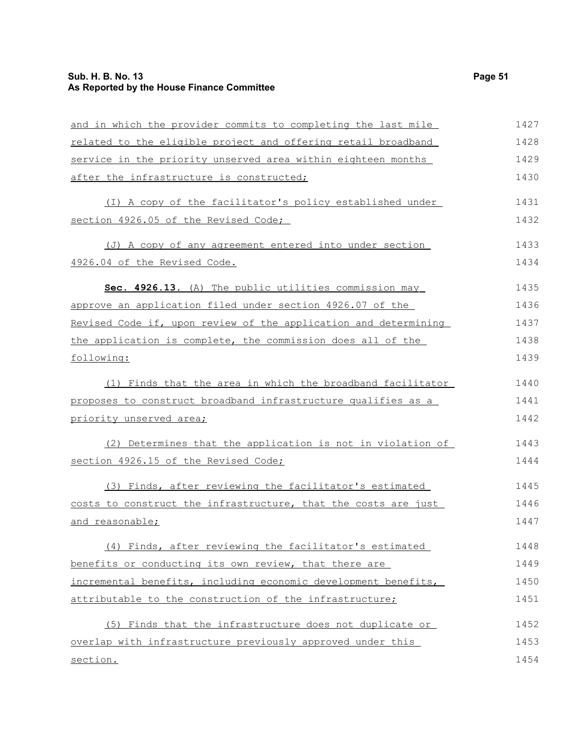### **Sub. H. B. No. 13 Page 51 As Reported by the House Finance Committee**

| and in which the provider commits to completing the last mile   | 1427 |
|-----------------------------------------------------------------|------|
| related to the eligible project and offering retail broadband   | 1428 |
| service in the priority unserved area within eighteen months    | 1429 |
| after the infrastructure is constructed;                        | 1430 |
| (I) A copy of the facilitator's policy established under        | 1431 |
| section 4926.05 of the Revised Code;                            | 1432 |
| (J) A copy of any agreement entered into under section          | 1433 |
| 4926.04 of the Revised Code.                                    | 1434 |
| Sec. 4926.13. (A) The public utilities commission may           | 1435 |
| approve an application filed under section 4926.07 of the       | 1436 |
| Revised Code if, upon review of the application and determining | 1437 |
| the application is complete, the commission does all of the     | 1438 |
| following:                                                      | 1439 |
| (1) Finds that the area in which the broadband facilitator      | 1440 |
| proposes to construct broadband infrastructure qualifies as a   | 1441 |
| priority unserved area;                                         | 1442 |
| (2) Determines that the application is not in violation of      | 1443 |
| section 4926.15 of the Revised Code;                            | 1444 |
| (3) Finds, after reviewing the facilitator's estimated          | 1445 |
| costs to construct the infrastructure, that the costs are just  | 1446 |
| and reasonable;                                                 | 1447 |
| (4) Finds, after reviewing the facilitator's estimated          | 1448 |
| benefits or conducting its own review, that there are           | 1449 |
| incremental benefits, including economic development benefits,  | 1450 |
| attributable to the construction of the infrastructure;         | 1451 |
| (5) Finds that the infrastructure does not duplicate or         | 1452 |
| overlap with infrastructure previously approved under this      | 1453 |
| section.                                                        | 1454 |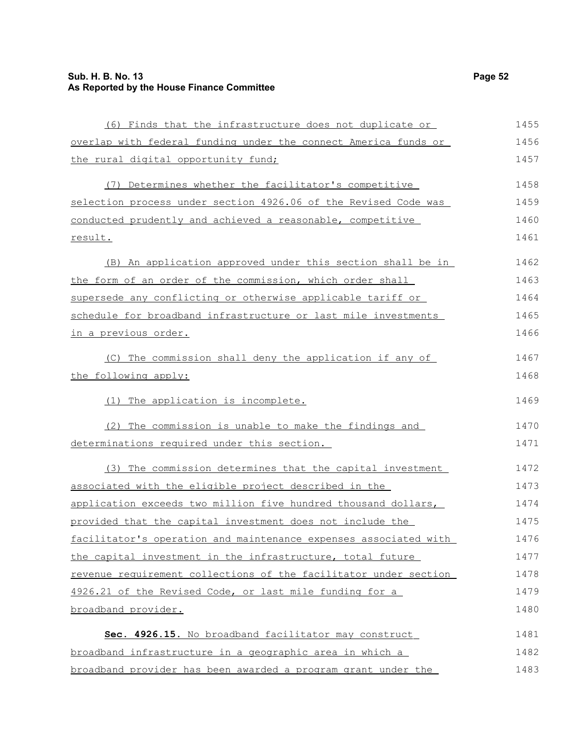### **Sub. H. B. No. 13 Page 52 As Reported by the House Finance Committee**

| (6) Finds that the infrastructure does not duplicate or          | 1455 |
|------------------------------------------------------------------|------|
| overlap with federal funding under the connect America funds or  | 1456 |
| the rural digital opportunity fund;                              | 1457 |
| (7) Determines whether the facilitator's competitive             | 1458 |
| selection process under section 4926.06 of the Revised Code was  | 1459 |
| conducted prudently and achieved a reasonable, competitive       | 1460 |
| result.                                                          | 1461 |
| (B) An application approved under this section shall be in       | 1462 |
| the form of an order of the commission, which order shall        | 1463 |
| supersede any conflicting or otherwise applicable tariff or      | 1464 |
| schedule for broadband infrastructure or last mile investments   | 1465 |
| in a previous order.                                             | 1466 |
| (C) The commission shall deny the application if any of          | 1467 |
| the following apply:                                             | 1468 |
| (1) The application is incomplete.                               | 1469 |
| (2) The commission is unable to make the findings and            | 1470 |
| determinations required under this section.                      | 1471 |
| (3) The commission determines that the capital investment        | 1472 |
| associated with the eligible project described in the            | 1473 |
| application exceeds two million five hundred thousand dollars,   | 1474 |
| provided that the capital investment does not include the        | 1475 |
| facilitator's operation and maintenance expenses associated with | 1476 |
| the capital investment in the infrastructure, total future       | 1477 |
| revenue requirement collections of the facilitator under section | 1478 |
| 4926.21 of the Revised Code, or last mile funding for a          | 1479 |
| broadband provider.                                              | 1480 |
| Sec. 4926.15. No broadband facilitator may construct             | 1481 |
| broadband infrastructure in a geographic area in which a         | 1482 |
| broadband provider has been awarded a program grant under the    | 1483 |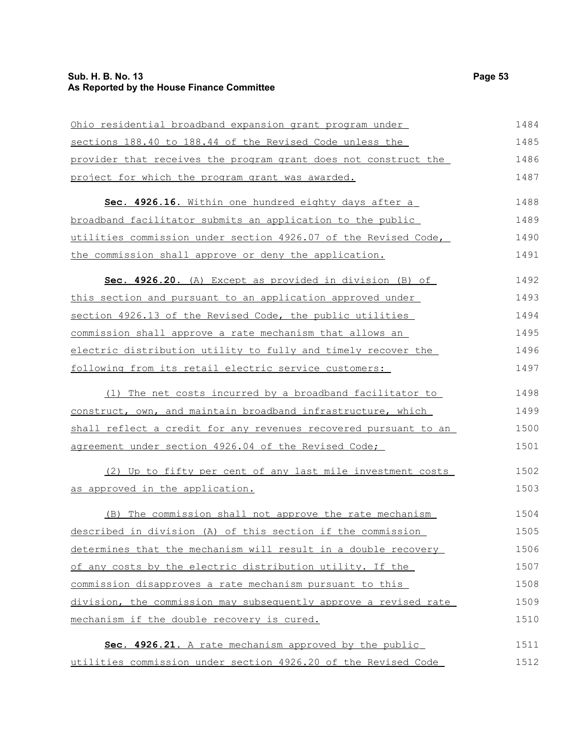### **Sub. H. B. No. 13 Page 53 As Reported by the House Finance Committee**

| Ohio residential broadband expansion grant program under         | 1484 |
|------------------------------------------------------------------|------|
| sections 188.40 to 188.44 of the Revised Code unless the         | 1485 |
| provider that receives the program grant does not construct the  | 1486 |
| project for which the program grant was awarded.                 | 1487 |
| Sec. 4926.16. Within one hundred eighty days after a             | 1488 |
| broadband facilitator submits an application to the public       | 1489 |
| utilities commission under section 4926.07 of the Revised Code,  | 1490 |
| the commission shall approve or deny the application.            | 1491 |
| Sec. 4926.20. (A) Except as provided in division (B) of          | 1492 |
| this section and pursuant to an application approved under       | 1493 |
| section 4926.13 of the Revised Code, the public utilities        | 1494 |
| commission shall approve a rate mechanism that allows an         | 1495 |
| electric distribution utility to fully and timely recover the    | 1496 |
| following from its retail electric service customers:            | 1497 |
| (1) The net costs incurred by a broadband facilitator to         | 1498 |
| construct, own, and maintain broadband infrastructure, which     | 1499 |
| shall reflect a credit for any revenues recovered pursuant to an | 1500 |
| agreement under section 4926.04 of the Revised Code;             | 1501 |
| (2) Up to fifty per cent of any last mile investment costs       | 1502 |
| as approved in the application.                                  | 1503 |
| (B) The commission shall not approve the rate mechanism          | 1504 |
| described in division (A) of this section if the commission      | 1505 |
| determines that the mechanism will result in a double recovery   | 1506 |
| of any costs by the electric distribution utility. If the        | 1507 |
| commission disapproves a rate mechanism pursuant to this         | 1508 |
| division, the commission may subsequently approve a revised rate | 1509 |
| mechanism if the double recovery is cured.                       | 1510 |
| Sec. 4926.21. A rate mechanism approved by the public            | 1511 |
| utilities commission under section 4926.20 of the Revised Code   | 1512 |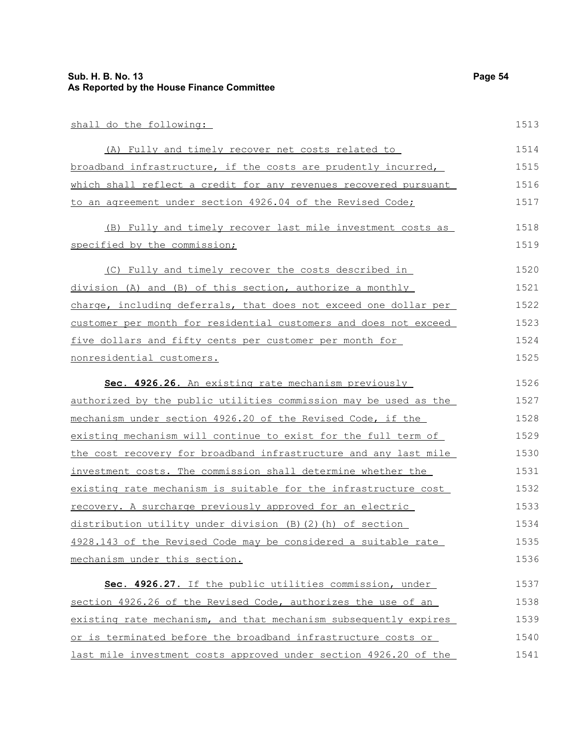| shall do the following:                                          | 1513 |
|------------------------------------------------------------------|------|
| (A) Fully and timely recover net costs related to                | 1514 |
| broadband infrastructure, if the costs are prudently incurred,   | 1515 |
| which shall reflect a credit for any revenues recovered pursuant | 1516 |
| to an agreement under section 4926.04 of the Revised Code;       | 1517 |
| (B) Fully and timely recover last mile investment costs as       | 1518 |
| specified by the commission;                                     | 1519 |
| (C) Fully and timely recover the costs described in              | 1520 |
| division (A) and (B) of this section, authorize a monthly        | 1521 |
| charge, including deferrals, that does not exceed one dollar per | 1522 |
| customer per month for residential customers and does not exceed | 1523 |
| five dollars and fifty cents per customer per month for          | 1524 |
| nonresidential customers.                                        | 1525 |

 **Sec. 4926.26.** An existing rate mechanism previously authorized by the public utilities commission may be used as the mechanism under section 4926.20 of the Revised Code, if the existing mechanism will continue to exist for the full term of the cost recovery for broadband infrastructure and any last mile investment costs. The commission shall determine whether the existing rate mechanism is suitable for the infrastructure cost recovery. A surcharge previously approved for an electric distribution utility under division (B)(2)(h) of section 4928.143 of the Revised Code may be considered a suitable rate mechanism under this section. 1526 1527 1528 1529 1530 1531 1532 1533 1534 1535 1536

 **Sec. 4926.27.** If the public utilities commission, under section 4926.26 of the Revised Code, authorizes the use of an existing rate mechanism, and that mechanism subsequently expires or is terminated before the broadband infrastructure costs or last mile investment costs approved under section 4926.20 of the 1537 1538 1539 1540 1541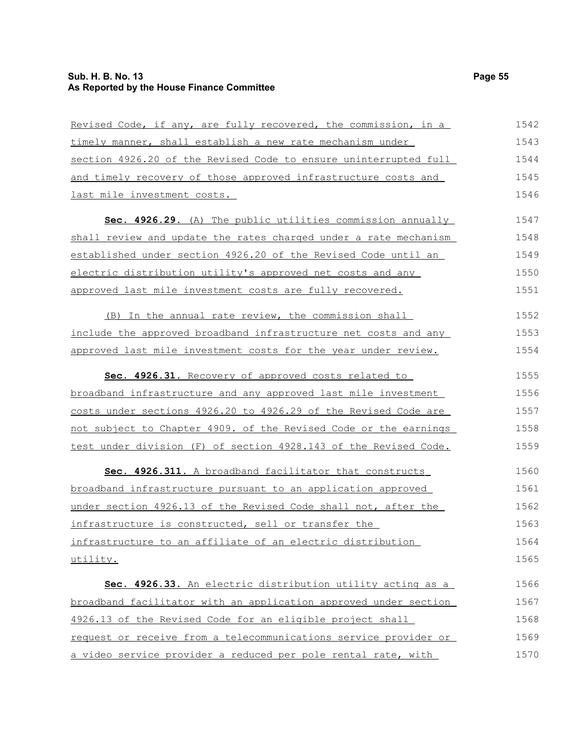| Revised Code, if any, are fully recovered, the commission, in a  | 1542 |
|------------------------------------------------------------------|------|
| timely manner, shall establish a new rate mechanism under        | 1543 |
| section 4926.20 of the Revised Code to ensure uninterrupted full | 1544 |
| and timely recovery of those approved infrastructure costs and   | 1545 |
| last mile investment costs.                                      | 1546 |
| Sec. 4926.29. (A) The public utilities commission annually       | 1547 |
| shall review and update the rates charged under a rate mechanism | 1548 |
| established under section 4926.20 of the Revised Code until an   | 1549 |
| electric distribution utility's approved net costs and any       | 1550 |
| approved last mile investment costs are fully recovered.         | 1551 |
| (B) In the annual rate review, the commission shall              | 1552 |
| include the approved broadband infrastructure net costs and any  | 1553 |
| approved last mile investment costs for the year under review.   | 1554 |
| Sec. 4926.31. Recovery of approved costs related to              | 1555 |
| broadband infrastructure and any approved last mile investment   | 1556 |
| costs under sections 4926.20 to 4926.29 of the Revised Code are  | 1557 |
| not subject to Chapter 4909. of the Revised Code or the earnings | 1558 |
| test under division (F) of section 4928.143 of the Revised Code. | 1559 |
| Sec. 4926.311. A broadband facilitator that constructs           | 1560 |
| broadband infrastructure pursuant to an application approved     | 1561 |
| under section 4926.13 of the Revised Code shall not, after the   | 1562 |
| infrastructure is constructed, sell or transfer the              | 1563 |
| infrastructure to an affiliate of an electric distribution       | 1564 |
| utility.                                                         | 1565 |
| Sec. 4926.33. An electric distribution utility acting as a       | 1566 |
| broadband facilitator with an application approved under section | 1567 |
| 4926.13 of the Revised Code for an eligible project shall        | 1568 |
| request or receive from a telecommunications service provider or | 1569 |
| a video service provider a reduced per pole rental rate, with    | 1570 |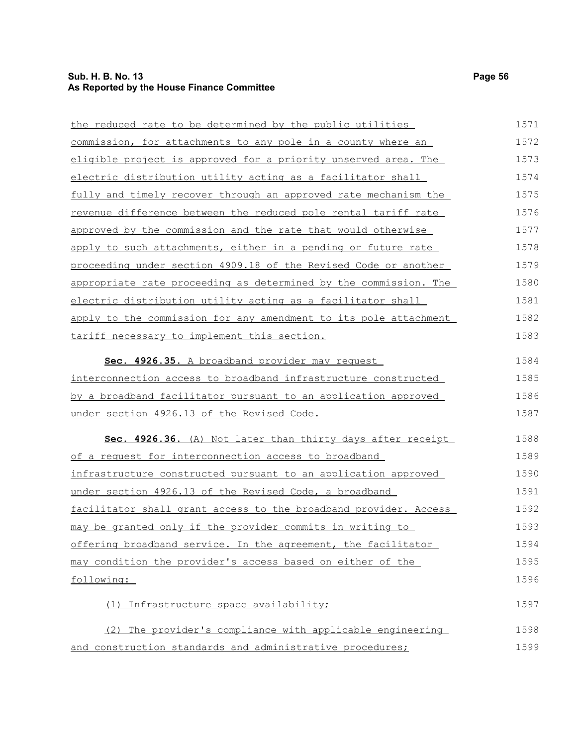### **Sub. H. B. No. 13 Page 56 As Reported by the House Finance Committee**

| the reduced rate to be determined by the public utilities             | 1571 |
|-----------------------------------------------------------------------|------|
| commission, for attachments to any pole in a county where an          | 1572 |
| eligible project is approved for a priority unserved area. The        | 1573 |
| electric distribution utility acting as a facilitator shall           | 1574 |
| fully and timely recover through an approved rate mechanism the       | 1575 |
| <u>revenue difference between the reduced pole rental tariff rate</u> | 1576 |
| approved by the commission and the rate that would otherwise          | 1577 |
| apply to such attachments, either in a pending or future rate         | 1578 |
| proceeding under section 4909.18 of the Revised Code or another       | 1579 |
| appropriate rate proceeding as determined by the commission. The      | 1580 |
| electric distribution utility acting as a facilitator shall           | 1581 |
| apply to the commission for any amendment to its pole attachment      | 1582 |
| tariff necessary to implement this section.                           | 1583 |
| Sec. 4926.35. A broadband provider may request                        | 1584 |
| interconnection access to broadband infrastructure constructed        | 1585 |
| by a broadband facilitator pursuant to an application approved        | 1586 |
| under section 4926.13 of the Revised Code.                            | 1587 |
| Sec. 4926.36. (A) Not later than thirty days after receipt            | 1588 |
| of a request for interconnection access to broadband                  | 1589 |
| infrastructure constructed pursuant to an application approved        | 1590 |
| under section 4926.13 of the Revised Code, a broadband                | 1591 |
| facilitator shall grant access to the broadband provider. Access      | 1592 |
| may be granted only if the provider commits in writing to             | 1593 |
| offering broadband service. In the agreement, the facilitator         | 1594 |
| may condition the provider's access based on either of the            | 1595 |
| following:                                                            | 1596 |
| (1) Infrastructure space availability;                                | 1597 |
| (2) The provider's compliance with applicable engineering             | 1598 |
| and construction standards and administrative procedures;             | 1599 |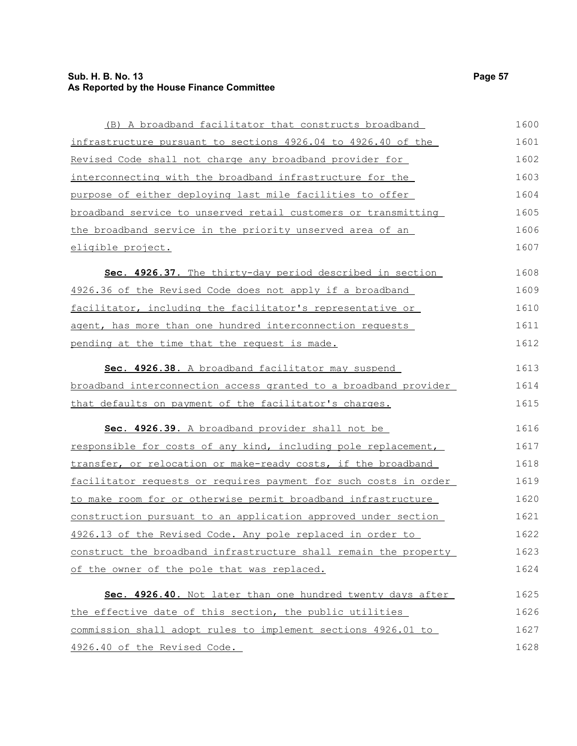### **Sub. H. B. No. 13 Page 57 As Reported by the House Finance Committee**

| (B) A broadband facilitator that constructs broadband                   | 1600 |
|-------------------------------------------------------------------------|------|
| infrastructure pursuant to sections 4926.04 to 4926.40 of the           | 1601 |
| Revised Code shall not charge any broadband provider for                | 1602 |
| <u>interconnecting with the broadband infrastructure for the</u>        | 1603 |
| purpose of either deploying last mile facilities to offer               | 1604 |
| <u>broadband service to unserved retail customers or transmitting</u>   | 1605 |
| the broadband service in the priority unserved area of an               | 1606 |
| eligible project.                                                       | 1607 |
| Sec. 4926.37. The thirty-day period described in section                | 1608 |
| 4926.36 of the Revised Code does not apply if a broadband               | 1609 |
| facilitator, including the facilitator's representative or              | 1610 |
| agent, has more than one hundred interconnection requests               | 1611 |
| pending at the time that the request is made.                           | 1612 |
| Sec. 4926.38. A broadband facilitator may suspend                       | 1613 |
| broadband interconnection access granted to a broadband provider        | 1614 |
| that defaults on payment of the facilitator's charges.                  | 1615 |
| Sec. 4926.39. A broadband provider shall not be                         | 1616 |
| responsible for costs of any kind, including pole replacement,          | 1617 |
| transfer, or relocation or make-ready costs, if the broadband           | 1618 |
| <u>facilitator requests or requires payment for such costs in order</u> | 1619 |
| to make room for or otherwise permit broadband infrastructure           | 1620 |
| construction pursuant to an application approved under section          | 1621 |
| 4926.13 of the Revised Code. Any pole replaced in order to              | 1622 |
| construct the broadband infrastructure shall remain the property        | 1623 |
| of the owner of the pole that was replaced.                             | 1624 |
| Sec. 4926.40. Not later than one hundred twenty days after              | 1625 |
| the effective date of this section, the public utilities                | 1626 |
| commission shall adopt rules to implement sections 4926.01 to           | 1627 |
| 4926.40 of the Revised Code.                                            | 1628 |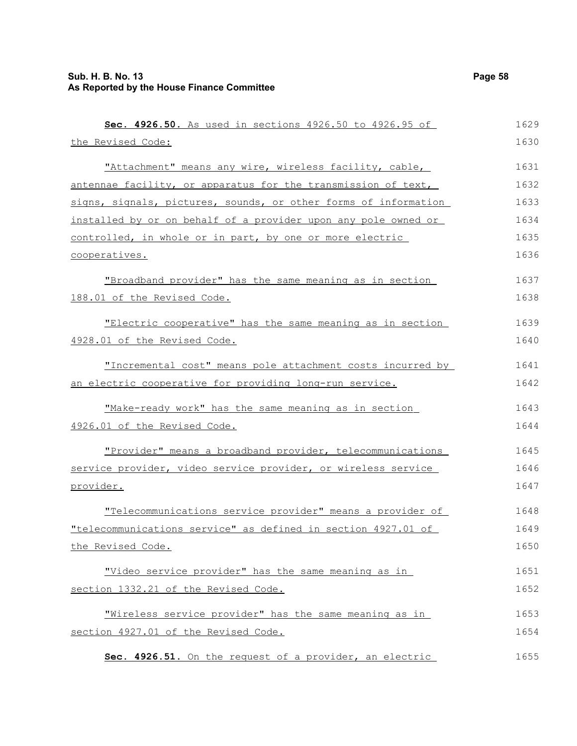| Sec. 4926.50. As used in sections 4926.50 to 4926.95 of         | 1629 |
|-----------------------------------------------------------------|------|
| the Revised Code:                                               | 1630 |
| "Attachment" means any wire, wireless facility, cable,          | 1631 |
| antennae facility, or apparatus for the transmission of text,   | 1632 |
| signs, signals, pictures, sounds, or other forms of information | 1633 |
| installed by or on behalf of a provider upon any pole owned or  | 1634 |
| controlled, in whole or in part, by one or more electric        | 1635 |
| cooperatives.                                                   | 1636 |
| "Broadband provider" has the same meaning as in section         | 1637 |
| 188.01 of the Revised Code.                                     | 1638 |
| "Electric cooperative" has the same meaning as in section       | 1639 |
| 4928.01 of the Revised Code.                                    | 1640 |
| "Incremental cost" means pole attachment costs incurred by      | 1641 |
| an electric cooperative for providing long-run service.         | 1642 |
| "Make-ready work" has the same meaning as in section            | 1643 |
| 4926.01 of the Revised Code.                                    | 1644 |
| "Provider" means a broadband provider, telecommunications       | 1645 |
| service provider, video service provider, or wireless service   | 1646 |
| provider.                                                       | 1647 |
| "Telecommunications service provider" means a provider of       | 1648 |
| "telecommunications service" as defined in section 4927.01 of   | 1649 |
| the Revised Code.                                               | 1650 |
| "Video service provider" has the same meaning as in             | 1651 |
| section 1332.21 of the Revised Code.                            | 1652 |
| "Wireless service provider" has the same meaning as in          | 1653 |
| section 4927.01 of the Revised Code.                            | 1654 |
| Sec. 4926.51. On the request of a provider, an electric         | 1655 |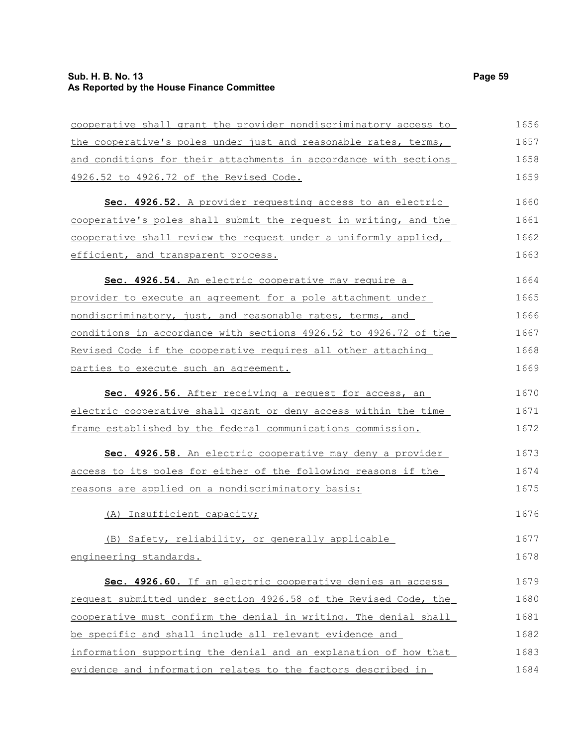### **Sub. H. B. No. 13 Page 59 As Reported by the House Finance Committee**

| cooperative shall grant the provider nondiscriminatory access to | 1656 |
|------------------------------------------------------------------|------|
| the cooperative's poles under just and reasonable rates, terms,  | 1657 |
| and conditions for their attachments in accordance with sections | 1658 |
| 4926.52 to 4926.72 of the Revised Code.                          | 1659 |
| Sec. 4926.52. A provider requesting access to an electric        | 1660 |
| cooperative's poles shall submit the request in writing, and the | 1661 |
| cooperative shall review the request under a uniformly applied,  | 1662 |
| efficient, and transparent process.                              | 1663 |
| Sec. 4926.54. An electric cooperative may require a              | 1664 |
| provider to execute an agreement for a pole attachment under     | 1665 |
| nondiscriminatory, just, and reasonable rates, terms, and        | 1666 |
| conditions in accordance with sections 4926.52 to 4926.72 of the | 1667 |
| Revised Code if the cooperative requires all other attaching     | 1668 |
| parties to execute such an agreement.                            | 1669 |
| Sec. 4926.56. After receiving a request for access, an           | 1670 |
| electric cooperative shall grant or deny access within the time  | 1671 |
| frame established by the federal communications commission.      | 1672 |
| Sec. 4926.58. An electric cooperative may deny a provider        | 1673 |
| access to its poles for either of the following reasons if the   | 1674 |
| reasons are applied on a nondiscriminatory basis:                | 1675 |
| (A) Insufficient capacity;                                       | 1676 |
| (B) Safety, reliability, or generally applicable                 | 1677 |
| engineering standards.                                           | 1678 |
| Sec. 4926.60. If an electric cooperative denies an access        | 1679 |
| request submitted under section 4926.58 of the Revised Code, the | 1680 |
| cooperative must confirm the denial in writing. The denial shall | 1681 |
| be specific and shall include all relevant evidence and          | 1682 |
| information supporting the denial and an explanation of how that | 1683 |
| evidence and information relates to the factors described in     | 1684 |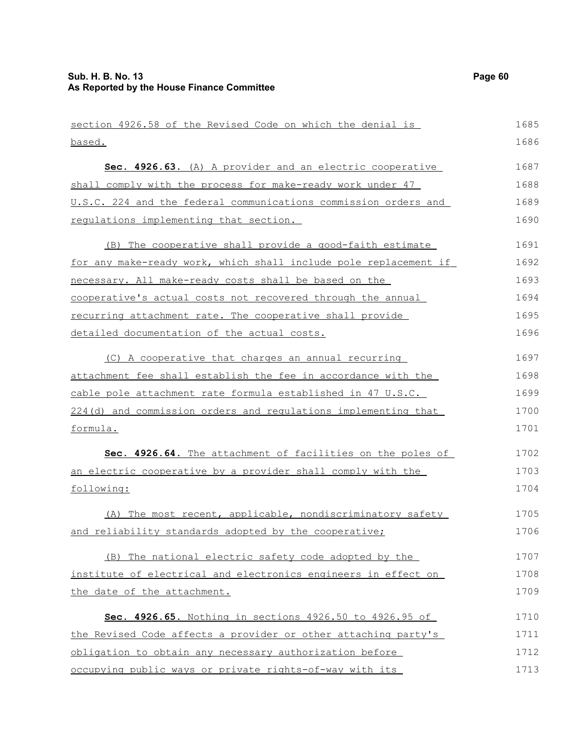| section 4926.58 of the Revised Code on which the denial is            | 1685 |
|-----------------------------------------------------------------------|------|
| based.                                                                | 1686 |
| Sec. 4926.63. (A) A provider and an electric cooperative              | 1687 |
| shall comply with the process for make-ready work under 47            | 1688 |
| U.S.C. 224 and the federal communications commission orders and       | 1689 |
| requlations implementing that section.                                | 1690 |
| (B) The cooperative shall provide a good-faith estimate               | 1691 |
| for any make-ready work, which shall include pole replacement if      | 1692 |
| necessary. All make-ready costs shall be based on the                 | 1693 |
| cooperative's actual costs not recovered through the annual           | 1694 |
| recurring attachment rate. The cooperative shall provide              | 1695 |
| detailed documentation of the actual costs.                           | 1696 |
| (C) A cooperative that charges an annual recurring                    | 1697 |
| <u>attachment fee shall establish the fee in accordance with the </u> | 1698 |
| cable pole attachment rate formula established in 47 U.S.C.           | 1699 |
| 224(d) and commission orders and requlations implementing that        | 1700 |
| formula.                                                              | 1701 |
| Sec. 4926.64. The attachment of facilities on the poles of            | 1702 |
| an electric cooperative by a provider shall comply with the           | 1703 |
| following:                                                            | 1704 |
| (A) The most recent, applicable, nondiscriminatory safety             | 1705 |
| and reliability standards adopted by the cooperative;                 | 1706 |
| (B) The national electric safety code adopted by the                  | 1707 |
| institute of electrical and electronics engineers in effect on        | 1708 |
| the date of the attachment.                                           | 1709 |
| Sec. 4926.65. Nothing in sections 4926.50 to 4926.95 of               | 1710 |
| the Revised Code affects a provider or other attaching party's        | 1711 |
| obligation to obtain any necessary authorization before               | 1712 |
| occupying public ways or private rights-of-way with its               | 1713 |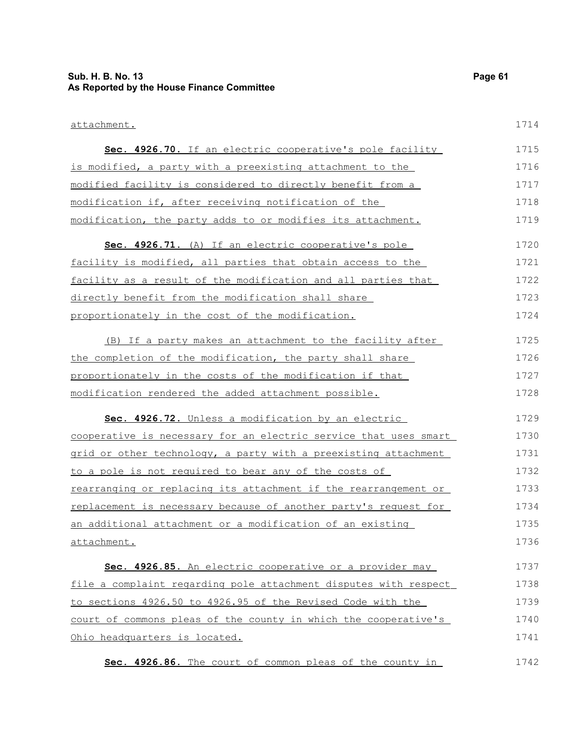### **Sub. H. B. No. 13 Page 61 As Reported by the House Finance Committee**

#### attachment.

| Sec. 4926.70. If an electric cooperative's pole facility         | 1715 |
|------------------------------------------------------------------|------|
| is modified, a party with a preexisting attachment to the        | 1716 |
| modified facility is considered to directly benefit from a       | 1717 |
| modification if, after receiving notification of the             | 1718 |
| modification, the party adds to or modifies its attachment.      | 1719 |
| Sec. 4926.71. (A) If an electric cooperative's pole              | 1720 |
| facility is modified, all parties that obtain access to the      | 1721 |
| facility as a result of the modification and all parties that    | 1722 |
| directly benefit from the modification shall share               | 1723 |
| proportionately in the cost of the modification.                 | 1724 |
| (B) If a party makes an attachment to the facility after         | 1725 |
| the completion of the modification, the party shall share        | 1726 |
| proportionately in the costs of the modification if that         | 1727 |
| modification rendered the added attachment possible.             | 1728 |
| Sec. 4926.72. Unless a modification by an electric               | 1729 |
| cooperative is necessary for an electric service that uses smart | 1730 |
| grid or other technology, a party with a preexisting attachment  | 1731 |
| to a pole is not required to bear any of the costs of            | 1732 |
| rearranging or replacing its attachment if the rearrangement or  | 1733 |
| replacement is necessary because of another party's request for  | 1734 |
| an additional attachment or a modification of an existing        | 1735 |
| attachment.                                                      | 1736 |
| Sec. 4926.85. An electric cooperative or a provider may          | 1737 |
| file a complaint regarding pole attachment disputes with respect | 1738 |
| to sections 4926.50 to 4926.95 of the Revised Code with the      | 1739 |
| court of commons pleas of the county in which the cooperative's  | 1740 |
| Ohio headquarters is located.                                    | 1741 |
| Sec. 4926.86. The court of common pleas of the county in         | 1742 |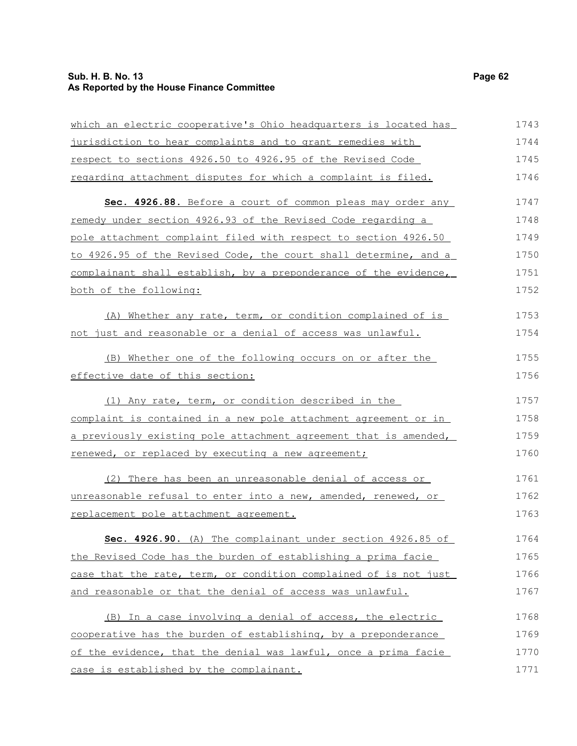### **Sub. H. B. No. 13 Page 62 As Reported by the House Finance Committee**

| which an electric cooperative's Ohio headquarters is located has | 1743 |
|------------------------------------------------------------------|------|
| jurisdiction to hear complaints and to grant remedies with       | 1744 |
| respect to sections 4926.50 to 4926.95 of the Revised Code       | 1745 |
| regarding attachment disputes for which a complaint is filed.    | 1746 |
| Sec. 4926.88. Before a court of common pleas may order any       | 1747 |
| remedy under section 4926.93 of the Revised Code regarding a     | 1748 |
| pole attachment complaint filed with respect to section 4926.50  | 1749 |
| to 4926.95 of the Revised Code, the court shall determine, and a | 1750 |
| complainant shall establish, by a preponderance of the evidence, | 1751 |
| both of the following:                                           | 1752 |
| (A) Whether any rate, term, or condition complained of is        | 1753 |
| not just and reasonable or a denial of access was unlawful.      | 1754 |
| (B) Whether one of the following occurs on or after the          | 1755 |
| effective date of this section:                                  | 1756 |
| (1) Any rate, term, or condition described in the                | 1757 |
| complaint is contained in a new pole attachment agreement or in  | 1758 |
| a previously existing pole attachment agreement that is amended, | 1759 |
| renewed, or replaced by executing a new agreement;               | 1760 |
| (2) There has been an unreasonable denial of access or           | 1761 |
| unreasonable refusal to enter into a new, amended, renewed, or   | 1762 |
| replacement pole attachment agreement.                           | 1763 |
| Sec. 4926.90. (A) The complainant under section 4926.85 of       | 1764 |
| the Revised Code has the burden of establishing a prima facie    | 1765 |
| case that the rate, term, or condition complained of is not just | 1766 |
| and reasonable or that the denial of access was unlawful.        | 1767 |
| (B) In a case involving a denial of access, the electric         | 1768 |
| cooperative has the burden of establishing, by a preponderance   | 1769 |
| of the evidence, that the denial was lawful, once a prima facie  | 1770 |
| case is established by the complainant.                          | 1771 |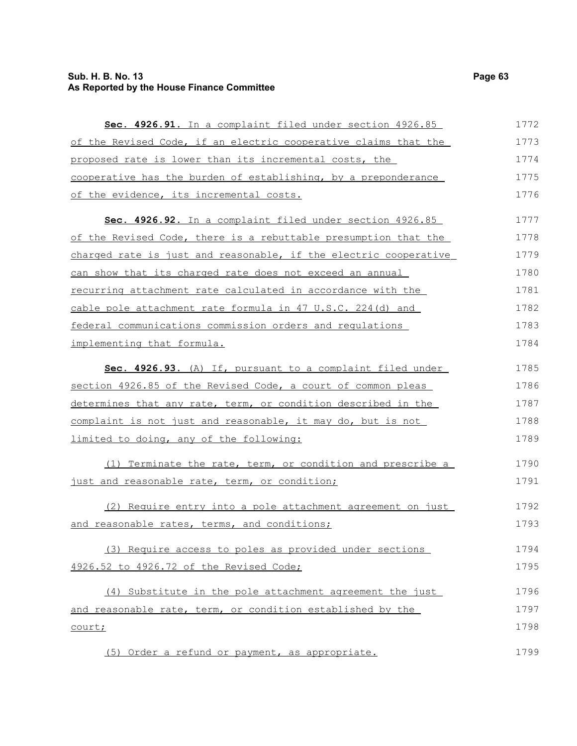### **Sub. H. B. No. 13 Page 63 As Reported by the House Finance Committee**

| Sec. 4926.91. In a complaint filed under section 4926.85           | 1772 |  |  |  |  |  |  |  |
|--------------------------------------------------------------------|------|--|--|--|--|--|--|--|
| of the Revised Code, if an electric cooperative claims that the    | 1773 |  |  |  |  |  |  |  |
| proposed rate is lower than its incremental costs, the             | 1774 |  |  |  |  |  |  |  |
| cooperative has the burden of establishing, by a preponderance     | 1775 |  |  |  |  |  |  |  |
| of the evidence, its incremental costs.                            | 1776 |  |  |  |  |  |  |  |
| Sec. 4926.92. In a complaint filed under section 4926.85           | 1777 |  |  |  |  |  |  |  |
| of the Revised Code, there is a rebuttable presumption that the    |      |  |  |  |  |  |  |  |
| charged rate is just and reasonable, if the electric cooperative   | 1779 |  |  |  |  |  |  |  |
| can show that its charged rate does not exceed an annual           | 1780 |  |  |  |  |  |  |  |
| <u>recurring attachment rate calculated in accordance with the</u> | 1781 |  |  |  |  |  |  |  |
| cable pole attachment rate formula in 47 U.S.C. 224(d) and         | 1782 |  |  |  |  |  |  |  |
| federal communications commission orders and regulations           | 1783 |  |  |  |  |  |  |  |
| implementing that formula.                                         | 1784 |  |  |  |  |  |  |  |
| Sec. 4926.93. (A) If, pursuant to a complaint filed under          | 1785 |  |  |  |  |  |  |  |
| section 4926.85 of the Revised Code, a court of common pleas       | 1786 |  |  |  |  |  |  |  |
| determines that any rate, term, or condition described in the      | 1787 |  |  |  |  |  |  |  |
| complaint is not just and reasonable, it may do, but is not        | 1788 |  |  |  |  |  |  |  |
| limited to doing, any of the following:                            | 1789 |  |  |  |  |  |  |  |
| (1) Terminate the rate, term, or condition and prescribe a         | 1790 |  |  |  |  |  |  |  |
| just and reasonable rate, term, or condition;                      | 1791 |  |  |  |  |  |  |  |
| (2) Require entry into a pole attachment agreement on just         | 1792 |  |  |  |  |  |  |  |
| and reasonable rates, terms, and conditions;                       | 1793 |  |  |  |  |  |  |  |
| (3) Require access to poles as provided under sections             | 1794 |  |  |  |  |  |  |  |
| 4926.52 to 4926.72 of the Revised Code;                            | 1795 |  |  |  |  |  |  |  |
| (4) Substitute in the pole attachment agreement the just           | 1796 |  |  |  |  |  |  |  |
| and reasonable rate, term, or condition established by the         | 1797 |  |  |  |  |  |  |  |
| court;                                                             | 1798 |  |  |  |  |  |  |  |
| (5) Order a refund or payment, as appropriate.                     | 1799 |  |  |  |  |  |  |  |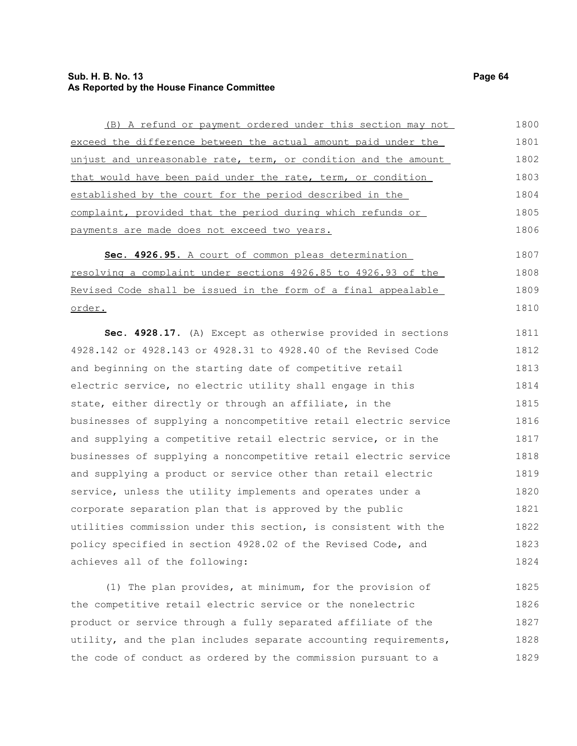#### **Sub. H. B. No. 13 Page 64 As Reported by the House Finance Committee**

(B) A refund or payment ordered under this section may not exceed the difference between the actual amount paid under the unjust and unreasonable rate, term, or condition and the amount that would have been paid under the rate, term, or condition established by the court for the period described in the complaint, provided that the period during which refunds or payments are made does not exceed two years. **Sec. 4926.95 .** A court of common pleas determination resolving a complaint under sections 4926.85 to 4926.93 of the Revised Code shall be issued in the form of a final appealable order. **Sec. 4928.17.** (A) Except as otherwise provided in sections 4928.142 or 4928.143 or 4928.31 to 4928.40 of the Revised Code and beginning on the starting date of competitive retail electric service, no electric utility shall engage in this state, either directly or through an affiliate, in the businesses of supplying a noncompetitive retail electric service and supplying a competitive retail electric service, or in the businesses of supplying a noncompetitive retail electric service and supplying a product or service other than retail electric service, unless the utility implements and operates under a corporate separation plan that is approved by the public utilities commission under this section, is consistent with the policy specified in section 4928.02 of the Revised Code, and achieves all of the following: (1) The plan provides, at minimum, for the provision of the competitive retail electric service or the nonelectric product or service through a fully separated affiliate of the utility, and the plan includes separate accounting requirements, 1800 1801 1802 1803 1804 1805 1806 1807 1808 1809 1810 1811 1812 1813 1814 1815 1816 1817 1818 1819 1820 1821 1822 1823 1824 1825 1826 1827

the code of conduct as ordered by the commission pursuant to a

1828 1829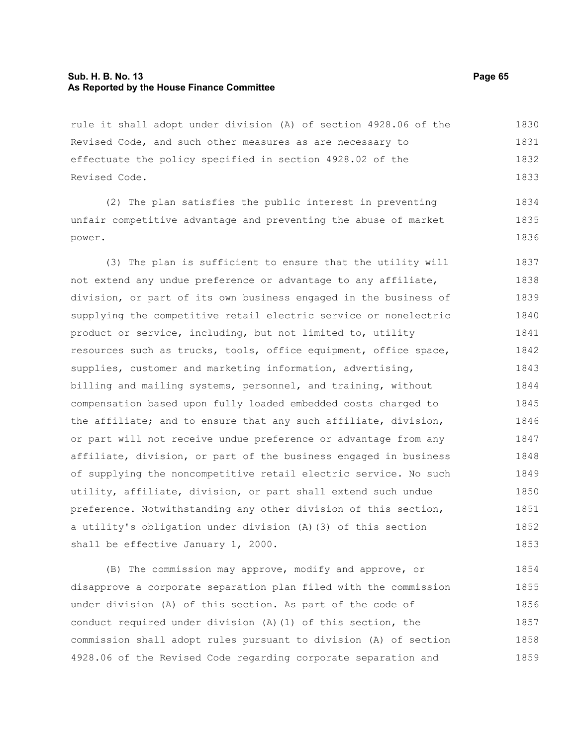#### **Sub. H. B. No. 13 Page 65 As Reported by the House Finance Committee**

rule it shall adopt under division (A) of section 4928.06 of the Revised Code, and such other measures as are necessary to effectuate the policy specified in section 4928.02 of the Revised Code. 1830 1831 1832 1833

(2) The plan satisfies the public interest in preventing unfair competitive advantage and preventing the abuse of market power. 1834 1835 1836

(3) The plan is sufficient to ensure that the utility will not extend any undue preference or advantage to any affiliate, division, or part of its own business engaged in the business of supplying the competitive retail electric service or nonelectric product or service, including, but not limited to, utility resources such as trucks, tools, office equipment, office space, supplies, customer and marketing information, advertising, billing and mailing systems, personnel, and training, without compensation based upon fully loaded embedded costs charged to the affiliate; and to ensure that any such affiliate, division, or part will not receive undue preference or advantage from any affiliate, division, or part of the business engaged in business of supplying the noncompetitive retail electric service. No such utility, affiliate, division, or part shall extend such undue preference. Notwithstanding any other division of this section, a utility's obligation under division (A)(3) of this section shall be effective January 1, 2000. 1837 1838 1839 1840 1841 1842 1843 1844 1845 1846 1847 1848 1849 1850 1851 1852 1853

(B) The commission may approve, modify and approve, or disapprove a corporate separation plan filed with the commission under division (A) of this section. As part of the code of conduct required under division (A)(1) of this section, the commission shall adopt rules pursuant to division (A) of section 4928.06 of the Revised Code regarding corporate separation and 1854 1855 1856 1857 1858 1859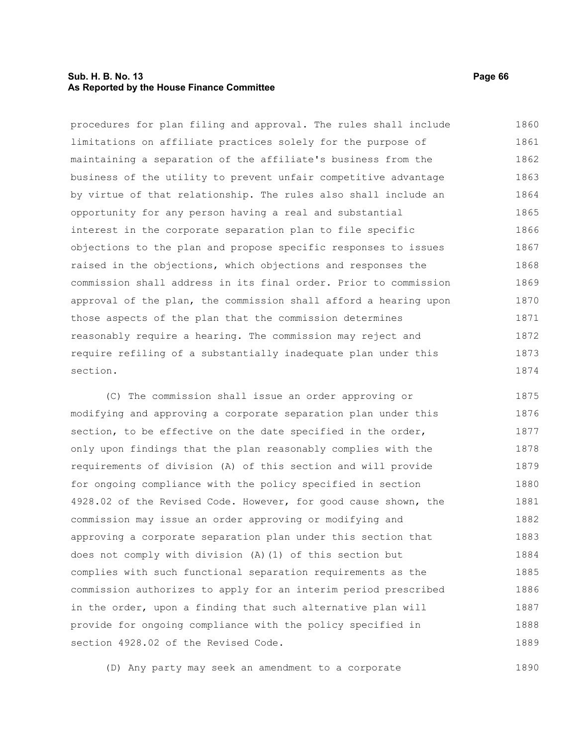#### **Sub. H. B. No. 13 Page 66 As Reported by the House Finance Committee**

procedures for plan filing and approval. The rules shall include limitations on affiliate practices solely for the purpose of maintaining a separation of the affiliate's business from the business of the utility to prevent unfair competitive advantage by virtue of that relationship. The rules also shall include an opportunity for any person having a real and substantial interest in the corporate separation plan to file specific objections to the plan and propose specific responses to issues raised in the objections, which objections and responses the commission shall address in its final order. Prior to commission approval of the plan, the commission shall afford a hearing upon those aspects of the plan that the commission determines reasonably require a hearing. The commission may reject and require refiling of a substantially inadequate plan under this section. 1860 1861 1862 1863 1864 1865 1866 1867 1868 1869 1870 1871 1872 1873 1874

(C) The commission shall issue an order approving or modifying and approving a corporate separation plan under this section, to be effective on the date specified in the order, only upon findings that the plan reasonably complies with the requirements of division (A) of this section and will provide for ongoing compliance with the policy specified in section 4928.02 of the Revised Code. However, for good cause shown, the commission may issue an order approving or modifying and approving a corporate separation plan under this section that does not comply with division (A)(1) of this section but complies with such functional separation requirements as the commission authorizes to apply for an interim period prescribed in the order, upon a finding that such alternative plan will provide for ongoing compliance with the policy specified in section 4928.02 of the Revised Code. 1875 1876 1877 1878 1879 1880 1881 1882 1883 1884 1885 1886 1887 1888 1889

(D) Any party may seek an amendment to a corporate 1890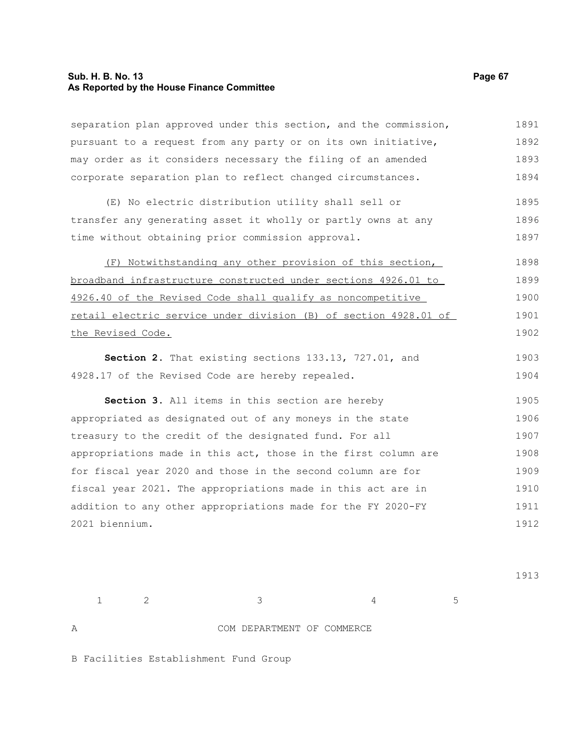#### **Sub. H. B. No. 13 Page 67 As Reported by the House Finance Committee**

separation plan approved under this section, and the commission, pursuant to a request from any party or on its own initiative, may order as it considers necessary the filing of an amended corporate separation plan to reflect changed circumstances. (E) No electric distribution utility shall sell or transfer any generating asset it wholly or partly owns at any time without obtaining prior commission approval. (F) Notwithstanding any other provision of this section, broadband infrastructure constructed under sections 4926.01 to 4926.40 of the Revised Code shall qualify as noncompetitive retail electric service under division (B) of section 4928.01 of the Revised Code. **Section 2.** That existing sections 133.13, 727.01, and 4928.17 of the Revised Code are hereby repealed. **Section 3.** All items in this section are hereby appropriated as designated out of any moneys in the state treasury to the credit of the designated fund. For all appropriations made in this act, those in the first column are for fiscal year 2020 and those in the second column are for fiscal year 2021. The appropriations made in this act are in addition to any other appropriations made for the FY 2020-FY 2021 biennium. 1891 1892 1893 1894 1895 1896 1897 1898 1899 1900 1901 1902 1903 1904 1905 1906 1907 1908 1909 1910 1911 1912

1913

 $1 \t 2 \t 3 \t 4 \t 5$ A COM DEPARTMENT OF COMMERCE

B Facilities Establishment Fund Group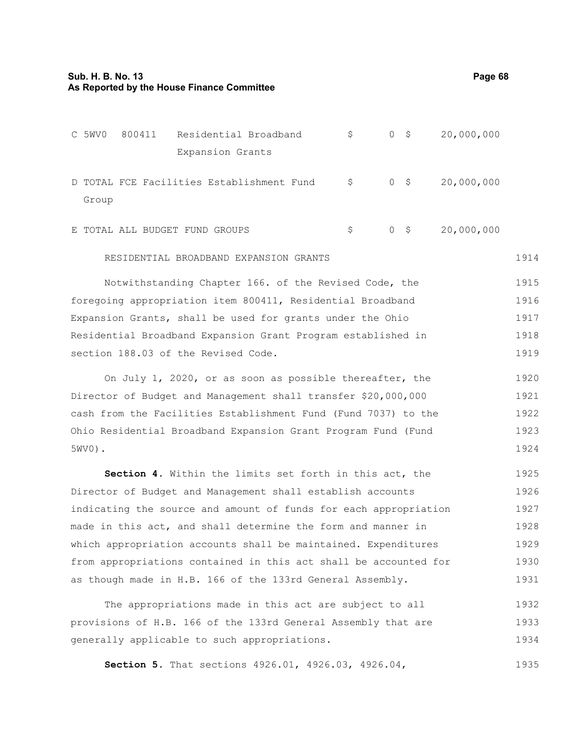section 188.03 of the Revised Code.

|                                                              | C 5WV0                                                | 800411 | Residential Broadband                     |  | \$ | 0 <sup>5</sup> |  | 20,000,000 |  |  |
|--------------------------------------------------------------|-------------------------------------------------------|--------|-------------------------------------------|--|----|----------------|--|------------|--|--|
|                                                              |                                                       |        | Expansion Grants                          |  |    |                |  |            |  |  |
|                                                              | Group                                                 |        | D TOTAL FCE Facilities Establishment Fund |  | \$ | $0$ \$         |  | 20,000,000 |  |  |
|                                                              |                                                       |        | E TOTAL ALL BUDGET FUND GROUPS            |  | \$ | $0 \quad$ \$   |  | 20,000,000 |  |  |
|                                                              | RESIDENTIAL BROADBAND EXPANSION GRANTS                |        |                                           |  |    |                |  |            |  |  |
|                                                              | Notwithstanding Chapter 166. of the Revised Code, the |        |                                           |  |    |                |  |            |  |  |
| foregoing appropriation item 800411, Residential Broadband   |                                                       |        |                                           |  |    |                |  |            |  |  |
| Expansion Grants, shall be used for grants under the Ohio    |                                                       |        |                                           |  |    |                |  |            |  |  |
| Residential Broadband Expansion Grant Program established in |                                                       |        |                                           |  |    |                |  |            |  |  |

On July 1, 2020, or as soon as possible thereafter, the Director of Budget and Management shall transfer \$20,000,000 cash from the Facilities Establishment Fund (Fund 7037) to the Ohio Residential Broadband Expansion Grant Program Fund (Fund 5WV0). 1920 1921 1922 1923 1924

**Section 4.** Within the limits set forth in this act, the Director of Budget and Management shall establish accounts indicating the source and amount of funds for each appropriation made in this act, and shall determine the form and manner in which appropriation accounts shall be maintained. Expenditures from appropriations contained in this act shall be accounted for as though made in H.B. 166 of the 133rd General Assembly. 1925 1926 1927 1928 1929 1930 1931

The appropriations made in this act are subject to all provisions of H.B. 166 of the 133rd General Assembly that are generally applicable to such appropriations. 1932 1933 1934

**Section 5.** That sections 4926.01, 4926.03, 4926.04, 1935

1919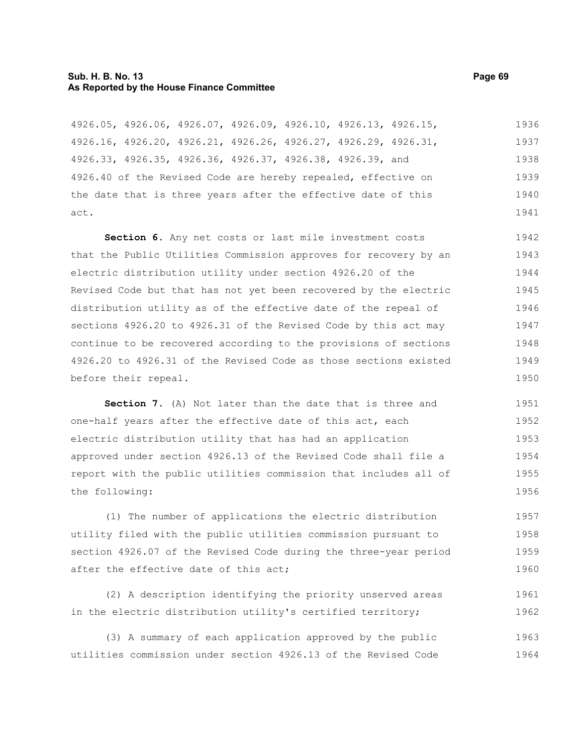#### **Sub. H. B. No. 13 Page 69 As Reported by the House Finance Committee**

4926.05, 4926.06, 4926.07, 4926.09, 4926.10, 4926.13, 4926.15, 4926.16, 4926.20, 4926.21, 4926.26, 4926.27, 4926.29, 4926.31, 4926.33, 4926.35, 4926.36, 4926.37, 4926.38, 4926.39, and 4926.40 of the Revised Code are hereby repealed, effective on the date that is three years after the effective date of this act. 1936 1937 1938 1939 1940 1941

**Section 6.** Any net costs or last mile investment costs that the Public Utilities Commission approves for recovery by an electric distribution utility under section 4926.20 of the Revised Code but that has not yet been recovered by the electric distribution utility as of the effective date of the repeal of sections 4926.20 to 4926.31 of the Revised Code by this act may continue to be recovered according to the provisions of sections 4926.20 to 4926.31 of the Revised Code as those sections existed before their repeal. 1942 1943 1944 1945 1946 1947 1948 1949 1950

**Section 7.** (A) Not later than the date that is three and one-half years after the effective date of this act, each electric distribution utility that has had an application approved under section 4926.13 of the Revised Code shall file a report with the public utilities commission that includes all of the following: 1951 1952 1953 1954 1955 1956

(1) The number of applications the electric distribution utility filed with the public utilities commission pursuant to section 4926.07 of the Revised Code during the three-year period after the effective date of this act; 1957 1958 1959 1960

(2) A description identifying the priority unserved areas in the electric distribution utility's certified territory; 1961 1962

(3) A summary of each application approved by the public utilities commission under section 4926.13 of the Revised Code 1963 1964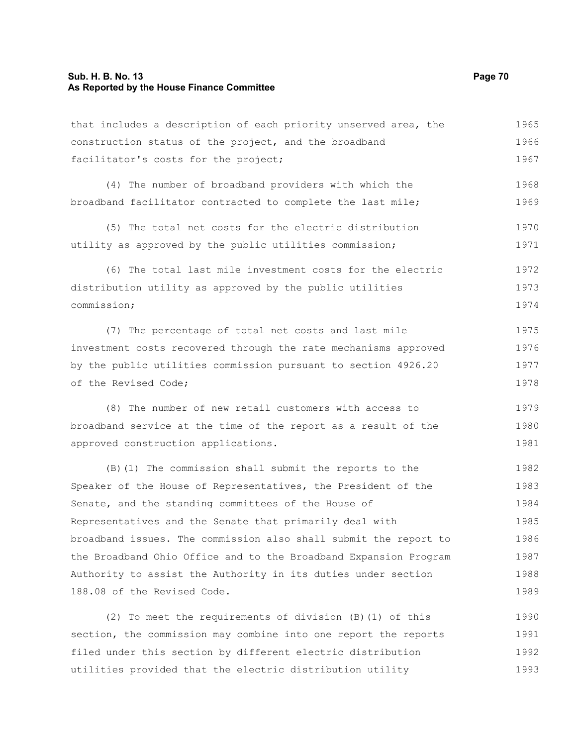#### **Sub. H. B. No. 13 Page 70 As Reported by the House Finance Committee**

that includes a description of each priority unserved area, the construction status of the project, and the broadband facilitator's costs for the project; 1965 1966 1967

(4) The number of broadband providers with which the broadband facilitator contracted to complete the last mile; 1968 1969

(5) The total net costs for the electric distribution utility as approved by the public utilities commission; 1970 1971

(6) The total last mile investment costs for the electric distribution utility as approved by the public utilities commission; 1972 1973 1974

(7) The percentage of total net costs and last mile investment costs recovered through the rate mechanisms approved by the public utilities commission pursuant to section 4926.20 of the Revised Code; 1975 1976 1977 1978

(8) The number of new retail customers with access to broadband service at the time of the report as a result of the approved construction applications. 1979 1980 1981

(B)(1) The commission shall submit the reports to the Speaker of the House of Representatives, the President of the Senate, and the standing committees of the House of Representatives and the Senate that primarily deal with broadband issues. The commission also shall submit the report to the Broadband Ohio Office and to the Broadband Expansion Program Authority to assist the Authority in its duties under section 188.08 of the Revised Code. 1982 1983 1984 1985 1986 1987 1988 1989

(2) To meet the requirements of division (B)(1) of this section, the commission may combine into one report the reports filed under this section by different electric distribution utilities provided that the electric distribution utility 1990 1991 1992 1993